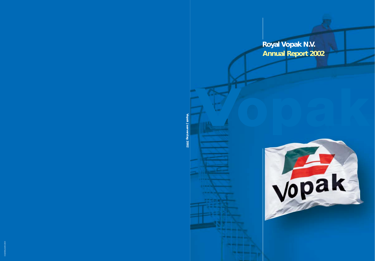**Royal Vopak N.V. Annual Report 2002**

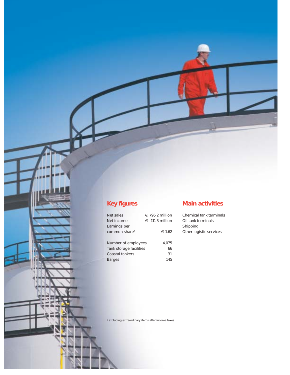## **Key figures**

| $\epsilon$ 796.2 million      |
|-------------------------------|
| $\epsilon$ 111.3 million      |
|                               |
| $\epsilon$ 1.62               |
|                               |
| Number of employees<br>4.075  |
| Tank storage facilities<br>66 |
| 31                            |
| 145                           |
|                               |

## **Main activities**

Chemical tank terminals Oil tank terminals Shipping Other logistic services

*\*excluding extraordinary items after income taxes*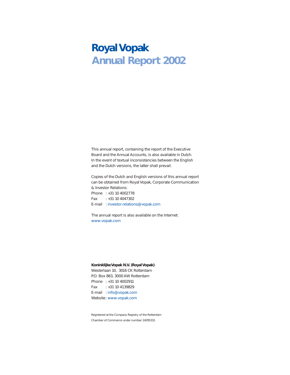## **Royal Vopak Annual Report 2002**

This annual report, containing the report of the Executive Board and the Annual Accounts, is also available in Dutch. In the event of textual inconsistencies between the English and the Dutch versions, the latter shall prevail.

Copies of the Dutch and English versions of this annual report can be obtained from Royal Vopak, Corporate Communication & Investor Relations:

Phone : +31 10 4002778 Fax : +31 10 4047302 E-mail : investor.relations@vopak.com

The annual report is also available on the Internet: www.vopak.com

#### **Koninklijke Vopak N.V. (Royal Vopak)**

Westerlaan 10, 3016 CK Rotterdam P.O. Box 863, 3000 AW Rotterdam Phone : +31 10 4002911 Fax : +31 10 4139829 E-mail : info@vopak.com Website: www.vopak.com

Registered at the Company Registry of the Rotterdam Chamber of Commerce under number 24295332.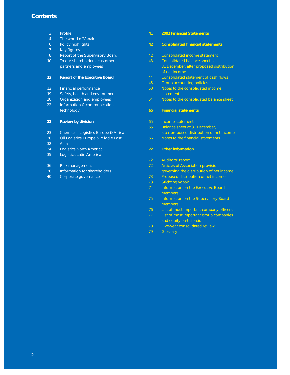#### **Contents**

- 3 Profile
- 4 The world of Vopak
- 6 Policy highlights
- 7 Key figures
- 8 Report of the Supervisory Board
- 10 To our shareholders, customers, partners and employees

#### **12 Report of the Executive Board**

- 12 Financial performance
- 19 Safety, health and environment
- 20 Organization and employees
- 22 Information & communication technology
- **23 Review by division**
- 23 Chemicals Logistics Europe & Africa
- 28 Oil Logistics Europe & Middle East
- 32 Asia
- 34 Logistics North America
- 35 Logistics Latin America

#### 36 Risk management

- 38 Information for shareholders
- 40 Corporate governance

#### **41 2002 Financial Statements**

#### **42 Consolidated financial statements**

- 42 Consolidated income statement
- 43 Consolidated balance sheet at 31 December, after proposed distribution
- of net income 44 Consolidated statement of cash flows
- 45 Group accounting policies
- 50 Notes to the consolidated income statement
- 54 Notes to the consolidated balance sheet

#### **65 Financial statements**

- 65 Income statement
- 65 Balance sheet at 31 December, after proposed distribution of net income
- 66 Notes to the financial statements

#### **72 Other information**

- 72 Auditors' report
- 72 Articles of Association provisions governing the distribution of net income
- 73 Proposed distribution of net income
- 73 Stichting Vopak
- 74 Information on the Executive Board members
- 75 Information on the Supervisory Board members
- 76 List of most important company officers
- 77 List of most important group companies and equity participations
- 78 Five-year consolidated review
- 79 Glossary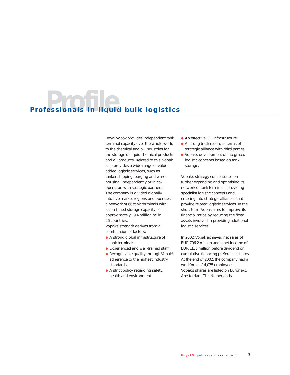# **Professionals in liquid bulk logistics**

Royal Vopak provides independent tank terminal capacity over the whole world to the chemical and oil industries for the storage of liquid chemical products and oil products. Related to this, Vopak also provides a wide range of valueadded logistic services, such as tanker shipping, barging and warehousing, independently or in cooperation with strategic partners. The company is divided globally into five market regions and operates a network of 66 tank terminals with a combined storage capacity of approximately 19.4 million  $m<sup>3</sup>$  in 26 countries.

Vopak's strength derives from a combination of factors:

- A strong global infrastructure of tank terminals.
- Experienced and well-trained staff.
- Recognisable quality through Vopak's adherence to the highest industry standards.
- A strict policy regarding safety, health and environment.
- An effective ICT infrastructure.
- A strong track record in terms of strategic alliance with third parties.
- Vopak's development of integrated logistic concepts based on tank storage.

Vopak's strategy concentrates on further expanding and optimising its network of tank terminals, providing specialist logistic concepts and entering into strategic alliances that provide related logistic services. In the short-term, Vopak aims to improve its financial ratios by reducing the fixed assets involved in providing additional logistic services.

In 2002, Vopak achieved net sales of EUR 796.2 million and a net income of EUR 111.3 million before dividend on cumulative financing preference shares. At the end of 2002, the company had a workforce of 4,075 employees. Vopak's shares are listed on Euronext, Amsterdam, The Netherlands.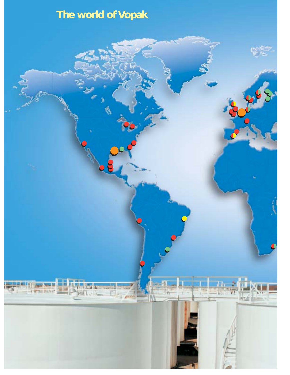## **The world of Vopak**

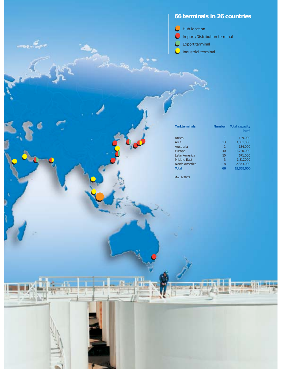## **66 terminals in 26 countries**

- **C** Hub location
- **Import/Distribution terminal**
- Export terminal C

son Ser

Industrial terminal $\left($ 

| <b>Tankterminals</b> | <b>Number</b> | <b>Total capacity</b><br>in $m3$ |
|----------------------|---------------|----------------------------------|
| Africa               | 1             | 129,000                          |
| Asia                 | 13            | 3.031.000                        |
| Australia            | 1             | 134,000                          |
| Europe               | 30            | 11.220.000                       |
| Latin America        | 10            | 671.000                          |
| Middle East          | 3             | 1.817.000                        |
| North America        | 8             | 2.353.000                        |
| <b>Total</b>         | 66            | 19,355,000                       |

March 2003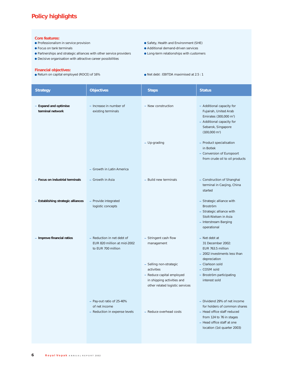### **Policy highlights**

- **Core features:**<br>• Professionalism in service provision
- 
- Partnerships and strategic alliances with other service providers Long-term relationships with customers
- Decisive organisation with attractive career possibilities

#### **Financial objectives:**

- Return on capital employed (ROCE) of 16% <br>● Net debt : EBITDA maximised at 2.5 : 1
- Safety, Health and Environment (SHE)
- Focus on tank terminals example and the matrix of the Additional demand-driven services
	-

| <b>Strategy</b>                           | <b>Objectives</b>                                                               | <b>Steps</b>                                                                                                                                                               | <b>Status</b>                                                                                                                                                                            |
|-------------------------------------------|---------------------------------------------------------------------------------|----------------------------------------------------------------------------------------------------------------------------------------------------------------------------|------------------------------------------------------------------------------------------------------------------------------------------------------------------------------------------|
| - Expand and optimise<br>terminal network | - Increase in number of<br>existing terminals                                   | - New construction                                                                                                                                                         | - Additional capacity for<br>Fujairah, United Arab<br>Emirates (300,000 m <sup>3</sup> )<br>- Additional capacity for<br>Sebarok, Singapore<br>$(100,000 \text{ m}^3)$                   |
|                                           |                                                                                 | - Up-grading                                                                                                                                                               | - Product specialisation<br>in Botlek<br>- Conversion of Europoort<br>from crude oil to oil products                                                                                     |
|                                           | - Growth in Latin America                                                       |                                                                                                                                                                            |                                                                                                                                                                                          |
| - Focus on industrial terminals           | - Growth in Asia                                                                | - Build new terminals                                                                                                                                                      | - Construction of Shanghai<br>terminal in Caojing, China<br>started                                                                                                                      |
| - Establishing strategic alliances        | - Provide integrated<br>logistic concepts                                       |                                                                                                                                                                            | - Strategic alliance with<br><b>Broström</b><br>- Strategic alliance with<br>Stolt-Nielsen in Asia<br>- Interstream Barging<br>operational                                               |
| - Improve financial ratios                | - Reduction in net debt of<br>EUR 820 million at mid-2002<br>to EUR 700 million | - Stringent cash flow<br>management<br>- Selling non-strategic<br>activities<br>- Reduce capital employed<br>in shipping activities and<br>other related logistic services | $-$ Net debt at<br>31 December 2002:<br>EUR 763.5 million<br>- 2002 investments less than<br>depreciation<br>- Clarkson sold<br>- COSM sold<br>- Broström participating<br>interest sold |
|                                           | - Pay-out ratio of 25-40%<br>of net income<br>- Reduction in expense levels     | - Reduce overhead costs                                                                                                                                                    | - Dividend 29% of net income<br>for holders of common shares<br>- Head office staff reduced<br>from 124 to 76 in stages<br>- Head office staff at one<br>location (1st quarter 2003)     |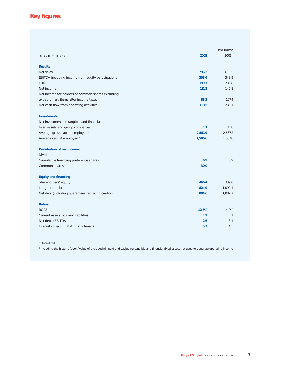## **Key figures**

| Pro forma<br>2002<br>$2001^{11}$<br>In EUR millions<br><b>Results</b><br>796.2<br>810.5<br>Net sales<br>308.6<br>348.9<br>EBITDA including income from equity participations<br><b>EBIT</b><br>236.8<br>199.7<br>Net income<br>111.3<br>145.8<br>Net income for holders of common shares excluding<br>88.3<br>107.4<br>extraordinary items after income taxes<br>233.1<br>Net cash flow from operating activities<br>110.5<br><b>Investments</b><br>Net investments in tangible and financial<br>1.1<br>fixed assets and group companies<br>31.8<br>Average gross capital employed <sup>2)</sup><br>2,581.9<br>2,667.2<br>Average capital employed <sup>2)</sup><br>1,586.6<br>1,667.8<br><b>Distribution of net income</b><br>Dividend:<br>6.9<br>6.9<br>Cumulative financing preference shares<br>Common shares<br>30.0<br><b>Equity and financing</b><br>466.4<br>Shareholders' equity<br>339.0<br>824.9<br>1,090.1<br>Long-term debt<br>804.6<br>1,082.7<br>Net debt (including guarantees replacing credits)<br><b>Ratios</b><br>12.6%<br><b>ROCE</b><br>14.2%<br>1.2<br>Current assets : current liabilities<br>1.1<br>Net debt : EBITDA<br>2.6<br>3.1<br>5.3<br>Interest cover (EBITDA : net interest)<br>4.5 |  |  |
|----------------------------------------------------------------------------------------------------------------------------------------------------------------------------------------------------------------------------------------------------------------------------------------------------------------------------------------------------------------------------------------------------------------------------------------------------------------------------------------------------------------------------------------------------------------------------------------------------------------------------------------------------------------------------------------------------------------------------------------------------------------------------------------------------------------------------------------------------------------------------------------------------------------------------------------------------------------------------------------------------------------------------------------------------------------------------------------------------------------------------------------------------------------------------------------------------------------------|--|--|
|                                                                                                                                                                                                                                                                                                                                                                                                                                                                                                                                                                                                                                                                                                                                                                                                                                                                                                                                                                                                                                                                                                                                                                                                                      |  |  |
|                                                                                                                                                                                                                                                                                                                                                                                                                                                                                                                                                                                                                                                                                                                                                                                                                                                                                                                                                                                                                                                                                                                                                                                                                      |  |  |
|                                                                                                                                                                                                                                                                                                                                                                                                                                                                                                                                                                                                                                                                                                                                                                                                                                                                                                                                                                                                                                                                                                                                                                                                                      |  |  |
|                                                                                                                                                                                                                                                                                                                                                                                                                                                                                                                                                                                                                                                                                                                                                                                                                                                                                                                                                                                                                                                                                                                                                                                                                      |  |  |
|                                                                                                                                                                                                                                                                                                                                                                                                                                                                                                                                                                                                                                                                                                                                                                                                                                                                                                                                                                                                                                                                                                                                                                                                                      |  |  |
|                                                                                                                                                                                                                                                                                                                                                                                                                                                                                                                                                                                                                                                                                                                                                                                                                                                                                                                                                                                                                                                                                                                                                                                                                      |  |  |
|                                                                                                                                                                                                                                                                                                                                                                                                                                                                                                                                                                                                                                                                                                                                                                                                                                                                                                                                                                                                                                                                                                                                                                                                                      |  |  |
|                                                                                                                                                                                                                                                                                                                                                                                                                                                                                                                                                                                                                                                                                                                                                                                                                                                                                                                                                                                                                                                                                                                                                                                                                      |  |  |
|                                                                                                                                                                                                                                                                                                                                                                                                                                                                                                                                                                                                                                                                                                                                                                                                                                                                                                                                                                                                                                                                                                                                                                                                                      |  |  |
|                                                                                                                                                                                                                                                                                                                                                                                                                                                                                                                                                                                                                                                                                                                                                                                                                                                                                                                                                                                                                                                                                                                                                                                                                      |  |  |
|                                                                                                                                                                                                                                                                                                                                                                                                                                                                                                                                                                                                                                                                                                                                                                                                                                                                                                                                                                                                                                                                                                                                                                                                                      |  |  |
|                                                                                                                                                                                                                                                                                                                                                                                                                                                                                                                                                                                                                                                                                                                                                                                                                                                                                                                                                                                                                                                                                                                                                                                                                      |  |  |
|                                                                                                                                                                                                                                                                                                                                                                                                                                                                                                                                                                                                                                                                                                                                                                                                                                                                                                                                                                                                                                                                                                                                                                                                                      |  |  |
|                                                                                                                                                                                                                                                                                                                                                                                                                                                                                                                                                                                                                                                                                                                                                                                                                                                                                                                                                                                                                                                                                                                                                                                                                      |  |  |
|                                                                                                                                                                                                                                                                                                                                                                                                                                                                                                                                                                                                                                                                                                                                                                                                                                                                                                                                                                                                                                                                                                                                                                                                                      |  |  |
|                                                                                                                                                                                                                                                                                                                                                                                                                                                                                                                                                                                                                                                                                                                                                                                                                                                                                                                                                                                                                                                                                                                                                                                                                      |  |  |
|                                                                                                                                                                                                                                                                                                                                                                                                                                                                                                                                                                                                                                                                                                                                                                                                                                                                                                                                                                                                                                                                                                                                                                                                                      |  |  |
|                                                                                                                                                                                                                                                                                                                                                                                                                                                                                                                                                                                                                                                                                                                                                                                                                                                                                                                                                                                                                                                                                                                                                                                                                      |  |  |
|                                                                                                                                                                                                                                                                                                                                                                                                                                                                                                                                                                                                                                                                                                                                                                                                                                                                                                                                                                                                                                                                                                                                                                                                                      |  |  |
|                                                                                                                                                                                                                                                                                                                                                                                                                                                                                                                                                                                                                                                                                                                                                                                                                                                                                                                                                                                                                                                                                                                                                                                                                      |  |  |
|                                                                                                                                                                                                                                                                                                                                                                                                                                                                                                                                                                                                                                                                                                                                                                                                                                                                                                                                                                                                                                                                                                                                                                                                                      |  |  |
|                                                                                                                                                                                                                                                                                                                                                                                                                                                                                                                                                                                                                                                                                                                                                                                                                                                                                                                                                                                                                                                                                                                                                                                                                      |  |  |
|                                                                                                                                                                                                                                                                                                                                                                                                                                                                                                                                                                                                                                                                                                                                                                                                                                                                                                                                                                                                                                                                                                                                                                                                                      |  |  |
|                                                                                                                                                                                                                                                                                                                                                                                                                                                                                                                                                                                                                                                                                                                                                                                                                                                                                                                                                                                                                                                                                                                                                                                                                      |  |  |
|                                                                                                                                                                                                                                                                                                                                                                                                                                                                                                                                                                                                                                                                                                                                                                                                                                                                                                                                                                                                                                                                                                                                                                                                                      |  |  |
|                                                                                                                                                                                                                                                                                                                                                                                                                                                                                                                                                                                                                                                                                                                                                                                                                                                                                                                                                                                                                                                                                                                                                                                                                      |  |  |
|                                                                                                                                                                                                                                                                                                                                                                                                                                                                                                                                                                                                                                                                                                                                                                                                                                                                                                                                                                                                                                                                                                                                                                                                                      |  |  |
|                                                                                                                                                                                                                                                                                                                                                                                                                                                                                                                                                                                                                                                                                                                                                                                                                                                                                                                                                                                                                                                                                                                                                                                                                      |  |  |

*1) Unaudited*

*2) Including the historic (book-)value of the goodwill paid and excluding tangible and financial fixed assets not used to generate operating income*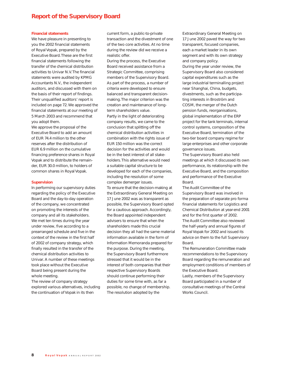#### **Report of the Supervisory Board**

#### **Financial statements**

We have pleasure in presenting to you the 2002 financial statements of Royal Vopak, prepared by the Executive Board. These are the first financial statements following the transfer of the chemical distribution activities to Univar N.V. The financial statements were audited by KPMG Accountants N.V., the independent auditors, and discussed with them on the basis of their report of findings. Their unqualified auditors' report is included on page 72. We approved the financial statements at our meeting of 5 March 2003 and recommend that you adopt them.

We approve the proposal of the Executive Board to add an amount of EUR 74.4 million to the other reserves after the distribution of EUR 6.9 million on the cumulative financing preference shares in Royal Vopak and to distribute the remainder, EUR 30.0 million, to holders of common shares in Royal Vopak.

#### **Supervision**

In performing our supervisory duties regarding the policy of the Executive Board and the day-to-day operation of the company, we concentrated on promoting the interests of the company and all its stakeholders. We met ten times during the year under review, five according to a prearranged schedule and five in the context of the review in the first half of 2002 of company strategy, which finally resulted in the transfer of the chemical distribution activities to Univar. A number of these meetings took place without the Executive Board being present during the whole meeting.

The review of company strategy explored various alternatives, including the continuation of Vopak in its then

current form, a public-to-private transaction and the divestment of one of the two core activities. At no time during the review did we receive a realistic offer.

During the process, the Executive Board received assistance from a Strategic Committee, comprising members of the Supervisory Board. As part of the process, a number of criteria were developed to ensure balanced and transparent decisionmaking. The major criterion was the creation and maintenance of longterm shareholders value. Partly in the light of deteriorating company results, we came to the conclusion that splitting off the chemical distribution activities in combination with the rights issue of EUR 150 million was the correct decision for the activities and would be in the best interest of all stakeholders. This alternative would need a suitable capital structure to be developed for each of the companies, including the resolution of some complex demerger issues. To ensure that the decision-making at the Extraordinary General Meeting on 17 June 2002 was as transparent as possible, the Supervisory Board opted for a cautious approach. Accordingly, the Board appointed independent advisers to ensure that when the shareholders made this crucial decision they all had the same material information available in the form of Information Memoranda prepared for the purpose. During the meeting, the Supervisory Board furthermore stressed that it would be in the interest of both companies that their respective Supervisory Boards should continue performing their duties for some time with, as far a possible, no change of membership. The resolution adopted by the

Extraordinary General Meeting on 17 June 2002 paved the way for two transparent, focused companies, each a market leader in its own segment and with its own strategy and company policy. During the year under review, the Supervisory Board also considered capital expenditures such as the large industrial terminalling project near Shanghai, China, budgets, divestments, such as the participating interests in Broström and COSM, the merger of the Dutch pension funds, reorganisations, global implementation of the ERP project for the tank terminals, internal control systems, composition of the Executive Board, termination of the two-tier board company regime for large enterprises and other corporate governance issues.

The Supervisory Board also held meetings at which it discussed its own performance, its relationship with the Executive Board, and the composition and performance of the Executive **Board** 

The Audit Committee of the Supervisory Board was involved in the preparation of separate pro forma financial statements for Logistics and Chemical Distribution at year-end 2001 and for the first quarter of 2002. The Audit Committee also reviewed the half-yearly and annual figures of Royal Vopak for 2002 and issued its advice on them to the full Supervisory **Board** 

The Remuneration Committee made recommendations to the Supervisory Board regarding the remuneration and employment conditions of members of the Executive Board.

Lastly, members of the Supervisory Board participated in a number of consultative meetings of the Central Works Council.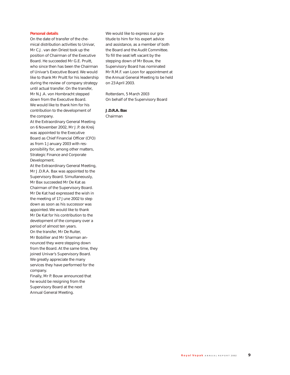#### **Personal details**

On the date of transfer of the chemical distribution activities to Univar, Mr C.J. van den Driest took up the position of Chairman of the Executive Board. He succeeded Mr G.E. Pruitt, who since then has been the Chairman of Univar's Executive Board. We would like to thank Mr Pruitt for his leadership during the review of company strategy until actual transfer. On the transfer, Mr N.J.A. von Hombracht stepped down from the Executive Board. We would like to thank him for his contribution to the development of the company.

At the Extraordinary General Meeting on 6 November 2002, Mr J.P. de Kreij was appointed to the Executive Board as Chief Financial Officer (CFO) as from 1 January 2003 with responsibility for, among other matters, Strategic Finance and Corporate Development.

At the Extraordinary General Meeting, Mr J.D.R.A. Bax was appointed to the Supervisory Board. Simultaneously, Mr Bax succeeded Mr De Kat as Chairman of the Supervisory Board. Mr De Kat had expressed the wish in the meeting of 17 June 2002 to step down as soon as his successor was appointed. We would like to thank Mr De Kat for his contribution to the development of the company over a period of almost ten years. On the transfer, Mr De Ruiter, Mr Bobillier and Mr Sharman an-

nounced they were stepping down from the Board. At the same time, they joined Univar's Supervisory Board. We greatly appreciate the many services they have performed for the company.

Finally, Mr P. Bouw announced that he would be resigning from the Supervisory Board at the next Annual General Meeting.

We would like to express our gratitude to him for his expert advice and assistance, as a member of both the Board and the Audit Committee. To fill the seat left vacant by the stepping down of Mr Bouw, the Supervisory Board has nominated Mr R.M.F. van Loon for appointment at the Annual General Meeting to be held on 23 April 2003.

Rotterdam, 5 March 2003 On behalf of the Supervisory Board

**J.D.R.A. Bax** *Chairman*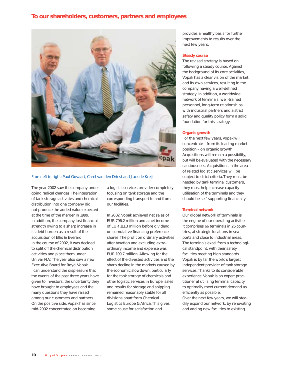#### **To our shareholders, customers, partners and employees**



*From left to right: Paul Govaart, Carel van den Driest and Jack de Kreij* 

The year 2002 saw the company undergoing radical changes. The integration of tank storage activities and chemical distribution into one company did not produce the added value expected at the time of the merger in 1999. In addition, the company lost financial strength owing to a sharp increase in its debt burden as a result of the acquisition of Ellis & Everard. In the course of 2002, it was decided to split off the chemical distribution activities and place them under Univar N.V. The year also saw a new Executive Board for Royal Vopak. I can understand the displeasure that the events of the past three years have given to investors, the uncertainty they have brought to employees and the many questions they have raised among our customers and partners. On the positive side, Vopak has since mid-2002 concentrated on becoming

a logistic services provider completely focusing on tank storage and the corresponding transport to and from our facilities.

In 2002, Vopak achieved net sales of EUR 796.2 million and a net income of EUR 111.3 million before dividend on cumulative financing preference shares. The profit on ordinary activities after taxation and excluding extraordinary income and expense was EUR 109.7 million. Allowing for the effect of the divested activities and the sharp decline in the markets caused by the economic slowdown, particularly for the tank storage of chemicals and other logistic services in Europe, sales and results for storage and shipping remained reasonably stable for all divisions apart from Chemical Logistics Europe & Africa. This gives some cause for satisfaction and

provides a healthy basis for further improvements to results over the next few years.

#### **Steady course**

The revised strategy is based on following a steady course. Against the background of its core activities, Vopak has a clear vision of the market and its own services, resulting in the company having a well-defined strategy. In addition, a worldwide network of terminals, well-trained personnel, long-term relationships with industrial partners and a strict safety and quality policy form a solid foundation for this strategy.

#### **Organic growth**

For the next few years, Vopak will concentrate – from its leading market position – on organic growth. Acquisitions will remain a possibility, but will be evaluated with the necessary cautiousness. Acquisitions in the area of related logistic services will be subject to strict criteria. They must be needed by tank terminal customers, they must help increase capacity utilisation of the terminals and they should be self-supporting financially.

#### **Terminal network**

Our global network of terminals is the engine of our operating activities. It comprises 66 terminals in 26 countries, at strategic locations in seaports and close to industrial areas. The terminals excel from a technological standpoint, with their safety facilities meeting high standards. Vopak is by far the world's largest independent provider of tank storage services. Thanks to its considerable experience, Vopak is an expert practitioner at utilising terminal capacity to optimally meet current demand as efficiently as possible.

Over the next few years, we will steadily expand our network, by renovating and adding new facilities to existing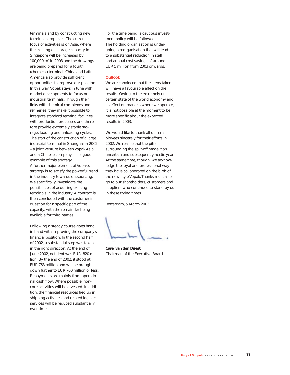terminals and by constructing new terminal complexes. The current focus of activities is on Asia, where the existing oil storage capacity in Singapore will be increased by 100,000  $m<sup>3</sup>$  in 2003 and the drawings are being prepared for a fourth (chemical) terminal. China and Latin America also provide sufficient opportunities to improve our position. In this way, Vopak stays in tune with market developments to focus on industrial terminals. Through their links with chemical complexes and refineries, they make it possible to integrate standard terminal facilities with production processes and therefore provide extremely stable storage, loading and unloading cycles. The start of the construction of a large industrial terminal in Shanghai in 2002 – a joint venture between Vopak Asia and a Chinese company – is a good example of this strategy. A further major element of Vopak's strategy is to satisfy the powerful trend in the industry towards outsourcing. We specifically investigate the possibilities of acquiring existing terminals in the industry. A contract is then concluded with the customer in question for a specific part of the capacity, with the remainder being available for third parties.

Following a steady course goes hand in hand with improving the company's financial position. In the second half of 2002, a substantial step was taken in the right direction. At the end of June 2002, net debt was EUR 820 million. By the end of 2002, it stood at EUR 763 million and will be brought down further to EUR 700 million or less. Repayments are mainly from operational cash flow. Where possible, noncore activities will be divested. In addition, the financial resources tied up in shipping activities and related logistic services will be reduced substantially over time.

For the time being, a cautious investment policy will be followed. The holding organisation is undergoing a reorganisation that will lead to a substantial reduction in staff and annual cost savings of around EUR 5 million from 2003 onwards.

#### **Outlook**

We are convinced that the steps taken will have a favourable effect on the results. Owing to the extremely uncertain state of the world economy and its effect on markets where we operate, it is not possible at the moment to be more specific about the expected results in 2003.

We would like to thank all our employees sincerely for their efforts in 2002. We realise that the pitfalls surrounding the split-off made it an uncertain and subsequently hectic year. At the same time, though, we acknowledge the loyal and professional way they have collaborated on the birth of the new-style Vopak. Thanks must also go to our shareholders, customers and suppliers who continued to stand by us in these trying times.

Rotterdam, 5 March 2003

**Carel van den Driest** *Chairman of the Executive Board*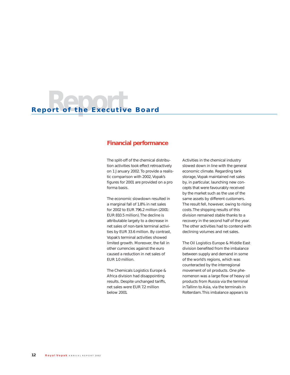## **Report of the Executive Board Report**

#### **Financial performance**

The split-off of the chemical distribution activities took effect retroactively on 1 January 2002. To provide a realistic comparison with 2002, Vopak's figures for 2001 are provided on a pro forma basis.

The economic slowdown resulted in a marginal fall of 1.8% in net sales for 2002 to EUR 796.2 million (2001: EUR 810.5 million). The decline is attributable largely to a decrease in net sales of non-tank terminal activities by EUR 33.6 million. By contrast, Vopak's terminal activities showed limited growth. Moreover, the fall in other currencies against the euro caused a reduction in net sales of EUR 1.0 million.

The Chemicals Logistics Europe & Africa division had disappointing results. Despite unchanged tariffs, net sales were EUR 7.2 million below 2001.

Activities in the chemical industry slowed down in line with the general economic climate. Regarding tank storage, Vopak maintained net sales by, in particular, launching new concepts that were favourably received by the market such as the use of the same assets by different customers. The result fell, however, owing to rising costs. The shipping results of this division remained stable thanks to a recovery in the second half of the year. The other activities had to contend with declining volumes and net sales.

The Oil Logistics Europe & Middle East division benefited from the imbalance between supply and demand in some of the world's regions, which was counteracted by the interregional movement of oil products. One phenomenon was a large flow of heavy oil products from Russia via the terminal in Tallinn to Asia, via the terminals in Rotterdam. This imbalance appears to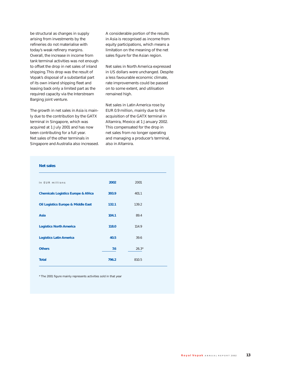be structural as changes in supply arising from investments by the refineries do not materialise with today's weak refinery margins. Overall, the increase in income from tank terminal activities was not enough to offset the drop in net sales of inland shipping. This drop was the result of Vopak's disposal of a substantial part of its own inland shipping fleet and leasing back only a limited part as the required capacity via the Interstream Barging joint venture.

The growth in net sales in Asia is mainly due to the contribution by the GATX terminal in Singapore, which was acquired at 1 July 2001 and has now been contributing for a full year. Net sales of the other terminals in Singapore and Australia also increased. A considerable portion of the results in Asia is recognised as income from equity participations, which means a limitation on the meaning of the net sales figure for the Asian region.

Net sales in North America expressed in US dollars were unchanged. Despite a less favourable economic climate, rate improvements could be passed on to some extent, and utilisation remained high.

Net sales in Latin America rose by EUR 0.9 million, mainly due to the acquisition of the GATX terminal in Altamira, Mexico at 1 January 2002. This compensated for the drop in net sales from no longer operating and managing a producer's terminal, also in Altamira.

| <b>Net sales</b>                               |       |         |  |
|------------------------------------------------|-------|---------|--|
| In FUR millions                                | 2002  | 2001    |  |
| <b>Chemicals Logistics Europe &amp; Africa</b> | 393.9 | 401.1   |  |
| <b>Oil Logistics Europe &amp; Middle East</b>  | 132.1 | 139.2   |  |
| Asia                                           | 104.1 | 89.4    |  |
| <b>Logistics North America</b>                 | 118.0 | 114.9   |  |
| <b>Logistics Latin America</b>                 | 40.5  | 39.6    |  |
| <b>Others</b>                                  | 7.6   | $26.3*$ |  |
| <b>Total</b>                                   | 796.2 | 810.5   |  |

*\* The 2001 figure mainly represents activities sold in that year*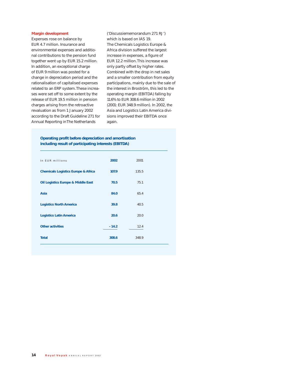#### **Margin development**

Expenses rose on balance by EUR 4.7 million. Insurance and environmental expenses and additional contributions to the pension fund together went up by EUR 15.2 million. In addition, an exceptional charge of EUR 9 million was posted for a change in depreciation period and the rationalisation of capitalised expenses related to an ERP system. These increases were set off to some extent by the release of EUR 19.5 million in pension charges arising from the retroactive revaluation as from 1 January 2002 according to the Draft Guideline 271 for Annual Reporting in The Netherlands

('Discussiememorandum 271 RJ') which is based on IAS 19. The Chemicals Logistics Europe & Africa division suffered the largest increase in expenses, a figure of EUR 12.2 million. This increase was only partly offset by higher rates. Combined with the drop in net sales and a smaller contribution from equity participations, mainly due to the sale of the interest in Broström, this led to the operating margin (EBITDA) falling by 11.6% to EUR 308.6 million in 2002 (2001: EUR 348.9 million). In 2002, the Asia and Logistics Latin America divisions improved their EBITDA once again.

#### **Operating profit before depreciation and amortisation including result of participating interests (EBITDA)**

| In EUR millions                                | 2002    | 2001  |  |
|------------------------------------------------|---------|-------|--|
| <b>Chemicals Logistics Europe &amp; Africa</b> | 107.9   | 135.5 |  |
| <b>Oil Logistics Europe &amp; Middle East</b>  | 70.5    | 75.1  |  |
| Asia                                           | 84.0    | 65.4  |  |
| <b>Logistics North America</b>                 | 39.8    | 40.5  |  |
| <b>Logistics Latin America</b>                 | 20.6    | 20.0  |  |
| <b>Other activities</b>                        | $-14.2$ | 12.4  |  |
| <b>Total</b>                                   | 308.6   | 348.9 |  |
|                                                |         |       |  |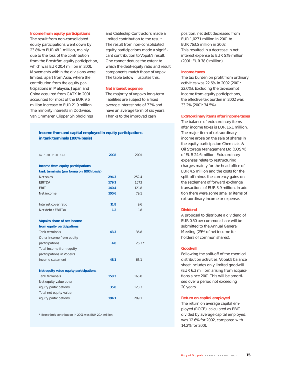#### **Income from equity participations**

The result from non-consolidated equity participations went down by 23.8% to EUR 48.1 million, mainly due to the loss of the contribution from the Broström equity participation, which was EUR 20.4 million in 2001. Movements within the divisions were limited, apart from Asia, where the contribution from the equity participations in Malaysia, Japan and China acquired from GATX in 2001 accounted for most of the EUR 9.6 million increase to EUR 21.9 million. The minority interests in Dockwise, Van Ommeren Clipper Shipholdings

and Cableship Contractors made a limited contribution to the result. The result from non-consolidated equity participations made a significant contribution to Vopak's result. One cannot deduce the extent to which the debt-equity ratio and result components match those of Vopak. The table below illustrates this.

#### **Net interest expense**

The majority of Vopak's long-term liabilities are subject to a fixed average interest rate of 7.3% and have an average term of six years. Thanks to the improved cash

#### **Income from and capital employed in equity participations in tank terminals (100% basis)**

| In EUR millions                          | 2002  | 2001    |
|------------------------------------------|-------|---------|
| Income from equity participations        |       |         |
| tank terminals (pro forma on 100% basis) |       |         |
| Net sales                                | 294.3 | 252.4   |
| <b>EBITDA</b>                            | 179.1 | 157.3   |
| <b>EBIT</b>                              | 140.4 | 121.8   |
| Net income                               | 100.6 | 79.1    |
| Interest cover ratio                     | 11.8  | 9.6     |
| Net debt: EBITDA                         | 1.2   | 1.8     |
| Vopak's share of net income              |       |         |
| from equity participations               |       |         |
| <b>Tank terminals</b>                    | 43.3  | 36.8    |
| Other income from equity                 |       |         |
| participations                           | 4.8   | $26.3*$ |
| Total income from equity                 |       |         |
| participations in Vopak's                |       |         |
| income statement                         | 48.1  | 63.1    |
| Net equity value equity participations   |       |         |
| Tank terminals                           | 158.3 | 165.8   |
| Net equity value other                   |       |         |
| equity participations                    | 35.8  | 123.3   |
| Total net equity value                   |       |         |
| equity participations                    | 194.1 | 289.1   |

*\* Broström's contribution in 2001 was EUR 20.4 million*

position, net debt decreased from EUR 1,027.1 million in 2001 to EUR 763.5 million in 2002. This resulted in a decrease in net interest expense to EUR 57.9 million (2001: EUR 78.0 million).

#### **Income taxes**

The tax burden on profit from ordinary activities was 22.6% in 2002 (2001: 22.0%). Excluding the tax-exempt income from equity participations, the effective tax burden in 2002 was 33.2% (2001: 34.5%).

#### **Extraordinary items after income taxes**

The balance of extraordinary items after income taxes is EUR 16.1 million. The major item of extraordinary income arose on the sale of shares in the equity participation Chemicals & Oil Storage Management Ltd (COSM) of EUR 24.6 million. Extraordinary expenses relate to restructuring charges mainly for the head office of EUR 4.5 million and the costs for the split-off minus the currency gains on the settlement of forward exchange transactions of EUR 3.9 million. In addition there were some smaller items of extraordinary income or expense.

#### **Dividend**

A proposal to distribute a dividend of EUR 0.50 per common share will be submitted to the Annual General Meeting (29% of net income for holders of common shares).

#### **Goodwill**

Following the split-off of the chemical distribution activities, Vopak's balance sheet includes only limited goodwill (EUR 6.3 million) arising from acquisitions since 2001. This will be amortised over a period not exceeding 20 years.

#### **Return on capital employed**

The return on average capital employed (ROCE), calculated as EBIT divided by average capital employed, was 12.6% for 2002, compared with 14.2% for 2001.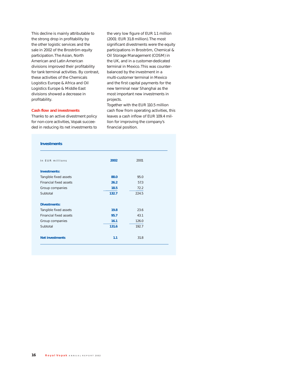This decline is mainly attributable to the strong drop in profitability by the other logistic services and the sale in 2002 of the Broström equity participation. The Asian, North American and Latin American divisions improved their profitability for tank terminal activities. By contrast, these activities of the Chemicals Logistics Europe & Africa and Oil Logistics Europe & Middle East divisions showed a decrease in profitability.

#### **Cash flow and investments**

Thanks to an active divestment policy for non-core activities, Vopak succeeded in reducing its net investments to

the very low figure of EUR 1.1 million (2001: EUR 31.8 million). The most significant divestments were the equity participations in Broström, Chemical & Oil Storage Management (COSM) in the UK, and in a customer-dedicated terminal in Mexico. This was counterbalanced by the investment in a multi-customer terminal in Mexico and the first capital payments for the new terminal near Shanghai as the most important new investments in projects.

Together with the EUR 110.5 million cash flow from operating activities, this leaves a cash inflow of EUR 109.4 million for improving the company's financial position.

#### **Investments**

| In FUR millions               | 2002  | 2001  |
|-------------------------------|-------|-------|
| <b>Investments:</b>           |       |       |
| Tangible fixed assets         | 88.0  | 95.0  |
| <b>Financial fixed assets</b> | 26.2  | 57.3  |
| Group companies               | 18.5  | 72.2  |
| Subtotal                      | 132.7 | 224.5 |
|                               |       |       |
| <b>Divestments:</b>           |       |       |
| Tangible fixed assets         | 19.8  | 23.6  |
| Financial fixed assets        | 95.7  | 43.1  |
| Group companies               | 16.1  | 126.0 |
| Subtotal                      | 131.6 | 192.7 |
|                               |       |       |
| <b>Net investments</b>        | 1.1   | 31.8  |
|                               |       |       |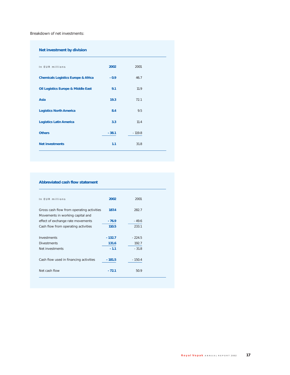Breakdown of net investments:

| Net investment by division |
|----------------------------|
|----------------------------|

| <b>NET INVESTMENT DY GIVISION</b>              |         |          |
|------------------------------------------------|---------|----------|
| In EUR millions                                | 2002    | 2001     |
| <b>Chemicals Logistics Europe &amp; Africa</b> | $-0.9$  | 46.7     |
| <b>Oil Logistics Europe &amp; Middle East</b>  | 9.1     | 11.9     |
| Asia                                           | 19.3    | 72.1     |
| <b>Logistics North America</b>                 | 8.4     | 9.5      |
| <b>Logistics Latin America</b>                 | 3.3     | 11.4     |
| <b>Others</b>                                  | $-38.1$ | $-119.8$ |
| <b>Net investments</b>                         | 1.1     | 31.8     |

#### **Abbreviated cash flow statement**

| In FUR millions                           | 2002     | 2001     |  |
|-------------------------------------------|----------|----------|--|
| Gross cash flow from operating activities | 187.4    | 282.7    |  |
| Movements in working capital and          |          |          |  |
| effect of exchange rate movements         | $-76.9$  | $-49.6$  |  |
| Cash flow from operating activities       | 110.5    | 233.1    |  |
|                                           |          |          |  |
| Investments                               | $-132.7$ | $-224.5$ |  |
| <b>Divestments</b>                        | 131.6    | 192.7    |  |
| Net investments                           | $-1.1$   | $-31.8$  |  |
|                                           |          |          |  |
| Cash flow used in financing activities    | $-181.5$ | $-150.4$ |  |
|                                           |          |          |  |
| Net cash flow                             | $-72.1$  | 50.9     |  |
|                                           |          |          |  |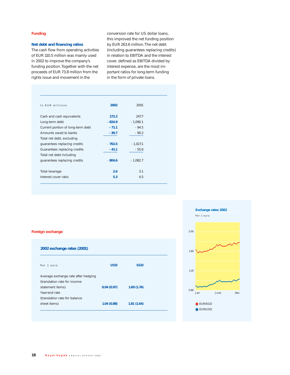#### **Funding**

#### **Net debt and financing ratios**

The cash flow from operating activities of EUR 110.5 million was mainly used in 2002 to improve the company's funding position. Together with the net proceeds of EUR 73.8 million from the rights issue and movement in the

conversion rate for US dollar loans, this improved the net funding position by EUR 263.6 million. The net debt (including guarantees replacing credits) in relation to EBITDA and the interest cover, defined as EBITDA divided by interest expense, are the most important ratios for long-term funding in the form of private loans.

| In FUR millions                   | 2002     | 2001       |
|-----------------------------------|----------|------------|
|                                   |          |            |
| Cash and cash equivalents         | 172.2    | 247.7      |
| Long-term debt                    | $-824.9$ | $-1,090.1$ |
| Current portion of long-term debt | $-71.1$  | $-94.5$    |
| Amounts owed to banks             | $-39.7$  | $-90.2$    |
| Total net debt, excluding         |          |            |
| guarantees replacing credits      | $-763.5$ | $-1,027.1$ |
| Guarantees replacing credits      | $-41.1$  | $-55.6$    |
| Total net debt including          |          |            |
| guarantees replacing credits      | $-804.6$ | $-1,082.7$ |
| Total leverage                    | 2.6      | 3.1        |
| Interest cover ratio              | 5.3      | 4.5        |

#### **Foreign exchange**

| Per 1 euro                          | <b>USD</b> | <b>SGD</b> |
|-------------------------------------|------------|------------|
| Average exchange rate after hedging |            |            |
| (translation rate for income        |            |            |
| statement items)                    | 0.94(0.97) | 1.69(1.74) |
| Year-end rate                       |            |            |
| (translation rate for balance)      |            |            |
| sheet items)                        | 1.04(0.88) | 1.81(1.64) |

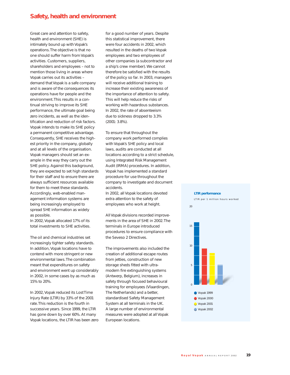#### **Safety, health and environment**

Great care and attention to safety, health and environment (SHE) is intimately bound up with Vopak's operations. The objective is that no one should suffer harm from Vopak's activities. Customers, suppliers, shareholders and employees – not to mention those living in areas where Vopak carries out its activities – demand that Vopak is a safe company and is aware of the consequences its operations have for people and the environment. This results in a continual striving to improve its SHE performance, the ultimate goal being zero incidents, as well as the identification and reduction of risk factors. Vopak intends to make its SHE policy a permanent competitive advantage. Consequently, SHE receives the highest priority in the company, globally and at all levels of the organisation. Vopak managers should set an example in the way they carry out the SHE policy. Against this background, they are expected to set high standards for their staff and to ensure there are always sufficient resources available for them to meet these standards. Accordingly, web-enabled management information systems are being increasingly employed to spread SHE information as widely as possible.

In 2002, Vopak allocated 17% of its total investments to SHE activities.

The oil and chemical industries set increasingly tighter safety standards. In addition, Vopak locations have to contend with more stringent or new environmental laws. The combination meant that expenditures on safety and environment went up considerably in 2002, in some cases by as much as 15% to 20%.

In 2002, Vopak reduced its Lost Time Injury Rate (LTIR) by 33% of the 2001 rate. This reduction is the fourth in successive years. Since 1999, the LTIR has gone down by over 60%. At many Vopak locations, the LTIR has been zero for a good number of years. Despite this statistical improvement, there were four accidents in 2002, which resulted in the deaths of two Vopak employees and two employees of other companies (a subcontractor and a ship's crew member). We cannot therefore be satisfied with the results of the policy so far. In 2003, managers will receive additional training to increase their existing awareness of the importance of attention to safety. This will help reduce the risks of working with hazardous substances. In 2002, the rate of absenteeism due to sickness dropped to 3.3% (2001: 3.8%).

To ensure that throughout the company work performed complies with Vopak's SHE policy and local laws, audits are conducted at all locations according to a strict schedule, using Integrated Risk Management Audit (IRMA) procedures. In addition, Vopak has implemented a standard procedure for use throughout the company to investigate and document accidents.

In 2002, all Vopak locations devoted extra attention to the safety of employees who work at height.

All Vopak divisions recorded improvements in the area of SHE in 2002. The terminals in Europe introduced procedures to ensure compliance with the Seveso 2 Directives.

The improvements also included the creation of additional escape routes from jetties, construction of new storage sheds fitted with ultramodern fire extinguishing systems (Antwerp, Belgium), increases in safety through focused behavioural training for employees (Vlaardingen, The Netherlands) and a better, standardised Safety Management System at all terminals in the UK. A large number of environmental measures were adopted at all Vopak European locations.

#### **LTIR performance**

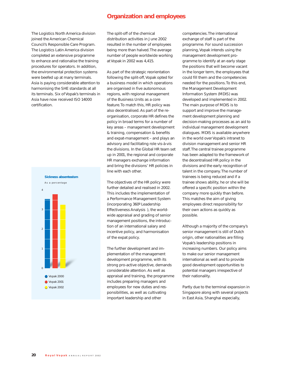#### **Organization and employees**

The Logistics North America division joined the American Chemical Council's Responsible Care Program. The Logistics Latin America division completed an extensive programme to enhance and rationalise the training procedures for operators. In addition, the environmental protection systems were beefed up at many terminals. Asia is paying considerable attention to harmonising the SHE standards at all its terminals. Six of Vopak's terminals in Asia have now received ISO 14000 certification.



The split-off of the chemical distribution activities in June 2002 resulted in the number of employees being more than halved. The average number of people worldwide working at Vopak in 2002 was 4,415.

As part of the strategic reorientation following the split-off, Vopak opted for a business model in which operations are organised in five autonomous regions, with regional management of the Business Units as a core feature. To match this, HR policy was also decentralised. As part of the reorganisation, corporate HR defines the policy in broad terms for a number of key areas – management development & training, compensation & benefits and expat-management – and plays an advisory and facilitating role vis-à-vis the divisions. In the Global HR team set up in 2001, the regional and corporate HR managers exchange information and bring the divisions' HR policies in line with each other.

The objectives of the HR policy were further detailed and realised in 2002. This includes the implementation of a Performance Management System (incorporating 360º Leadership Effectiveness Analysis<sup>®</sup>), the worldwide appraisal and grading of senior management positions, the introduction of an international salary and incentive policy, and harmonisation of the expat policy.

The further development and implementation of the management development programme, with its strong pro-active objective, demands considerable attention. As well as appraisal and training, the programme includes preparing managers and employees for new duties and responsibilities, as well as cultivating important leadership and other

competencies. The international exchange of staff is part of the programme. For sound succession planning, Vopak intends using the management development programme to identify at an early stage the positions that will become vacant in the longer term, the employees that could fill them and the competencies needed for the positions. To this end, the Management Development Information System (MDIS) was developed and implemented in 2002. The main purpose of MDIS is to support and improve the management development planning and decision-making processes as an aid to individual management development dialogues. MDIS is available anywhere in the world over Vopak's intranet to division management and senior HR staff. The central trainee programme has been adapted to the framework of the decentralised HR policy in the divisions and the early recognition of talent in the company. The number of trainees is being reduced and if a trainee shows ability, he or she will be offered a specific position within the company more quickly than before. This matches the aim of giving employees direct responsibility for their own actions as quickly as possible.

Although a majority of the company's senior management is still of Dutch origin, other nationalities are filling Vopak's leadership positions in increasing numbers. Our policy aims to make our senior management international as well and to provide good development opportunities to potential managers irrespective of their nationality.

Partly due to the terminal expansion in Singapore along with several projects in East Asia, Shanghai especially,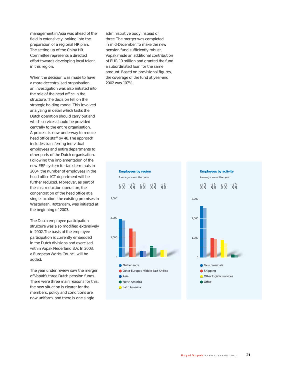management in Asia was ahead of the field in extensively looking into the preparation of a regional HR plan. The setting up of the China HR Committee represents a directed effort towards developing local talent in this region.

When the decision was made to have a more decentralised organisation, an investigation was also initiated into the role of the head office in the structure. The decision fell on the strategic holding model. This involved analysing in detail which tasks the Dutch operation should carry out and which services should be provided centrally to the entire organisation. A process is now underway to reduce head office staff by 48. The approach includes transferring individual employees and entire departments to other parts of the Dutch organisation. Following the implementation of the new ERP system for tank terminals in 2004, the number of employees in the head office ICT department will be further reduced. Moreover, as part of the cost reduction operation, the concentration of the head office at a single location, the existing premises in Westerlaan, Rotterdam, was initiated at the beginning of 2003.

The Dutch employee participation structure was also modified extensively in 2002. The basis of the employee participation is currently embedded in the Dutch divisions and exercised within Vopak Nederland B.V. In 2003, a European Works Council will be added.

The year under review saw the merger of Vopak's three Dutch pension funds. There were three main reasons for this: the new situation is clearer for the members, policy and conditions are now uniform, and there is one single

administrative body instead of three. The merger was completed in mid-December. To make the new pension fund sufficiently robust, Vopak made an additional contribution of EUR 10 million and granted the fund a subordinated loan for the same amount. Based on provisional figures, the coverage of the fund at year-end 2002 was 107%.

3,000

2,000

1,000

0



## **Employees by activity** Average over the year **O** Tank terminals ● Shipping O Other logistic services ● Other 2002<br>2002<br>2002<br>2002<br>2002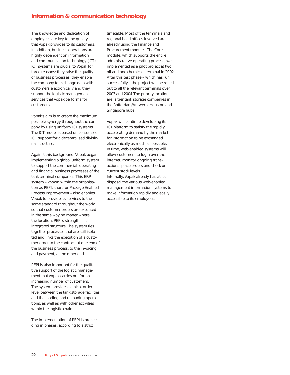#### **Information & communication technology**

The knowledge and dedication of employees are key to the quality that Vopak provides to its customers. In addition, business operations are highly dependent on information and communication technology (ICT). ICT systems are crucial to Vopak for three reasons: they raise the quality of business processes, they enable the company to exchange data with customers electronically and they support the logistic management services that Vopak performs for customers.

Vopak's aim is to create the maximum possible synergy throughout the company by using uniform ICT systems. The ICT model is based on centralised ICT support for a decentralised divisional structure.

Against this background, Vopak began implementing a global uniform system to support the commercial, operating and financial business processes of the tank terminal companies. This ERP system – known within the organisation as PEPI, short for Package Enabled Process Improvement – also enables Vopak to provide its services to the same standard throughout the world, so that customer orders are executed in the same way no matter where the location. PEPI's strength is its integrated structure. The system ties together processes that are still isolated and links the execution of a customer order to the contract, at one end of the business process, to the invoicing and payment, at the other end.

PEPI is also important for the qualitative support of the logistic management that Vopak carries out for an increasing number of customers. The system provides a link at order level between the tank storage facilities and the loading and unloading operations, as well as with other activities within the logistic chain.

The implementation of PEPI is proceeding in phases, according to a strict

timetable. Most of the terminals and regional head offices involved are already using the Finance and Procurement modules. The Core module, which supports the entire administrative-operating process, was implemented as a pilot project at two oil and one chemicals terminal in 2002. After this test phase – which has run successfully – the project will be rolled out to all the relevant terminals over 2003 and 2004. The priority locations are larger tank storage companies in the Rotterdam/Antwerp, Houston and Singapore hubs.

Vopak will continue developing its ICT platform to satisfy the rapidly accelerating demand by the market for information to be exchanged electronically as much as possible. In time, web-enabled systems will allow customers to login over the internet, monitor ongoing transactions, place orders and check on current stock levels.

Internally, Vopak already has at its disposal the various web-enabled management information systems to make information rapidly and easily accessible to its employees.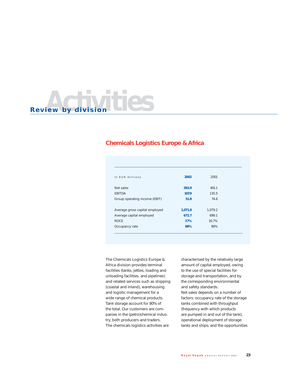

#### **Chemicals Logistics Europe & Africa**

| In FUR millions                | 2002    | 2001    |
|--------------------------------|---------|---------|
| Net sales                      | 393.9   | 401.1   |
| <b>EBITDA</b>                  | 107.9   | 135.5   |
| Group operating income (EBIT)  | 51.8    | 74.6    |
| Average gross capital employed | 1,071.8 | 1.079.2 |
| Average capital employed       | 672.7   | 699.1   |
| <b>ROCE</b>                    | 7.7%    | 10.7%   |
| Occupancy rate                 | 88%     | 90%     |

The Chemicals Logistics Europe & Africa division provides terminal facilities (tanks, jetties, loading and unloading facilities, and pipelines) and related services such as shipping (coastal and inland), warehousing and logistic management for a wide range of chemical products. Tank storage account for 80% of the total. Our customers are companies in the (petro)chemical industry, both producers and traders. The chemicals logistics activities are

characterised by the relatively large amount of capital employed, owing to the use of special facilities for storage and transportation, and by the corresponding environmental and safety standards. Net sales depends on a number of factors: occupancy rate of the storage tanks combined with throughput (frequency with which products are pumped in and out of the tank); operational deployment of storage tanks and ships; and the opportunities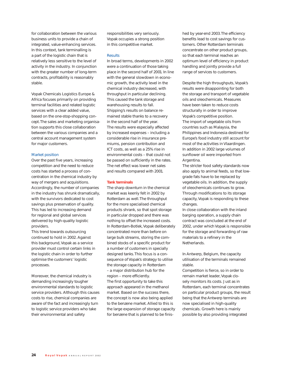for collaboration between the various business units to provide a chain of integrated, value-enhancing services. In this context, tank terminalling is a part of the logistic chain that is relatively less sensitive to the level of activity in the industry. In conjunction with the greater number of long-term contracts, profitability is reasonably stable.

Vopak Chemicals Logistics Europe & Africa focuses primarily on providing terminal facilities and related logistic services with a clear added value, based on the one-stop-shopping concept. The sales and marketing organisation supports this close collaboration between the various companies and a central account management system for major customers.

#### *Market position*

Over the past five years, increasing competition and the need to reduce costs has started a process of concentration in the chemical industry by way of mergers and acquisitions. Accordingly, the number of companies in the industry has shrunk dramatically, with the survivors dedicated to cost savings plus preservation of quality. This has led to increasing demand for regional and global services delivered by high-quality logistic providers.

This trend towards outsourcing continued to hold in 2002. Against this background, Vopak as a service provider must control certain links in the logistic chain in order to further optimise the customers' logistic processes.

Moreover, the chemical industry is demanding increasingly tougher environmental standards to logistic service providers. Although this causes costs to rise, chemical companies are aware of the fact and increasingly turn to logistic service providers who take their environmental and safety

responsibilities very seriously. Vopak occupies a strong position in this competitive market.

#### *Results*

In broad terms, developments in 2002 were a continuation of those taking place in the second half of 2001. In line with the general slowdown in economic growth, the activity level in the chemical industry decreased, with throughput in particular declining. This caused the tank storage and warehousing results to fall. Shipping's results on balance remained stable thanks to a recovery in the second half of the year. The results were especially affected by increased expenses – including a considerable rise in insurance premiums, pension contribution and ICT costs, as well as a 25% rise in environmental costs – that could not be passed on sufficiently in the rates. The net effect was lower net sales and results compared with 2001.

#### **Tank terminals**

The sharp downturn in the chemical market was keenly felt in 2002 by Rotterdam as well. The throughput for the more specialised chemical products shrank, so that spot storage in particular dropped and there was nothing to offset the increased costs. In Rotterdam-Botlek, Vopak deliberately concentrated more than before on large bulk streams, storing the combined stocks of a specific product for a number of customers in specially designed tanks. This focus is a consequence of Vopak's strategy to utilise the storage capacity in Rotterdam – a major distribution hub for the region – more efficiently. The first opportunity to take this approach appeared in the methanol market. Based on the success there, the concept is now also being applied to the benzene market. Allied to this is the large expansion of storage capacity for benzene that is planned to be finis-

hed by year-end 2003. The efficiency benefits lead to cost savings for customers. Other Rotterdam terminals concentrate on other product groups, so that each terminal reaches an optimum level of efficiency in product handling and jointly provide a full range of services to customers.

Despite the high throughputs, Vopak's results were disappointing for both the storage and transport of vegetable oils and oleochemicals. Measures have been taken to reduce costs structurally in order to improve Vopak's competitive position. The import of vegetable oils from countries such as Malaysia, the Philippines and Indonesia destined for Europe's food industry still account for most of the activities in Vlaardingen. In addition in 2002 large volumes of sunflower oil were imported from Argentina.

The stricter food safety standards now also apply to animal feeds, so that lowgrade fats have to be replaced by vegetable oils. In addition, the supply of oleochemicals continues to grow. Through modifications to its storage capacity, Vopak is responding to these changes.

In close collaboration with the inland barging operation, a supply chain contract was concluded at the end of 2002, under which Vopak is responsible for the storage and forwarding of raw materials to a refinery in the Netherlands.

In Antwerp, Belgium, the capacity utilisation of the terminals remained stable.

Competition is fierce, so in order to remain market leader, Vopak closely monitors its costs. Just as in Rotterdam, each terminal concentrates on particular product groups, the result being that the Antwerp terminals are now specialised in high-quality chemicals. Growth here is mainly possible by also providing integrated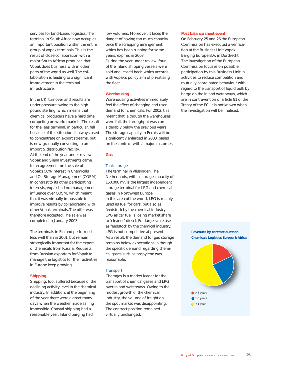services for land-based logistics. The terminal in South Africa now occupies an important position within the entire group of Vopak terminals. This is the result of close collaboration with a major South African producer, that Vopak does business with in other parts of the world as well. The collaboration is leading to a significant improvement in the terminal infrastructure.

In the UK, turnover and results are under pressure owing to the high pound sterling, which means that chemical producers have a hard time competing on world markets. The result for the Tees terminal, in particular, fell because of this situation. It always used to concentrate on export streams, but is now gradually converting to an import & distribution facility. At the end of the year under review, Vopak and Siena Investments came to an agreement on the sale of Vopak's 50% interest in Chemicals and Oil Storage Management (COSM). In contrast to its other participating interests, Vopak had no management influence over COSM, which meant that it was virtually impossible to improve results by collaborating with other Vopak terminals. The offer was therefore accepted. The sale was completed in January 2003.

The terminals in Finland performed less well than in 2001, but remain strategically important for the export of chemicals from Russia. Requests from Russian exporters for Vopak to manage the logistics for their activities in Europe keep growing.

#### **Shipping**

Shipping, too, suffered because of the declining activity level in the chemical industry. In addition, at the beginning of the year there were a great many days when the weather made sailing impossible. Coastal shipping had a reasonable year. Inland barging had

low volumes. Moreover, it faces the danger of having too much capacity once the scrapping arrangement, which has been running for some years, expires in 2003. During the year under review, four of the inland shipping vessels were sold and leased back, which accords with Vopak's policy aim of privatising the fleet.

#### **Warehousing**

Warehousing activities immediately feel the effect of changing end user demand for chemicals. For 2002, this meant that, although the warehouses were full, the throughput was considerably below the previous years. The storage capacity in Pernis will be significantly enlarged in 2003, based on the contract with a major customer.

#### **Gas**

#### *Tank storage*

The terminal in Vlissingen, The Netherlands, with a storage capacity of  $150,000$  m<sup>3</sup>, is the largest independent storage terminal for LPG and chemical gases in Northwest Europe. In this area of the world, LPG is mainly used as fuel for cars, but also as feedstock by the chemical industry. LPG as car fuel is losing market share to 'cleaner' diesel. For large-scale use as feedstock by the chemical industry, LPG is not competitive at present. As a result, the demand for gas storage remains below expectations, although the specific demand regarding chemical gases such as propylene was reasonable.

#### *Transport*

Chemgas is a market leader for the transport of chemical gases and LPG over inland waterways. Owing to the modest growth of the chemical industry, the volume of freight on the spot market was disappointing. The contract position remained virtually unchanged.

#### **Post balance sheet event**

On February 25 and 26 the European Commission has executed a verification at the Business Unit Vopak Barging Europe B.V. in Dordrecht. The investigation of the European Commission focuses on possible participation by this Business Unit in activities to reduce competition and mutually coordinated behaviour with regard to the transport of liquid bulk by barge on the inland waterways, which are in contravention of article 81 of the Treaty of the EC. It is not known when the investigation will be finalised.

#### **Revenues by contract duration Chemicals Logistics Europe & Africa**

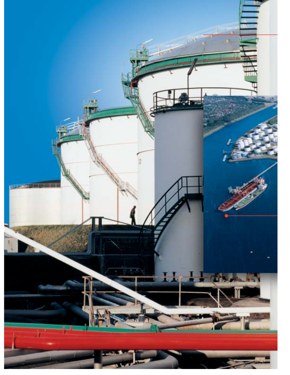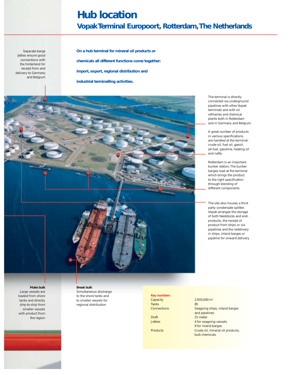## **Hub location**

### **Vopak Terminal Europoort, Rotterdam,The Netherlands**

*Separate barge jetties ensure good connections with the hinterland for receipt from and delivery to Germany and Belgium*

**On a hub terminal for mineral oil products or chemicals all different functions come together: import, export, regional distribution and industrial terminalling activities.**

> *The terminal is directly connected via underground pipelines with other Vopak terminals and with oil refineries and chemical plants both in Rotterdam and in Germany and Belgium*

*A great number of products in various specifications are handled at the terminal: crude oil, fuel oil, gasoil, jet fuel, gasoline, heating oil and nafta*

*Rotterdam is an important bunker station. The bunker barges load at the terminal which brings the product to the right specification through blending of different components*

*The site also houses a third party condensate splitter. Vopak arranges the storage of both feedstocks and endproducts, the receipt of product from ships or via pipelines and the redelivery in ships, inland barges or pipeline for onward delivery*

*Large vessels are loaded from shore tanks and directly ship-to-ship from*

*smaller vessels with product from the region*

*Make bulk*

*Break bulk*

*Simultaneous discharge to the shore tanks and to smaller vessels for regional distribution*

**Key numbers** Capacity 2,933,000 m3 Tanks 85

**Connections** Seagoing ships, inland barges and pipelines Draft 21 meter Jetties 4 for seagoing vessels 9 for inland barges Products Crude oil, mineral oil products, bulk chemicals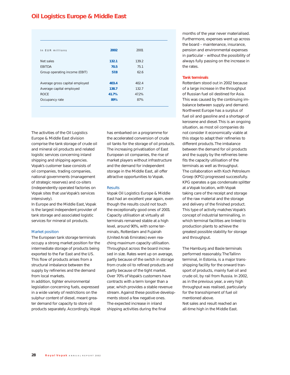#### **Oil Logistics Europe & Middle East**

| In FUR millions                | 2002  | 2001  |
|--------------------------------|-------|-------|
| Net sales                      | 132.1 | 139.2 |
| <b>EBITDA</b>                  | 70.5  | 75.1  |
| Group operating income (EBIT)  | 57.8  | 62.6  |
| Average gross capital employed | 403.4 | 402.4 |
| Average capital employed       | 138.7 | 132.7 |
| <b>ROCE</b>                    | 41.7% | 47.2% |
| Occupancy rate                 | 89%   | 87%   |

The activities of the Oil Logistics Europe & Middle East division comprise the tank storage of crude oil and mineral oil products and related logistic services concerning inland shipping and shipping agencies. Vopak's customer base consists of oil companies, trading companies, national governments (management of strategic reserves) and co-siters (independently operated factories on Vopak sites that use Vopak's services intensively).

In Europe and the Middle East, Vopak is the largest independent provider of tank storage and associated logistic services for mineral oil products.

#### *Market position*

The European tank storage terminals occupy a strong market position for the intermediate storage of products being exported to the Far East and the US. This flow of products arises from a structural imbalance between the supply by refineries and the demand from local markets.

In addition, tighter environmental legislation concerning fuels, expressed in a wide variety of restrictions on the sulphur content of diesel, meant greater demand for capacity to store oil products separately. Accordingly, Vopak has embarked on a programme for the accelerated conversion of crude oil tanks for the storage of oil products. The increasing privatisation of East European oil companies, the rise of market players without infrastructure and the demand for independent storage in the Middle East, all offer attractive opportunities to Vopak.

#### *Results*

Vopak Oil Logistics Europe & Middle East had an excellent year again, even though the results could not touch the exceptionally good ones of 2001. Capacity utilisation at virtually all terminals remained stable at a high level, around 90%, with some terminals, Rotterdam and Fujairah (United Arab Emirates) even reaching maximum capacity utilisation. Throughput across the board increased in size. Rates went up on average, partly because of the switch in storage from crude oil to refined products and partly because of the tight market. Over 70% of Vopak's customers have contracts with a term longer than a year, which provides a stable revenue stream. Against these positive developments stood a few negative ones. The expected increase in inland shipping activities during the final

months of the year never materialised. Furthermore, expenses went up across the board – maintenance, insurance, pension and environmental expenses in particular – without the possibility of always fully passing on the increase in the rates.

#### **Tank terminals**

Rotterdam stood out in 2002 because of a large increase in the throughput of Russian fuel oil destined for Asia. This was caused by the continuing imbalance between supply and demand. Northwest Europe has a surplus of fuel oil and gasoline and a shortage of kerosene and diesel. This is an ongoing situation, as most oil companies do not consider it economically viable at this stage to adapt their refineries to different products. The imbalance between the demand for oil products and the supply by the refineries benefits the capacity utilisation of the terminals as well as throughput. The collaboration with Koch Petroleum Groep (KPG) progressed successfully. KPG operates a gas condensate splitter at a Vopak location, with Vopak taking care of the receipt and storage of the raw material and the storage and delivery of the finished product. This type of activity matches Vopak's concept of industrial terminalling, in which terminal facilities are linked to production plants to achieve the greatest possible stability for storage and throughput.

The Hamburg and Basle terminals performed reasonably. The Tallinn terminal, in Estonia, is a major transshipping facility for the onward transport of products, mainly fuel oil and crude oil, by rail from Russia. In 2002, as in the previous year, a very high throughput was realised, particularly for the transshipment of fuel oil mentioned above.

Net sales and result reached an all-time high in the Middle East.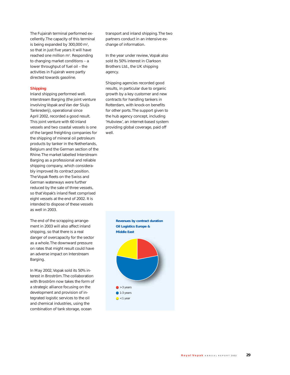The Fujairah terminal performed excellently. The capacity of this terminal is being expanded by 300,000  $\mathsf{m}^3$ , so that in just five years it will have reached one million m<sup>3</sup>. Responding to changing market conditions – a lower throughput of fuel oil – the activities in Fujairah were partly directed towards gasoline.

#### **Shipping**

Inland shipping performed well. Interstream Barging (the joint venture involving Vopak and Van der Sluijs Tankrederij), operational since April 2002, recorded a good result. This joint venture with 60 inland vessels and two coastal vessels is one of the largest freighting companies for the shipping of mineral oil petroleum products by tanker in the Netherlands, Belgium and the German section of the Rhine. The market labelled Interstream Barging as a professional and reliable shipping company, which considerably improved its contract position. The Vopak fleets on the Swiss and German waterways were further reduced by the sale of three vessels, so that Vopak's inland fleet comprised eight vessels at the end of 2002. It is intended to dispose of these vessels as well in 2003.

The end of the scrapping arrangement in 2003 will also affect inland shipping, so that there is a real danger of overcapacity for the sector as a whole. The downward pressure on rates that might result could have an adverse impact on Interstream Barging.

In May 2002, Vopak sold its 50% interest in Broström. The collaboration with Broström now takes the form of a strategic alliance focusing on the development and provision of integrated logistic services to the oil and chemical industries, using the combination of tank storage, ocean

transport and inland shipping. The two partners conduct in an intensive exchange of information.

In the year under review, Vopak also sold its 50% interest in Clarkson Brothers Ltd., the UK shipping agency.

Shipping agencies recorded good results, in particular due to organic growth by a key customer and new contracts for handling tankers in Rotterdam, with knock-on benefits for other ports. The support given to the hub agency concept, including 'Hubview', an internet-based system providing global coverage, paid off well.

> **Revenues by contract duration Oil Logistics Europe & Middle East**

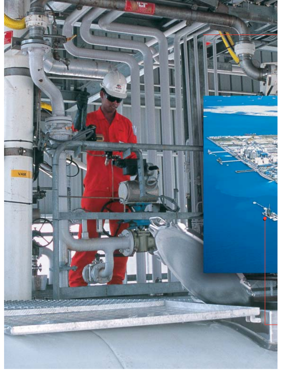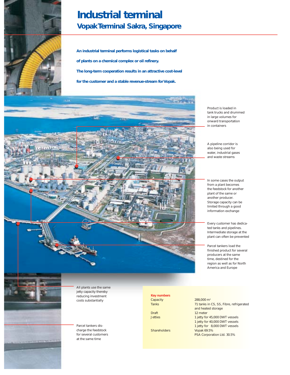

**An industrial terminal performs logistical tasks on behalf of plants on a chemical complex or oil refinery. The long-term cooperation results in an attractive cost-level for the customer and a stable revenue-stream for Vopak.**

> *Product is loaded in tank trucks and drummed in large volumes for onward transportation in containers*

*A pipeline corridor is also being used for water, industrial gases and waste streams*

*In some cases the output from a plant becomes the feedstock for another plant of the same or another producer. Storage capacity can be limited through a good information exchange*

*Every customer has dedicated tanks and pipelines. Intermediate storage at the plant can often be prevented*

*Parcel tankers load the finished product for several producers at the same time, destined for the region as well as for North America and Europe*



*All plants use the same jetty capacity thereby reducing investment costs substantially*

*Parcel tankers discharge the feedstock for several customers at the same time* 

#### **Key numbers** Capacity 288,000 m3

Tanks 71 tanks in CS, SS, Fibre, refrigerated and heated storage Draft 12 meter Jetties 1 jetty for 45,000 DWT vessels 1 jetty for 40,000 DWT vessels 1 jetty for 8,000 DWT vessels Shareholders Vopak 69.5% PSA Corporation Ltd. 30.5%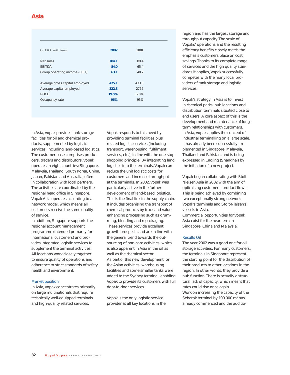### **Asia**

| In FUR millions                | 2002  | 2001  |
|--------------------------------|-------|-------|
| Net sales                      | 104.1 | 89.4  |
| <b>EBITDA</b>                  | 84.0  | 65.4  |
| Group operating income (EBIT)  | 63.1  | 48.7  |
| Average gross capital employed | 475.1 | 433.3 |
| Average capital employed       | 322.8 | 277.7 |
| <b>ROCE</b>                    | 19.5% | 17.5% |
| Occupancy rate                 | 96%   | 95%   |

In Asia, Vopak provides tank storage facilities for oil and chemical products, supplemented by logistic services, including land-based logistics. The customer base comprises producers, traders and distributors. Vopak operates in eight countries: Singapore, Malaysia, Thailand, South Korea, China, Japan, Pakistan and Australia, often in collaboration with local partners. The activities are coordinated by the regional head office in Singapore. Vopak Asia operates according to a network model, which means all customers receive the same quality of service.

In addition, Singapore supports the regional account management programme (intended primarily for international customers) and provides integrated logistic services to supplement the terminal activities. All locations work closely together to ensure quality of operations and adherence to strict standards of safety, health and environment.

#### *Market position*

In Asia, Vopak concentrates primarily on large multinationals that require technically well-equipped terminals and high-quality related services.

Vopak responds to this need by providing terminal facilities plus related logistic services (including transport, warehousing, fulfilment services, etc.), in line with the one-stop shopping principle. By integrating land logistics into the terminals, Vopak can reduce the unit logistic costs for customers and increase throughput at the terminals. In 2002, Vopak was particularly active in the further development of land-based logistics. This is the final link in the supply chain. It includes organising the transport of chemical products by truck and value enhancing processing such as drumming, blending and repackaging. These services provide excellent growth prospects and are in line with the general trend towards the outsourcing of non-core activities, which is also apparent in Asia in the oil as well as the chemical sector. As part of this new development for the Asian activities, warehousing facilities and some smaller tanks were added to the Sydney terminal, enabling Vopak to provide its customers with full door-to-door services.

Vopak is the only logistic service provider at all key locations in the

region and has the largest storage and throughput capacity. The scale of Vopaks' operations and the resulting efficiency benefits closely match the emphasis customers place on cost savings. Thanks to its complete range of services and the high quality standards it applies, Vopak successfully competes with the many local providers of tank storage and logistic services.

Vopak's strategy in Asia is to invest in chemical parks, hub locations and distribution terminals situated close to end users. A core aspect of this is the development and maintenance of longterm relationships with customers. In Asia, Vopak applies the concept of industrial terminalling on a large scale. It has already been successfully implemented in Singapore, Malaysia, Thailand and Pakistan, and is being expressed in Caojing (Shanghai) by the initiation of a new project.

Vopak began collaborating with Stolt-Nielsen Asia in 2002 with the aim of optimising customers' product flows. This is being achieved by combining two exceptionally strong networks: Vopak's terminals and Stolt-Nielsen's vessels in Asia.

Commercial opportunities for Vopak Asia exist for the near term in Singapore, China and Malaysia.

#### *Results Oil*

The year 2002 was a good one for oil storage activities. For many customers, the terminals in Singapore represent the starting point for the distribution of their products to other locations in the region. In other words, they provide a hub function. There is actually a structural lack of capacity, which meant that rates could rise once again. Work on increasing the capacity of the Sebarok terminal by 100,000 m<sup>3</sup> has already commenced and the additio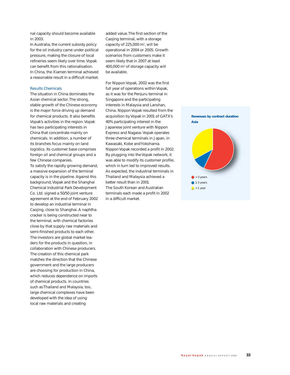nal capacity should become available in 2003.

In Australia, the current subsidy policy for the oil industry came under political pressure, making the closure of local refineries seem likely over time. Vopak can benefit from this rationalisation. In China, the Xiamen terminal achieved a reasonable result in a difficult market.

#### *Results Chemicals*

The situation in China dominates the Asian chemical sector. The strong, stable growth of the Chinese economy is the major force driving up demand for chemical products. It also benefits Vopak's activities in the region. Vopak has two participating interests in China that concentrate mainly on chemicals. In addition, a number of its branches focus mainly on land logistics. Its customer base comprises foreign oil and chemical groups and a few Chinese companies.

To satisfy the rapidly growing demand, a massive expansion of the terminal capacity is in the pipeline. Against this background, Vopak and the Shanghai Chemical Industrial Park Development Co. Ltd. signed a 50/50 joint venture agreement at the end of February 2002 to develop an industrial terminal in Caojing, close to Shanghai. A naphtha cracker is being constructed near to the terminal, with chemical factories close by that supply raw materials and semi-finished products to each other. The investors are global market leaders for the products in question, in collaboration with Chinese producers. The creation of this chemical park matches the direction that the Chinese government and the large producers are choosing for production in China, which reduces dependence on imports of chemical products. In countries such as Thailand and Malaysia, too, large chemical complexes have been developed with the idea of using local raw materials and creating

added value. The first section of the Caojing terminal, with a storage capacity of 225,000  $\mathsf{m}^3$ , will be operational in 2004 or 2005. Growth scenarios from customers make it seem likely that in 2007 at least 400,000 m3 of storage capacity will be available.

For Nippon Vopak, 2002 was the first full year of operations within Vopak, as it was for the Penjuru terminal in Singapore and the participating interests in Malaysia and Lanshan, China. Nippon Vopak resulted from the acquisition by Vopak in 2001 of GATX's 40% participating interest in the Japanese joint venture with Nippon Express and Nagase. Vopak operates three chemical terminals in Japan, in Kawasaki, Kobe and Yokohama. Nippon Vopak recorded a profit in 2002. By plugging into the Vopak network, it was able to modify its customer profile, which in turn led to improved results. As expected, the industrial terminals in Thailand and Malaysia achieved a better result than in 2001. The South Korean and Australian terminals each made a profit in 2002 in a difficult market.

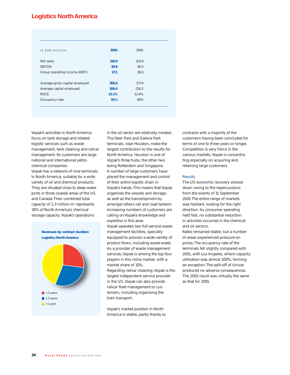#### **Logistics North America**

| In EUR millions                | 2002  | 2001  |
|--------------------------------|-------|-------|
| Net sales                      | 118.0 | 114.9 |
| <b>EBITDA</b>                  | 39.8  | 40.5  |
| Group operating income (EBIT)  | 27.1  | 28.0  |
| Average gross capital employed | 365.6 | 377.4 |
| Average capital employed       | 206.6 | 226.2 |
| <b>ROCE</b>                    | 13.1% | 12.4% |
| Occupancy rate                 | 91%   | 93%   |

Vopak's activities in North America focus on tank storage and related logistic services such as waste management, tank cleaning and railcar management. Its customers are large national and international petrochemical companies. Vopak has a network of nine terminals

in North America, suitable for a wide variety of oil and chemical products. They are situated close to deep-water ports in three coastal areas of the US and Canada. Their combined total capacity of 2.3 million  $m<sup>3</sup>$  represents 30% of North America's chemical storage capacity. Vopak's operations



in the oil sector are relatively modest. The Deer Park and Galena Park terminals, near Houston, make the largest contribution to the results for North America. Houston is one of Vopak's three hubs, the other two being Rotterdam and Singapore. A number of large customers have placed the management and control of their entire logistic chain in Vopak's hands. This means that Vopak organises the vessels and storage, as well as the transshipment by amongst others rail and road tankers. Increasing numbers of customers are calling on Vopak's knowledge and expertise in this area.

Vopak operates two full-service waste management facilities, specially equipped to process a wide variety of product flows, including waste water. As a provider of waste management services, Vopak is among the top four players in this niche market, with a market share of 10%.

Regarding railcar cleaning, Vopak is the largest independent service provider in the US. Vopak can also provide railcar fleet management to customers, including organising the train transport.

Vopak's market position in North America is stable, partly thanks to

contracts with a majority of the customers having been concluded for terms of one to three years or longer. Competition is very fierce in the various markets. Vopak is concentrating especially on acquiring and retaining large customers.

#### *Results*

The US economic recovery slowed down owing to the repercussions from the events of 11 September 2001. The entire range of markets was hesitant, looking for the right direction. As consumer spending held fast, no substantial reduction in activities occurred in the chemical and oil sectors.

Rates remained stable, but a number of areas experienced pressure on prices. The occupancy rate of the terminals fell slightly compared with 2001, with Los Angeles, where capacity utilisation was almost 100%, forming an exception. The split-off of Univar produced no adverse consequences. The 2002 result was virtually the same as that for 2001.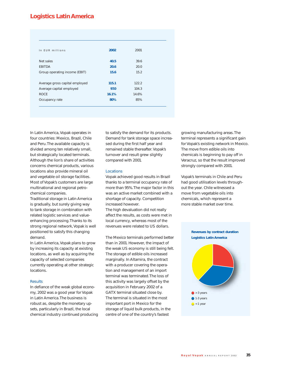# **Logistics Latin America**

| In EUR millions                | 2002  | 2001  |
|--------------------------------|-------|-------|
| Net sales                      | 40.5  | 39.6  |
| <b>EBITDA</b>                  | 20.6  | 20.0  |
| Group operating income (EBIT)  | 15.6  | 15.2  |
| Average gross capital employed | 115.1 | 122.2 |
| Average capital employed       | 97.0  | 104.3 |
| <b>ROCE</b>                    | 16.1% | 14.6% |
| Occupancy rate                 | 80%   | 85%   |

In Latin America, Vopak operates in four countries: Mexico, Brazil, Chile and Peru. The available capacity is divided among ten relatively small, but strategically located terminals. Although the lion's share of activities concerns chemical products, various locations also provide mineral oil and vegetable oil storage facilities. Most of Vopak's customers are large multinational and regional petrochemical companies.

Traditional storage in Latin America is gradually, but surely giving way to tank storage in combination with related logistic services and valueenhancing processing. Thanks to its strong regional network, Vopak is well positioned to satisfy this changing demand.

In Latin America, Vopak plans to grow by increasing its capacity at existing locations, as well as by acquiring the capacity of selected companies currently operating at other strategic locations.

#### *Results*

In defiance of the weak global economy, 2002 was a good year for Vopak in Latin America. The business is robust as, despite the monetary upsets, particularly in Brazil, the local chemical industry continued producing to satisfy the demand for its products. Demand for tank storage space increased during the first half year and remained stable thereafter. Vopak's turnover and result grew slightly compared with 2001.

## *Locations*

Vopak achieved good results in Brazil thanks to a terminal occupancy rate of more than 95%. The major factor in this was an active market combined with a shortage of capacity. Competition increased however.

The high devaluation did not really affect the results, as costs were met in local currency, whereas most of the revenues were related to US dollars.

The Mexico terminals performed better than in 2001. However, the impact of the weak US economy is still being felt. The storage of edible oils increased marginally. In Altamira, the contract with a producer covering the operation and management of an import terminal was terminated. The loss of this activity was largely offset by the acquisition in February 2002 of a GATX terminal situated close by. The terminal is situated in the most important port in Mexico for the storage of liquid bulk products, in the centre of one of the country's fastest

growing manufacturing areas. The terminal represents a significant gain for Vopak's existing network in Mexico. The move from edible oils into chemicals is beginning to pay off in Veracruz, so that the result improved strongly compared with 2001.

Vopak's terminals in Chile and Peru had good utilisation levels throughout the year. Chile witnessed a move from vegetable oils into chemicals, which represent a more stable market over time.

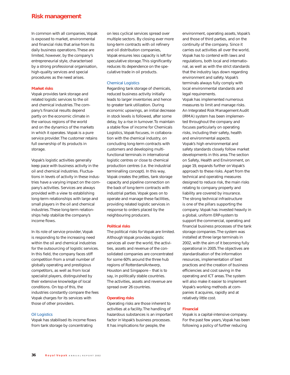# **Risk management**

In common with all companies, Vopak is exposed to market, environmental and financial risks that arise from its daily business operations. These are limited, however, by the company's entrepreneurial style, characterised by a strong professional organisation, high-quality services and special procedures as the need arises.

### **Market risks**

Vopak provides tank storage and related logistic services to the oil and chemical industries. The company's financial results depend partly on the economic climate in the various regions of the world and on the dynamics of the markets in which it operates. Vopak is a pure service provider. The customer retains full ownership of its products in storage.

Vopak's logistic activities generally keep pace with business activity in the oil and chemical industries. Fluctuations in levels of activity in these industries have a varying impact on the company's activities. Services are always provided with a view to establishing long-term relationships with large and small players in the oil and chemical industries. These long-term relationships help stabilize the company's income flows.

In its role of service provider, Vopak is responding to the increasing need within the oil and chemical industries for the outsourcing of logistic services. In this field, the company faces stiff competition from a small number of globally operating and prestigious competitors, as well as from local specialist players, distinguished by their extensive knowledge of local conditions. On top of this, the industries constantly compare the fees Vopak charges for its services with those of other providers.

#### *Oil Logistics*

Vopak has stabilised its income flows from tank storage by concentrating

on less cyclical services spread over multiple sectors. By closing ever more long-term contracts with oil refinery and oil distribution companies, Vopak ensures less capacity is left for speculative storage. This significantly reduces its dependence on the speculative trade in oil products.

## *Chemical Logistics*

Regarding tank storage of chemicals, reduced business activity initially leads to larger inventories and hence to greater tank utilization. During economic upswings, an initial decrease in stock levels is followed, after some delay, by a rise in turnover. To maintain a stable flow of income for Chemicals Logistics, Vopak focuses, in collaboration with the chemical industry, on concluding long-term contracts with customers and developing multifunctional terminals in international logistic centres or close to chemical production centres (i.e. the industrial terminalling concept). In this way, Vopak creates the jetties, tank storage capacity and pipeline connection on the back of long-term contracts with industrial parties. Vopak goes on to operate and manage these facilities, providing related logistic services in response to orders placed by the neighbouring producers.

#### **Political risks**

The political risks for Vopak are limited. Although Vopak provides logistic services all over the world, the activities, assets and revenue of the consolidated companies are concentrated for some 60% around the three hub regions of Rotterdam/Antwerp, Houston and Singapore – that is to say, in politically stable countries. The activities, assets and revenue are spread over 26 countries.

#### **Operating risks**

Operating risks are those inherent to activities at a facility. The handling of hazardous substances is an important factor in Vopak's business processes. It has implications for people, the

environment, operating assets, Vopak's and those of third parties, and on the continuity of the company. Since it carries out activities all over the world, Vopak has to contend with laws and regulations, both local and international, as well as with the strict standards that the industry lays down regarding environment and safety. Vopak's terminals always fully comply with local environmental standards and legal requirements.

Vopak has implemented numerous measures to limit and manage risks. An Integrated Risk Management Audit (IRMA) system has been implemented throughout the company and focuses particularly on operating risks, including their safety, health and environmental aspects. Vopak's high environmental and safety standards closely follow market developments in this area. The section on Safety, Health and Environment, on page 19, expands further on Vopak's approach to these risks. Apart from the technical and operating measures designed to reduce risk, the main risks relating to company property and liability are covered by insurance. The strong technical infrastructure is one of the pillars supporting the company. Vopak has invested heavily in a global, uniform ERP-system to support the commercial, operating and financial business processes of the tank storage companies. The system was installed at three large terminals in 2002, with the aim of it becoming fully operational in 2005. The objectives are standardisation of the information resources, implementation of best practices and the creation of business efficiencies and cost saving in the operating and ICT areas. The system will also make it easier to implement Vopak's working methods at companies it acquires, rapidly and at relatively little cost.

#### **Financial**

Vopak is a capital-intensive company. For the past few years, Vopak has been following a policy of further reducing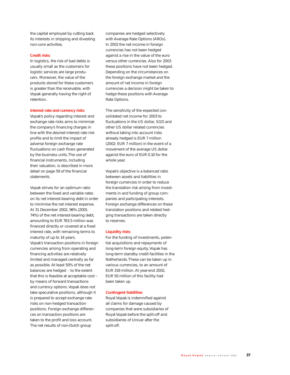the capital employed by cutting back its interests in shipping and divesting non-core activities.

# **Credit risks**

In logistics, the risk of bad debts is usually small as the customers for logistic services are large producers. Moreover, the value of the products stored for these customers is greater than the receivable, with Vopak generally having the right of retention.

## **Interest rate and currency risks**

Vopak's policy regarding interest and exchange rate risks aims to minimize the company's financing charges in line with the desired interest rate risk profile and to limit the impact of adverse foreign exchange rate fluctuations on cash flows generated by the business units. The use of financial instruments, including their valuation, is described in more detail on page 59 of the financial statements.

Vopak strives for an optimum ratio between the fixed and variable rates on its net interest-bearing debt in order to minimise the net interest expense. At 31 December 2002, 96% (2001: 74%) of the net interest-bearing debt, amounting to EUR 763.5 million was financed directly or covered at a fixed interest rate, with remaining terms to maturity of up to 14 years. Vopak's transaction positions in foreign currencies arising from operating and financing activities are relatively limited and managed centrally as far as possible. At least 50% of the net balances are hedged - to the extent that this is feasible at acceptable cost – by means of forward transactions and currency options. Vopak does not take speculative positions, although it is prepared to accept exchange rate risks on non-hedged transaction positions. Foreign exchange differences on transaction positions are taken to the profit and loss account. The net results of non-Dutch group

companies are hedged selectively with Average Rate Options (AROs). In 2002 the net income in foreign currencies has not been hedged against a rise in the value of the euro versus other currencies. Also for 2003 these positions have not been hedged. Depending on the circumstances on the foreign exchange market and the amount of net income in foreign currencies a decision might be taken to hedge these positions with Average Rate Options.

The sensitivity of the expected consolidated net income for 2003 to fluctuations in the US dollar, SGD and other US dollar related currencies without taking into account risks already hedged is EUR 7 million (2002: EUR 7 million) in the event of a movement of the average US dollar against the euro of EUR 0.10 for the whole year.

Vopak's objective is a balanced ratio between assets and liabilities in foreign currencies in order to reduce the translation risk arising from investments in and funding of group companies and participating interests. Foreign exchange differences on these translation positions and related hedging transactions are taken directly to reserves.

## **Liquidity risks**

For the funding of investments, potential acquisitions and repayments of long-term foreign equity, Vopak has long-term standby credit facilities in the Netherlands. These can be taken up in various currencies, to an amount of EUR 319 million. At year-end 2002, EUR 50 million of this facility had been taken up.

#### **Contingent liabilities**

Royal Vopak is indemnified against all claims for damage caused by companies that were subsidiaries of Royal Vopak before the split-off and subsidiaries of Univar after the split-off.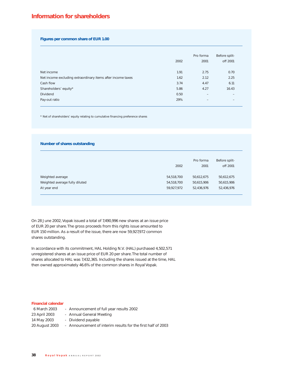#### **Figures per common share of EUR 1.00**

|                                                             | 2002 | Pro forma<br>2001        | Before split-<br>off 2001 |
|-------------------------------------------------------------|------|--------------------------|---------------------------|
| Net income                                                  | 1.91 | 2.75                     | 0.70                      |
| Net income excluding extraordinary items after income taxes | 1.62 | 2.12                     | 2.25                      |
| Cash flow                                                   | 3.74 | 4.47                     | 6.11                      |
| Shareholders' equity*                                       | 5.86 | 4.27                     | 16.43                     |
| <b>Dividend</b>                                             | 0.50 | $\overline{\phantom{a}}$ |                           |
| Pay-out ratio                                               | 29%  | $\overline{\phantom{0}}$ |                           |

*\* Net of shareholders' equity relating to cumulative financing preference shares*

# **Number of shares outstanding**

|                                | 2002       | Pro forma<br>2001 | Before split-<br>off 2001 |
|--------------------------------|------------|-------------------|---------------------------|
| Weighted average               | 54,518,700 | 50,612,675        | 50,612,675                |
| Weighted average fully diluted | 54,518,700 | 50,615,906        | 50,615,906                |
| At year end                    | 59,927,972 | 52,436,976        | 52,436,976                |

On 28 June 2002, Vopak issued a total of 7,490,996 new shares at an issue price of EUR 20 per share. The gross proceeds from this rights issue amounted to EUR 150 million. As a result of the issue, there are now 59,927,972 common shares outstanding.

In accordance with its commitment, HAL Holding N.V. (HAL) purchased 4,502,571 unregistered shares at an issue price of EUR 20 per share. The total number of shares allocated to HAL was 7,432,365. Including the shares issued at the time, HAL then owned approximately 46.6% of the common shares in Royal Vopak.

#### **Financial calendar**

| 6 March 2003   | - Announcement of full year results 2002                     |
|----------------|--------------------------------------------------------------|
| 23 April 2003  | - Annual General Meeting                                     |
| 14 May 2003    | - Dividend payable                                           |
| 20 August 2003 | - Announcement of interim results for the first half of 2003 |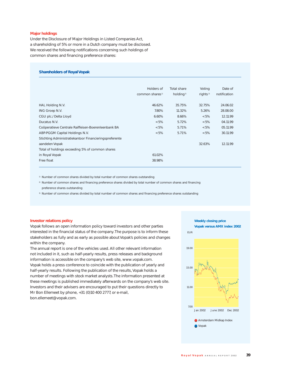# **Major holdings**

Under the Disclosure of Major Holdings in Listed Companies Act, a shareholding of 5% or more in a Dutch company must be disclosed. We received the following notifications concerning such holdings of common shares and financing preference shares:

#### **Shareholders of Royal Vopak**

|                                                        | Holders of<br>common shares <sup>1)</sup> | <b>Total share</b><br>holding <sup>2)</sup> | Voting<br>rights $3$ | Date of<br>notification |
|--------------------------------------------------------|-------------------------------------------|---------------------------------------------|----------------------|-------------------------|
| HAL Holding N.V.                                       | 46.62%                                    | 35.75%                                      | 32.75%               | 24.06.02                |
| ING Groep N.V.                                         | 7.80%                                     | 11.32%                                      | 5.26%                | 28.08.00                |
| CGU plc./ Delta Lloyd                                  | 6.60%                                     | 8.66%                                       | $< 5\%$              | 12.11.99                |
| Ducatus N.V.                                           | $< 5\%$                                   | 5.72%                                       | $< 5\%$              | 04.11.99                |
| Coöperatieve Centrale Raiffeisen-Boerenleenbank BA     | $< 5\%$                                   | 5.71%                                       | $< 5\%$              | 05.11.99                |
| ABP-PGGM Capital Holdings N.V.                         | $<$ 5%                                    | 5.71%                                       | $< 5\%$              | 30.11.99                |
| Stichting Administratiekantoor Financieringspreferente |                                           |                                             |                      |                         |
| aandelen Vopak                                         |                                           |                                             | 32.63%               | 12.11.99                |
| Total of holdings exceeding 5% of common shares        |                                           |                                             |                      |                         |
| in Royal Vopak                                         | 61.02%                                    |                                             |                      |                         |
| Free float                                             | 38.98%                                    |                                             |                      |                         |

*1) Number of common shares divided by total number of common shares outstanding*

*2) Number of common shares and financing preference shares divided by total number of common shares and financing preference shares outstanding*

*3) Number of common shares divided by total number of common shares and financing preference shares outstanding*

#### **Investor relations policy**

Vopak follows an open information policy toward investors and other parties interested in the financial status of the company. The purpose is to inform these stakeholders as fully and as early as possible about Vopak's policies and changes within the company.

The annual report is one of the vehicles used. All other relevant information not included in it, such as half-yearly results, press releases and background information is accessible on the company's web site, www.vopak.com. Vopak holds a press conference to coincide with the publication of yearly and half-yearly results. Following the publication of the results, Vopak holds a number of meetings with stock market analysts. The information presented at these meetings is published immediately afterwards on the company's web site. Investors and their advisers are encouraged to put their questions directly to Mr Bon Ellemeet by phone, +31 (0)10 400 2777, or e-mail, bon.ellemeet@vopak.com.



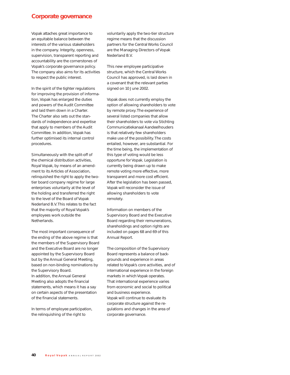# **Corporate governance**

Vopak attaches great importance to an equitable balance between the interests of the various stakeholders in the company. Integrity, openness, supervision, transparent reporting and accountability are the cornerstones of Vopak's corporate governance policy. The company also aims for its activities to respect the public interest.

In the spirit of the tighter regulations for improving the provision of information, Vopak has enlarged the duties and powers of the Audit Committee and laid them down in a Charter. The Charter also sets out the standards of independence and expertise that apply to members of the Audit Committee. In addition, Vopak has further optimised its internal control procedures.

Simultaneously with the split-off of the chemical distribution activities, Royal Vopak, by means of an amendment to its Articles of Association, relinquished the right to apply the twotier board company regime for large enterprises voluntarily at the level of the holding and transferred the right to the level of the Board of Vopak Nederland B.V. This relates to the fact that the majority of Royal Vopak's employees work outside the Netherlands.

The most important consequence of the ending of the above regime is that the members of the Supervisory Board and the Executive Board are no longer appointed by the Supervisory Board but by the Annual General Meeting, based on non-binding nominations by the Supervisory Board. In addition, the Annual General Meeting also adopts the financial statements, which means it has a say on certain aspects of the presentation of the financial statements.

In terms of employee participation, the relinquishing of the right to

voluntarily apply the two-tier structure regime means that the discussion partners for the Central Works Council are the Managing Directors of Vopak Nederland B.V.

This new employee participative structure, which the Central Works Council has approved, is laid down in a covenant that the relevant parties signed on 10 June 2002.

Vopak does not currently employ the option of allowing shareholders to vote by remote proxy. The experience of several listed companies that allow their shareholders to vote via Stichting Communicatiekanaal Aandeelhouders is that relatively few shareholders make use of the possibility. The costs entailed, however, are substantial. For the time being, the implementation of this type of voting would be less opportune for Vopak. Legislation is currently being drawn up to make remote voting more effective, more transparent and more cost efficient. After the legislation has been passed, Vopak will reconsider the issue of allowing shareholders to vote remotely.

Information on members of the Supervisory Board and the Executive Board regarding their remunerations, shareholdings and option rights are included on pages 68 and 69 of this Annual Report.

The composition of the Supervisory Board represents a balance of backgrounds and experience in areas related to Vopak's core activities, and of international experience in the foreign markets in which Vopak operates. That international experience varies from economic and social to political and business experience. Vopak will continue to evaluate its corporate structure against the regulations and changes in the area of corporate governance.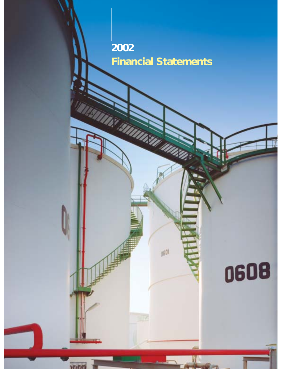

**JEOI** 

d.

 $\overline{1}$ 

**REAL PROPERTY AND REAL PROPERTY** 

# 0608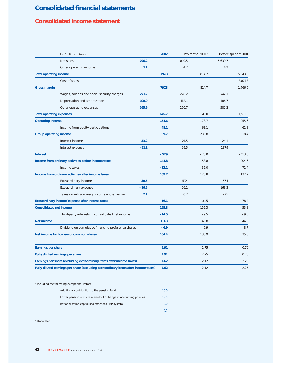# **Consolidated financial statements**

# **Consolidated income statement**

|                                     | In EUR millions                                                                     |         | 2002    | Pro forma 2001 <sup>2)</sup> |         | Before split-off 2001 |          |
|-------------------------------------|-------------------------------------------------------------------------------------|---------|---------|------------------------------|---------|-----------------------|----------|
|                                     | Net sales                                                                           | 796.2   |         | 810.5                        |         | 5,639.7               |          |
|                                     | Other operating income                                                              | 1.1     |         | 4.2                          |         | 4.2                   |          |
| <b>Total operating income</b>       |                                                                                     |         | 797.3   |                              | 814.7   |                       | 5,643.9  |
|                                     | Cost of sales                                                                       |         |         |                              |         |                       | 3,877.3  |
| <b>Gross margin</b>                 |                                                                                     |         | 797.3   |                              | 814.7   |                       | 1,766.6  |
|                                     | Wages, salaries and social security charges                                         | 271.2   |         | 278.2                        |         | 742.1                 |          |
|                                     | Depreciation and amortization                                                       | 108.9   |         | 112.1                        |         | 186.7                 |          |
|                                     | Other operating expenses                                                            | 265.6   |         | 250.7                        |         | 582.2                 |          |
| <b>Total operating expenses</b>     |                                                                                     |         | 645.7   |                              | 641.0   |                       | 1,511.0  |
| <b>Operating income</b>             |                                                                                     |         | 151.6   |                              | 173.7   |                       | 255.6    |
|                                     | Income from equity participations                                                   |         | 48.1    |                              | 63.1    |                       | 62.8     |
| Group operating income <sup>1</sup> |                                                                                     |         | 199.7   |                              | 236.8   |                       | 318.4    |
|                                     | Interest income                                                                     | 33.2    |         | 21.5                         |         | 24.1                  |          |
|                                     | Interest expense                                                                    | $-91.1$ |         | $-99.5$                      |         | $-137.9$              |          |
| <b>Interest</b>                     |                                                                                     |         | $-57.9$ |                              | $-78.0$ |                       | $-113.8$ |
|                                     | Income from ordinary activities before income taxes                                 |         | 141.8   |                              | 158.8   |                       | 204.6    |
|                                     | Income taxes                                                                        |         | $-32.1$ |                              | $-35.0$ |                       | $-72.4$  |
|                                     | Income from ordinary activities after income taxes                                  |         | 109.7   |                              | 123.8   |                       | 132.2    |
|                                     | <b>Extraordinary income</b>                                                         | 30.5    |         | 57.4                         |         | 57.4                  |          |
|                                     | Extraordinary expense                                                               | $-16.5$ |         | $-26.1$                      |         | $-163.3$              |          |
|                                     | Taxes on extraordinary income and expense                                           | 2.1     |         | 0.2                          |         | 27.5                  |          |
|                                     | Extraordinary income/expense after income taxes                                     |         | 16.1    |                              | 31.5    |                       | $-78.4$  |
| <b>Consolidated net income</b>      |                                                                                     |         | 125.8   |                              | 155.3   |                       | 53.8     |
|                                     | Third-party interests in consolidated net income                                    |         | $-14.5$ |                              | $-9.5$  |                       | $-9.5$   |
| <b>Net income</b>                   |                                                                                     |         | 111.3   |                              | 145.8   |                       | 44.3     |
|                                     | Dividend on cumulative financing preference shares                                  |         | $-6.9$  |                              | $-6.9$  |                       | $-8.7$   |
|                                     | Net income for holders of common shares                                             |         | 104.4   |                              | 138.9   |                       | 35.6     |
| <b>Earnings per share</b>           |                                                                                     |         | 1.91    |                              | 2.75    |                       | 0.70     |
|                                     | <b>Fully diluted earnings per share</b>                                             |         | 1.91    |                              | 2.75    |                       | 0.70     |
|                                     | Earnings per share (excluding extraordinary items after income taxes)               |         | 1.62    |                              | 2.12    |                       | 2.25     |
|                                     | Fully diluted earnings per share (excluding extraordinary items after income taxes) |         | 1.62    |                              | 2.12    |                       | 2.25     |
|                                     |                                                                                     |         |         |                              |         |                       |          |

*1) Including the following exceptional items:*

| Additional contribution to the pension fund                        | $-10.0$ |
|--------------------------------------------------------------------|---------|
| Lower pension costs as a result of a change in accounting policies | 19.5    |
| Rationalisation capitalised expenses ERP system                    | $-9.0$  |
|                                                                    | 0.5     |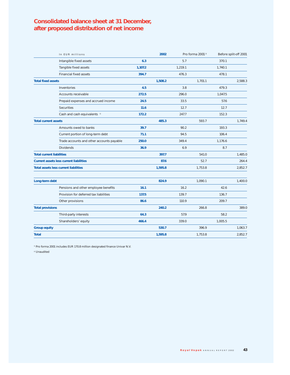# **Consolidated balance sheet at 31 December, after proposed distribution of net income**

|                                  | In EUR millions                                |         | 2002    |         | Pro forma 2001 <sup>2)</sup> | Before split-off 2001 |         |
|----------------------------------|------------------------------------------------|---------|---------|---------|------------------------------|-----------------------|---------|
|                                  | Intangible fixed assets                        | 6.3     |         | 5.7     |                              | 370.1                 |         |
|                                  | Tangible fixed assets                          | 1,107.2 |         | 1,219.1 |                              | 1,740.1               |         |
|                                  | <b>Financial fixed assets</b>                  | 394.7   |         | 476.3   |                              | 478.1                 |         |
| <b>Total fixed assets</b>        |                                                |         | 1,508.2 |         | 1,701.1                      |                       | 2,588.3 |
|                                  | Inventories                                    | 4.5     |         | 3.8     |                              | 479.3                 |         |
|                                  | Accounts receivable                            | 272.5   |         | 296.0   |                              | 1,047.5               |         |
|                                  | Prepaid expenses and accrued income            | 24.5    |         | 33.5    |                              | 57.6                  |         |
|                                  | <b>Securities</b>                              | 11.6    |         | 12.7    |                              | 12.7                  |         |
|                                  | Cash and cash equivalents <sup>1)</sup>        | 172.2   |         | 247.7   |                              | 152.3                 |         |
| <b>Total current assets</b>      |                                                |         | 485.3   |         | 593.7                        |                       | 1,749.4 |
|                                  | Amounts owed to banks                          | 39.7    |         | 90.2    |                              | 193.3                 |         |
|                                  | Current portion of long-term debt              | 71.1    |         | 94.5    |                              | 106.4                 |         |
|                                  | Trade accounts and other accounts payable      | 250.0   |         | 349.4   |                              | 1,176.6               |         |
|                                  | <b>Dividends</b>                               | 36.9    |         | 6.9     |                              | 8.7                   |         |
| <b>Total current liabilities</b> |                                                |         | 397.7   |         | 541.0                        |                       | 1,485.0 |
|                                  | <b>Current assets less current liabilities</b> |         | 87.6    |         | 52.7                         |                       | 264.4   |
|                                  | <b>Total assets less current liabilities</b>   |         | 1,595.8 |         | 1,753.8                      |                       | 2,852.7 |
| Long-term debt                   |                                                |         | 824.9   |         | 1,090.1                      |                       | 1,400.0 |
|                                  | Pensions and other employee benefits           | 16.1    |         | 16.2    |                              | 42.6                  |         |
|                                  | Provision for deferred tax liabilities         | 137.5   |         | 139.7   |                              | 136.7                 |         |
|                                  | Other provisions                               | 86.6    |         | 110.9   |                              | 209.7                 |         |
| <b>Total provisions</b>          |                                                |         | 240.2   |         | 266.8                        |                       | 389.0   |
|                                  | Third-party interests                          | 64.3    |         | 57.9    |                              | 58.2                  |         |
|                                  | Shareholders' equity                           | 466.4   |         | 339.0   |                              | 1,005.5               |         |
| <b>Group equity</b>              |                                                |         | 530.7   |         | 396.9                        |                       | 1,063.7 |
| <b>Total</b>                     |                                                |         | 1,595.8 |         | 1,753.8                      |                       | 2,852.7 |
|                                  |                                                |         |         |         |                              |                       |         |

*1) Pro forma 2001 includes EUR 170.8 million designated finance Univar N.V.*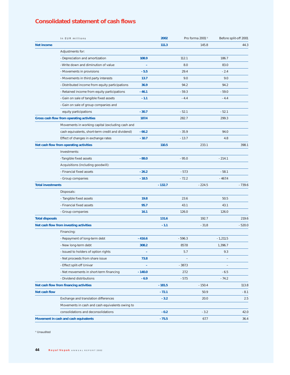# **Consolidated statement of cash flows**

|                          | In EUR millions                                   |          | 2002     | Pro forma 2001 <sup>1</sup> |          | Before split-off 2001 |          |
|--------------------------|---------------------------------------------------|----------|----------|-----------------------------|----------|-----------------------|----------|
| <b>Net income</b>        |                                                   |          | 111.3    |                             | 145.8    |                       | 44.3     |
|                          | Adjustments for:                                  |          |          |                             |          |                       |          |
|                          | - Depreciation and amortization                   | 108.9    |          | 112.1                       |          | 186.7                 |          |
|                          | - Write down and diminution of value              | ۰        |          | 8.0                         |          | 83.0                  |          |
|                          | - Movements in provisions                         | $-5.5$   |          | 29.4                        |          | $-2.4$                |          |
|                          | - Movements in third party interests              | 13.7     |          | 9.0                         |          | 9.0                   |          |
|                          | - Distributed income from equity participations   | 36.9     |          | 94.2                        |          | 94.2                  |          |
|                          | - Retained income from equity participations      | $-46.1$  |          | $-59.3$                     |          | $-59.0$               |          |
|                          | - Gain on sale of tangible fixed assets           | $-1.1$   |          | $-4.4$                      |          | $-4.4$                |          |
|                          | - Gain on sale of group companies and             |          |          |                             |          |                       |          |
|                          | equity participations                             | $-30.7$  |          | $-52.1$                     |          | $-52.1$               |          |
|                          | Gross cash flow from operating activities         | 187.4    |          | 282.7                       |          | 299.3                 |          |
|                          | Movements in working capital (excluding cash and  |          |          |                             |          |                       |          |
|                          | cash equivalents, short-term credit and dividend) | $-66.2$  |          | $-35.9$                     |          | 94.0                  |          |
|                          | Effect of changes in exchange rates               | $-10.7$  |          | $-13.7$                     |          | 4.8                   |          |
|                          | Net cash flow from operating activities           |          | 110.5    |                             | 233.1    |                       | 398.1    |
|                          | Investments:                                      |          |          |                             |          |                       |          |
|                          | -Tangible fixed assets                            | $-88.0$  |          | $-95.0$                     |          | $-214.1$              |          |
|                          | Acquisitions (including goodwill):                |          |          |                             |          |                       |          |
|                          | - Financial fixed assets                          | $-26.2$  |          | $-57.3$                     |          | $-58.1$               |          |
|                          | - Group companies                                 | $-18.5$  |          | $-72.2$                     |          | $-467.4$              |          |
| <b>Total investments</b> |                                                   |          | $-132.7$ |                             | $-224.5$ |                       | $-739.6$ |
|                          | Disposals:                                        |          |          |                             |          |                       |          |
|                          | - Tangible fixed assets                           | 19.8     |          | 23.6                        |          | 50.5                  |          |
|                          | - Financial fixed assets                          | 95.7     |          | 43.1                        |          | 43.1                  |          |
|                          | - Group companies                                 | 16.1     |          | 126.0                       |          | 126.0                 |          |
| <b>Total disposals</b>   |                                                   |          | 131.6    |                             | 192.7    |                       | 219.6    |
|                          | Net cash flow from investing activities           |          | $-1.1$   |                             | $-31.8$  |                       | $-520.0$ |
|                          | Financing:                                        |          |          |                             |          |                       |          |
|                          | - Repayment of long-term debt                     | $-416.6$ |          | $-596.3$                    |          | $-1,211.5$            |          |
|                          | - New long-term debt                              | 308.2    |          | 857.8                       |          | 1,396.7               |          |
|                          | - Issued to holders of option rights              | ۳        |          | 5.7                         |          | 9.3                   |          |
|                          | - Net proceeds from share issue                   | 73.8     |          |                             |          |                       |          |
|                          | - Effect split-off Univar                         |          |          | $-387.3$                    |          |                       |          |
|                          | - Net movements in short-term financing           | $-140.0$ |          | 27.2                        |          | $-6.5$                |          |
|                          | - Dividend distributions                          | $-6.9$   |          | $-57.5$                     |          | $-74.2$               |          |
|                          | Net cash flow from financing activities           |          | $-181.5$ |                             | $-150.4$ |                       | 113.8    |
| Net cash flow            |                                                   |          | $-72.1$  |                             | 50.9     |                       | $-8.1$   |
|                          | Exchange and translation differences              |          | $-3.2$   |                             | 20.0     |                       | 2.5      |
|                          | Movements in cash and cash equivalents owing to   |          |          |                             |          |                       |          |
|                          | consolidations and deconsolidations               |          | $-0.2$   |                             | $-3.2$   |                       | 42.0     |
|                          | Movement in cash and cash equivalents             |          | $-75.5$  |                             | 67.7     |                       | 36.4     |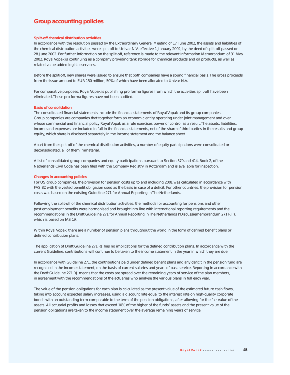# **Group accounting policies**

## **Split-off chemical distribution activities**

In accordance with the resolution passed by the Extraordinary General Meeting of 17 June 2002, the assets and liabilities of the chemical distribution activities were split off to Univar N.V. effective 1 January 2002, by the deed of split-off passed on 28 June 2002. For further information on the split-off, reference is made to the relevant Information Memorandum of 31 May 2002. Royal Vopak is continuing as a company providing tank storage for chemical products and oil products, as well as related value-added logistic services.

Before the split-off, new shares were issued to ensure that both companies have a sound financial basis. The gross proceeds from the issue amount to EUR 150 million, 50% of which have been allocated to Univar N.V.

For comparative purposes, Royal Vopak is publishing pro forma figures from which the activities split-off have been eliminated. These pro forma figures have not been audited.

# **Basis of consolidation**

The consolidated financial statements include the financial statements of Royal Vopak and its group companies. Group companies are companies that together form an economic entity operating under joint management and over whose commercial and financial policy Royal Vopak as a rule exercises power of control as a result. The assets, liabilities, income and expenses are included in full in the financial statements, net of the share of third parties in the results and group equity, which share is disclosed separately in the income statement and the balance sheet.

Apart from the split-off of the chemical distribution activities, a number of equity participations were consolidated or deconsolidated, all of them immaterial.

A list of consolidated group companies and equity participations pursuant to Section 379 and 414, Book 2, of the Netherlands Civil Code has been filed with the Company Registry in Rotterdam and is available for inspection.

#### **Changes in accounting policies**

For US group companies, the provision for pension costs up to and including 2001 was calculated in accordance with FAS 87, with the vested benefit obligation used as the basis in case of a deficit. For other countries, the provision for pension costs was based on the existing Guideline 271 for Annual Reporting in The Netherlands.

Following the split-off of the chemical distribution activities, the methods for accounting for pensions and other post employment benefits were harmonised and brought into line with international reporting requirements and the recommendations in the Draft Guideline 271 for Annual Reporting in The Netherlands ('Discussiememorandum 271 RJ'), which is based on IAS 19.

Within Royal Vopak, there are a number of pension plans throughout the world in the form of defined benefit plans or defined contribution plans.

The application of Draft Guideline 271 RJ has no implications for the defined contribution plans. In accordance with the current Guideline, contributions will continue to be taken to the income statement in the year in which they are due.

In accordance with Guideline 271, the contributions paid under defined benefit plans and any deficit in the pension fund are recognised in the income statement, on the basis of current salaries and years of past service. Reporting in accordance with the Draft Guideline 271 RJ means that the costs are spread over the remaining years of service of the plan members, in agreement with the recommendations of the actuaries who analyse the various plans in full each year.

The value of the pension obligations for each plan is calculated as the present value of the estimated future cash flows, taking into account expected salary increases, using a discount rate equal to the interest rate on high-quality corporate bonds with an outstanding term comparable to the term of the pension obligations, after allowing for the fair value of the assets. All actuarial profits and losses that exceed 10% of the higher of the funds' assets and the present value of the pension obligations are taken to the income statement over the average remaining years of service.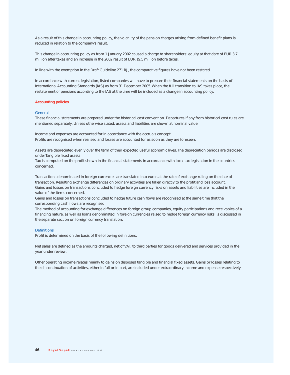As a result of this change in accounting policy, the volatility of the pension charges arising from defined benefit plans is reduced in relation to the company's result.

This change in accounting policy as from 1 January 2002 caused a charge to shareholders' equity at that date of EUR 3.7 million after taxes and an increase in the 2002 result of EUR 19.5 million before taxes.

In line with the exemption in the Draft Guideline 271 RJ, the comparative figures have not been restated.

In accordance with current legislation, listed companies will have to prepare their financial statements on the basis of International Accounting Standards (IAS) as from 31 December 2005. When the full transition to IAS takes place, the restatement of pensions according to the IAS at the time will be included as a change in accounting policy.

#### **Accounting policies**

#### *General*

These financial statements are prepared under the historical cost convention. Departures if any from historical cost rules are mentioned separately. Unless otherwise stated, assets and liabilities are shown at nominal value.

Income and expenses are accounted for in accordance with the accruals concept. Profits are recognised when realised and losses are accounted for as soon as they are foreseen.

Assets are depreciated evenly over the term of their expected useful economic lives. The depreciation periods are disclosed under Tangible fixed assets.

Tax is computed on the profit shown in the financial statements in accordance with local tax legislation in the countries concerned.

Transactions denominated in foreign currencies are translated into euros at the rate of exchange ruling on the date of transaction. Resulting exchange differences on ordinary activities are taken directly to the profit and loss account. Gains and losses on transactions concluded to hedge foreign currency risks on assets and liabilities are included in the value of the items concerned.

Gains and losses on transactions concluded to hedge future cash flows are recognised at the same time that the corresponding cash flows are recognised.

The method of accounting for exchange differences on foreign group companies, equity participations and receivables of a financing nature, as well as loans denominated in foreign currencies raised to hedge foreign currency risks, is discussed in the separate section on foreign currency translation.

#### *Definitions*

Profit is determined on the basis of the following definitions.

Net sales are defined as the amounts charged, net of VAT, to third parties for goods delivered and services provided in the year under review.

Other operating income relates mainly to gains on disposed tangible and financial fixed assets. Gains or losses relating to the discontinuation of activities, either in full or in part, are included under extraordinary income and expense respectively.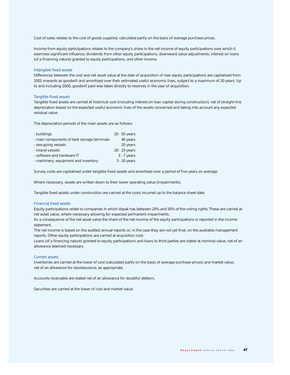Cost of sales relates to the cost of goods supplied, calculated partly on the basis of average purchase prices.

Income from equity participations relates to the company's share in the net income of equity participations over which it exercises significant influence, dividends from other equity participations, downward value adjustments, interest on loans (of a financing nature) granted to equity participations, and other income.

#### *Intangible fixed assets*

Differences between the cost and net asset value at the date of acquisition of new equity participations are capitalised from 2001 onwards as goodwill and amortised over their estimated useful economic lives, subject to a maximum of 20 years. Up to and including 2000, goodwill paid was taken directly to reserves in the year of acquisition.

#### *Tangible fixed assets*

Tangible fixed assets are carried at historical cost (including interest on loan capital during construction), net of straight-line depreciation based on the expected useful economic lives of the assets concerned and taking into account any expected residual value.

The depreciation periods of the main assets are as follows:

| - buildings                                 | 20 - 50 years  |
|---------------------------------------------|----------------|
| - main components of tank storage terminals | 40 years       |
| - sea-going vessels                         | 20 years       |
| - inland vessels                            | 20 - 25 years  |
| - software and hardware IT                  | $3 - 7$ years  |
| - machinery, equipment and inventory        | $3 - 10$ years |
|                                             |                |

Survey costs are capitalised under tangible fixed assets and amortised over a period of five years on average.

Where necessary, assets are written down to their lower operating value (impairments).

Tangible fixed assets under construction are carried at the costs incurred up to the balance sheet date.

#### *Financial fixed assets*

Equity participations relate to companies in which Vopak has between 20% and 50% of the voting rights. These are carried at net asset value, where necessary allowing for expected permanent impairments.

As a consequence of the net asset value the share of the net income of the equity participations is reported in the income statement.

The net income is based on the audited annual reports or, in the case they are not yet final, on the available management reports. Other equity participations are carried at acquisition cost.

Loans (of a financing nature) granted to equity participations and loans to third parties are stated at nominal value, net of an allowance deemed necessary.

# *Current assets*

Inventories are carried at the lower of cost (calculated partly on the basis of average purchase prices) and market value, net of an allowance for obsolescence, as appropriate.

Accounts receivable are stated net of an allowance for doubtful debtors.

Securities are carried at the lower of cost and market value.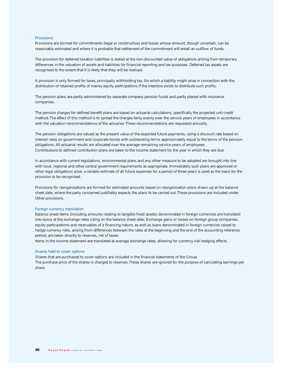## *Provisions*

Provisions are formed for commitments (legal or constructive) and losses whose amount, though uncertain, can be reasonably estimated and where it is probable that settlement of the commitment will entail an outflow of funds.

The provision for deferred taxation liabilities is stated at the non-discounted value of obligations arising from temporary differences in the valuation of assets and liabilities for financial reporting and tax purposes. Deferred tax assets are recognised to the extent that it is likely that they will be realised.

A provision is only formed for taxes, principally withholding tax, for which a liability might arise in connection with the distribution of retained profits of mainly equity participations if the intention exists to distribute such profits.

The pension plans are partly administered by separate company pension funds and partly placed with insurance companies.

The pension charges for defined benefit plans are based on actuarial calculations, specifically the projected unit credit method. The effect of this method is to spread the charges fairly evenly over the service years of employees in accordance with the valuation recommendations of the actuaries. These recommendations are requested annually.

The pension obligations are valued as the present value of the expected future payments, using a discount rate based on interest rates on government and corporate bonds with outstanding terms approximately equal to the terms of the pension obligations. All actuarial results are allocated over the average remaining service years of employees. Contributions to defined contribution plans are taken to the income statement for the year in which they are due.

In accordance with current legislations, environmental plans and any other measure to be adopted are brought into line with local, regional and other central government requirements as appropriate. Immediately such plans are approved or other legal obligations arise, a reliable estimate of all future expenses for a period of three years is used as the basis for the provision to be recognised.

Provisions for reorganisations are formed for estimated amounts based on reorganisation plans drawn up at the balance sheet date, where the party concerned justifiably expects the plans to be carried out. These provisions are included under Other provisions.

#### *Foreign currency translation*

Balance sheet items (including amounts relating to tangible fixed assets) denominated in foreign currencies are translated into euros at the exchange rates ruling on the balance sheet date. Exchange gains or losses on foreign group companies, equity participations and receivables of a financing nature, as well as loans denominated in foreign currencies raised to hedge currency risks, arising from differences between the rates at the beginning and the end of the accounting reference period, are taken directly to reserves, net of taxes.

Items in the income statement are translated at average exchange rates, allowing for currency risk hedging effects.

#### *Shares held to cover options*

Shares that are purchased to cover options are included in the financial statements of the Group.

The purchase price of the shares is charged to reserves. These shares are ignored for the purpose of calculating earnings per share.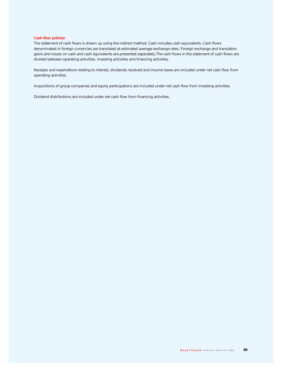#### **Cash flow policies**

The statement of cash flows is drawn up using the indirect method. Cash includes cash equivalents. Cash flows denominated in foreign currencies are translated at estimated average exchange rates. Foreign exchange and translation gains and losses on cash and cash equivalents are presented separately. The cash flows in the statement of cash flows are divided between operating activities, investing activities and financing activities.

Receipts and expenditure relating to interest, dividends received and income taxes are included under net cash flow from operating activities.

Acquisitions of group companies and equity participations are included under net cash flow from investing activities.

Dividend distributions are included under net cash flow from financing activities.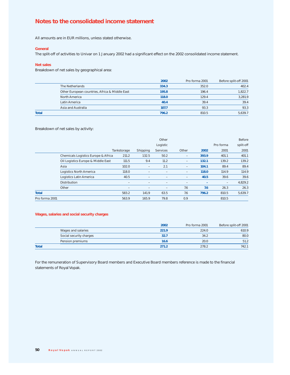# **Notes to the consolidated income statement**

All amounts are in EUR millions, unless stated otherwise.

# **General**

The split-off of activities to Univar on 1 January 2002 had a significant effect on the 2002 consolidated income statement.

# **Net sales**

Breakdown of net sales by geographical area:

|              |                                                | 2002  | Pro forma 2001 | Before split-off 2001 |
|--------------|------------------------------------------------|-------|----------------|-----------------------|
|              | The Netherlands                                | 334.3 | 352.0          | 402.4                 |
|              | Other European countries, Africa & Middle East | 195.8 | 196.4          | 1,822.7               |
|              | North America                                  | 118.0 | 129.4          | 3,281.9               |
|              | Latin America                                  | 40.4  | 39.4           | 39.4                  |
|              | Asia and Australia                             | 107.7 | 93.3           | 93.3                  |
| <b>Total</b> |                                                | 796.2 | 810.5          | 5.639.7               |

Breakdown of net sales by activity:

|                |                                     | Other                    |                              |                          |                          |                          | Before            |           |
|----------------|-------------------------------------|--------------------------|------------------------------|--------------------------|--------------------------|--------------------------|-------------------|-----------|
|                |                                     |                          |                              | Logistic                 |                          |                          | Pro forma         | split-off |
|                |                                     | Tankstorage              | Shipping                     | <b>Services</b>          | Other                    | 2002                     | 2001              | 2001      |
|                | Chemicals Logistics Europe & Africa | 211.2                    | 132.5                        | 50.2                     | $\overline{\phantom{0}}$ | 393.9                    | 401.1             | 401.1     |
|                | Oil Logistics Europe & Middle East  | 111.5                    | 9.4                          | 11.2                     | $\qquad \qquad -$        | 132.1                    | 139.2             | 139.2     |
|                | Asia                                | 102.0                    | $\qquad \qquad -$            | 2.1                      | $\qquad \qquad -$        | 104.1                    | 89.4              | 89.4      |
|                | Logistics North America             | 118.0                    |                              | $\overline{\phantom{0}}$ | $\qquad \qquad -$        | 118.0                    | 114.9             | 114.9     |
|                | Logistics Latin America             | 40.5                     | $\qquad \qquad \blacksquare$ | -                        | $\qquad \qquad -$        | 40.5                     | 39.6              | 39.6      |
|                | <b>Distribution</b>                 | $\overline{\phantom{0}}$ | $\overline{\phantom{0}}$     | -                        | ۰                        | $\overline{\phantom{0}}$ | $\qquad \qquad -$ | 4,829.2   |
|                | Other                               | $\overline{\phantom{0}}$ | $\overline{\phantom{0}}$     | $\qquad \qquad -$        | 7.6                      | 7.6                      | 26.3              | 26.3      |
| <b>Total</b>   |                                     | 583.2                    | 141.9                        | 63.5                     | 7.6                      | 796.2                    | 810.5             | 5,639.7   |
| Pro forma 2001 |                                     | 563.9                    | 165.9                        | 79.8                     | 0.9                      |                          | 810.5             |           |

# **Wages, salaries and social security charges**

|              |                         | 2002  | Pro forma 2001 | Before split-off 2001 |
|--------------|-------------------------|-------|----------------|-----------------------|
|              | Wages and salaries      | 221.9 | 224.0          | 610.9                 |
|              | Social security charges | 32.7  | 34.2           | 80.0                  |
|              | Pension premiums        | 16.6  | 20.0           | 51.2                  |
| <b>Total</b> |                         | 271.2 | 278.2          | 742.1                 |

For the remuneration of Supervisory Board members and Executive Board members reference is made to the financial statements of Royal Vopak.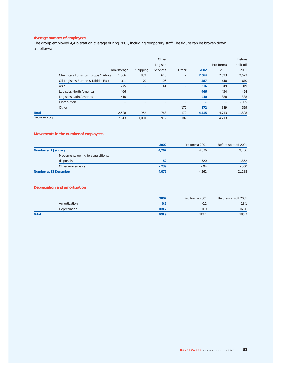# **Average number of employees**

The group employed 4,415 staff on average during 2002, including temporary staff. The figure can be broken down as follows:

|                |                                     |                          |                          | Other                    |                          |                          |                 | Before    |
|----------------|-------------------------------------|--------------------------|--------------------------|--------------------------|--------------------------|--------------------------|-----------------|-----------|
|                |                                     |                          |                          | Logistic                 |                          |                          | Pro forma       | split-off |
|                |                                     | Tankstorage              | Shipping                 | <b>Services</b>          | Other                    | 2002                     | 2001            | 2001      |
|                | Chemicals Logistics Europe & Africa | 1,066                    | 882                      | 616                      | $\overline{\phantom{a}}$ | 2,564                    | 2,623           | 2,623     |
|                | Oil Logistics Europe & Middle East  | 311                      | 70                       | 106                      | $\qquad \qquad$          | 487                      | 610             | 610       |
|                | Asia                                | 275                      | ۰                        | 41                       | $\overline{\phantom{a}}$ | 316                      | 319             | 319       |
|                | Logistics North America             | 466                      | $\overline{\phantom{0}}$ | $\overline{\phantom{0}}$ | $\qquad \qquad$          | 466                      | 454             | 454       |
|                | Logistics Latin America             | 410                      | $\qquad \qquad -$        | -                        | $\overline{\phantom{m}}$ | 410                      | 388             | 388       |
|                | <b>Distribution</b>                 | $\overline{\phantom{0}}$ | ۰                        | $\overline{\phantom{a}}$ | ۰                        | $\overline{\phantom{0}}$ | $\qquad \qquad$ | 7,095     |
|                | Other                               |                          | ۰                        | $\qquad \qquad -$        | 172                      | 172                      | 319             | 319       |
| <b>Total</b>   |                                     | 2,528                    | 952                      | 763                      | 172                      | 4,415                    | 4,713           | 11,808    |
| Pro forma 2001 |                                     | 2,613                    | 1,001                    | 912                      | 187                      |                          | 4,713           |           |

# **Movements in the number of employees**

|                                  | 2002   | Pro forma 2001 | Before split-off 2001 |
|----------------------------------|--------|----------------|-----------------------|
| Number at 1 January              | 4.262  | 4.876          | 9,736                 |
| Movements owing to acquisitions/ |        |                |                       |
| disposals                        | 52     | $-520$         | 1,852                 |
| Other movements                  | $-239$ | $-94$          | $-300$                |
| Number at 31 December            | 4.075  | 4.262          | 11,288                |

# **Depreciation and amortization**

|              | 2002  | Pro forma 2001 | Before split-off 2001 |
|--------------|-------|----------------|-----------------------|
| Amortization |       | U.Z            | 18.1                  |
| Depreciation | 108.7 | 111.9          | 168.6                 |
| <b>Total</b> | 108.9 | 112.           | 186.7                 |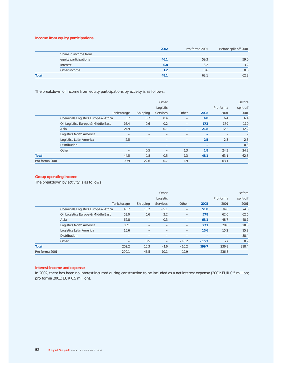# **Income from equity participations**

|              |                       | 2002 | Pro forma 2001 | Before split-off 2001 |
|--------------|-----------------------|------|----------------|-----------------------|
|              | Share in income from  |      |                |                       |
|              | equity participations | 46.1 | 59.3           | 59.0                  |
|              | Interest              | 0.8  | 3.2            | 3.2                   |
|              | Other income          | 1.2  | 0.6            | 0.6                   |
| <b>Total</b> |                       | 48.1 | 63.1           | 62.8                  |

The breakdown of income from equity participations by activity is as follows:

|                |                                     |                              |                   | Other           |                          |      |           | Before    |
|----------------|-------------------------------------|------------------------------|-------------------|-----------------|--------------------------|------|-----------|-----------|
|                |                                     |                              |                   | Logistic        |                          |      | Pro forma | split-off |
|                |                                     | Tankstorage                  | Shipping          | <b>Services</b> | Other                    | 2002 | 2001      | 2001      |
|                | Chemicals Logistics Europe & Africa | 3.7                          | 0.7               | 0.4             | $\overline{\phantom{m}}$ | 4.8  | 6.4       | 6.4       |
|                | Oil Logistics Europe & Middle East  | 16.4                         | 0.6               | 0.2             | $\qquad \qquad -$        | 17.2 | 17.9      | 17.9      |
|                | Asia                                | 21.9                         | $\qquad \qquad -$ | $-0.1$          | $\qquad \qquad -$        | 21.8 | 12.2      | 12.2      |
|                | Logistics North America             | $\qquad \qquad \blacksquare$ |                   |                 | -                        | ۰    |           |           |
|                | Logistics Latin America             | 2.5                          |                   |                 |                          | 2.5  | 2.3       | 2.3       |
|                | <b>Distribution</b>                 | $\qquad \qquad \blacksquare$ |                   |                 | -                        |      | -         | $-0.3$    |
|                | Other                               | $\overline{\phantom{m}}$     | 0.5               |                 | 1.3                      | 1.8  | 24.3      | 24.3      |
| <b>Total</b>   |                                     | 44.5                         | 1.8               | 0.5             | 1.3                      | 48.1 | 63.1      | 62.8      |
| Pro forma 2001 |                                     | 37.9                         | 22.6              | 0.7             | 1.9                      |      | 63.1      |           |
|                |                                     |                              |                   |                 |                          |      |           |           |

#### **Group operating income**

The breakdown by activity is as follows:

|                                     |                              |                   | Other             |                          |         |                   | Before    |
|-------------------------------------|------------------------------|-------------------|-------------------|--------------------------|---------|-------------------|-----------|
|                                     |                              |                   | Logistic          |                          |         | Pro forma         | split-off |
|                                     | Tankstorage                  | Shipping          | Services          | Other                    | 2002    | 2001              | 2001      |
| Chemicals Logistics Europe & Africa | 43.7                         | 13.2              | $-5.1$            | $\overline{\phantom{0}}$ | 51.8    | 74.6              | 74.6      |
| Oil Logistics Europe & Middle East  | 53.0                         | 1.6               | 3.2               | $\qquad \qquad -$        | 57.8    | 62.6              | 62.6      |
| Asia                                | 62.8                         | $\qquad \qquad -$ | 0.3               | $\qquad \qquad -$        | 63.1    | 48.7              | 48.7      |
| Logistics North America             | 27.1                         |                   | -                 | $\qquad \qquad -$        | 27.1    | 28.0              | 28.0      |
| Logistics Latin America             | 15.6                         |                   |                   | $\qquad \qquad -$        | 15.6    | 15.2              | 15.2      |
| <b>Distribution</b>                 | $\qquad \qquad \blacksquare$ |                   |                   |                          |         | $\qquad \qquad -$ | 88.4      |
| Other                               | $\overline{\phantom{0}}$     | 0.5               | $\qquad \qquad -$ | $-16.2$                  | $-15.7$ | 7.7               | 0.9       |
| <b>Total</b>                        | 202.2                        | 15.3              | $-1.6$            | $-16.2$                  | 199.7   | 236.8             | 318.4     |
| Pro forma 2001                      | 200.1                        | 46.5              | 10.1              | $-19.9$                  |         | 236.8             |           |

# **Interest income and expense**

In 2002, there has been no interest incurred during construction to be included as a net interest expense (2001: EUR 0.5 million; pro forma 2001: EUR 0.5 million).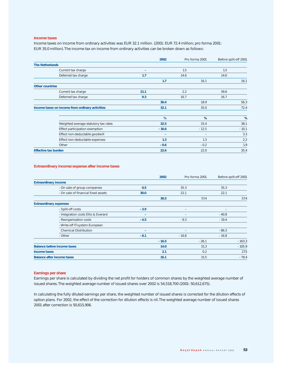## **Income taxes**

Income taxes on income from ordinary activities was EUR 32.1 million. (2001: EUR 72.4 million; pro forma 2001: EUR 35.0 million). The income tax on income from ordinary activities can be broken down as follows:

|                                                 |                          | 2002    | Pro forma 2001  | Before split-off 2001 |
|-------------------------------------------------|--------------------------|---------|-----------------|-----------------------|
| <b>The Netherlands</b>                          |                          |         |                 |                       |
| Current tax charge                              | $\overline{\phantom{0}}$ |         | 1.5             | 1.5                   |
| Deferred tax charge                             | 1.7                      |         | 14.6            | 14.6                  |
|                                                 |                          | 1.7     | 16.1            | 16.1                  |
| <b>Other countries</b>                          |                          |         |                 |                       |
| Current tax charge                              | 21.1                     |         | 2.2             | 39.6                  |
| Deferred tax charge                             | 9.3                      |         | 16.7            | 16.7                  |
|                                                 |                          | 30.4    | 18.9            | 56.3                  |
| Income taxes on income from ordinary activities |                          | 32.1    | 35.0            | 72.4                  |
|                                                 |                          | %       | %               | %                     |
| Weighted average statutory tax rates            |                          | 32.5    | 33.4            | 38.1                  |
| Effect participation exemption                  |                          | $-10.6$ | $-12.5$         | $-10.1$               |
| Effect non-deductable goodwill                  |                          | -       | $\qquad \qquad$ | 3.3                   |
| Effect non-deductable expenses                  |                          | 1.3     | 1.3             | 2.2                   |
| Other                                           |                          | $-0.6$  | $-0.2$          | 1.9                   |
| <b>Effective tax burden</b>                     |                          | 22.6    | 22.0            | 35.4                  |

#### **Extraordinary income/expense after income taxes**

|                                     |        | 2002    | Pro forma 2001               | Before split-off 2001 |
|-------------------------------------|--------|---------|------------------------------|-----------------------|
| <b>Extraordinary income</b>         |        |         |                              |                       |
| - On sale of group companies        | 0.5    |         | 35.3                         | 35.3                  |
| - On sale of financial fixed assets | 30.0   |         | 22.1                         | 22.1                  |
|                                     |        | 30.5    | 57.4                         | 57.4                  |
| <b>Extraordinary expenses</b>       |        |         |                              |                       |
| - Split-off costs                   | $-3.9$ |         | $\qquad \qquad \blacksquare$ | -                     |
| - Integration costs Ellis & Everard |        |         |                              | $-40.8$               |
| - Reorganisation costs              | $-4.5$ |         | $-9.3$                       | $-19.4$               |
| - Write-off IT-system European      |        |         |                              |                       |
| <b>Chemical Distribution</b>        |        |         | $\qquad \qquad \blacksquare$ | $-86.3$               |
| - Other                             | $-8.1$ |         | $-16.8$                      | $-16.8$               |
|                                     |        | $-16.5$ | $-26.1$                      | $-163.3$              |
| <b>Balance before income taxes</b>  |        | 14.0    | 31.3                         | $-105.9$              |
| Income taxes                        |        | 2.1     | 0.2                          | 27.5                  |
| <b>Balance after income taxes</b>   |        | 16.1    | 31.5                         | $-78.4$               |

## **Earnings per share**

Earnings per share is calculated by dividing the net profit for holders of common shares by the weighted average number of issued shares. The weighted average number of issued shares over 2002 is 54,518,700 (2001: 50,612,675).

In calculating the fully diluted earnings per share, the weighted number of issued shares is corrected for the dilution effects of option plans. For 2002, the effect of the correction for dilution effects is nil. The weighted average number of issued shares 2001 after correction is 50,615,906.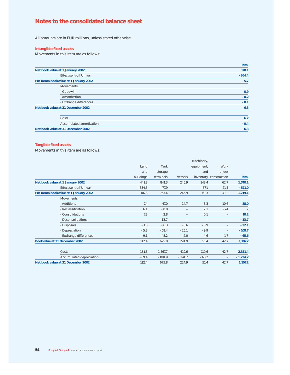# **Notes to the consolidated balance sheet**

All amounts are in EUR millions, unless stated otherwise.

# **Intangible fixed assets**

Movements in this item are as follows:

|                                       | <b>Total</b> |
|---------------------------------------|--------------|
| Net book value at 1 January 2002      | 370.1        |
| <b>Effect split-off Univar</b>        | $-364.4$     |
| Pro forma bookvalue at 1 January 2002 | 5.7          |
| Movements:                            |              |
| - Goodwill                            | 0.9          |
| - Amortization                        | $-0.2$       |
| - Exchange differences                | $-0.1$       |
| Net book value at 31 December 2002    | 6.3          |
| Costs                                 | 6.7          |
| Accumulated amortization              | $-0.4$       |
| Net book value at 31 December 2002    | 6.3          |

# **Tangible fixed assets**

Movements in this item are as follows:

|                          |           |                   | Machinery, |                          |                        |
|--------------------------|-----------|-------------------|------------|--------------------------|------------------------|
| Land                     | Tank      |                   | equipment, | Work                     |                        |
| and                      | storage   |                   | and        | under                    |                        |
| buildings                | terminals | <b>Vessels</b>    |            |                          | <b>Total</b>           |
| 441.8                    | 841.3     | 245.9             | 148.4      | 62.7                     | 1,740.1                |
| $-334.5$                 | $-77.9$   | $\qquad \qquad -$ | $-87.1$    | $-21.5$                  | $-521.0$               |
| 107.3                    | 763.4     | 245.9             | 61.3       | 41.2                     | 1,219.1                |
|                          |           |                   |            |                          |                        |
| 7.4                      | 47.0      | 14.7              | 8.3        | 10.6                     | 88.0                   |
| 6.1                      | $-0.8$    | $\qquad \qquad -$ | 2.1        | $-7.4$                   |                        |
| 7.3                      | 2.8       | $\qquad \qquad -$ | 0.1        | $\overline{\phantom{m}}$ | 10.2                   |
| $\overline{\phantom{0}}$ | $-13.7$   | ۳                 |            | $\overline{\phantom{m}}$ | $-13.7$                |
| $-1.3$                   | $-6.3$    | $-8.6$            | $-5.9$     | $\overline{\phantom{m}}$ | $-22.1$                |
| $-5.3$                   | $-68.4$   | $-25.1$           | $-9.9$     | $\overline{\phantom{m}}$ | $-108.7$               |
| $-9.1$                   | $-48.2$   | $-2.0$            | $-4.6$     | $-1.7$                   | $-65.6$                |
| 112.4                    | 675.8     | 224.9             | 51.4       | 42.7                     | 1,107.2                |
| 181.8                    | 1,567.7   | 419.6             | 119.6      | 42.7                     | 2,331.4                |
| $-69.4$                  | $-891.9$  | $-194.7$          | $-68.2$    | $\overline{\phantom{m}}$ | $-1,224.2$             |
| 112.4                    | 675.8     | 224.9             | 51.4       | 42.7                     | 1,107.2                |
|                          |           |                   |            |                          | inventory construction |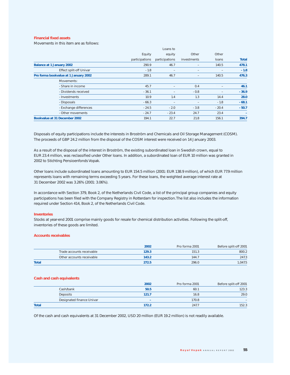# **Financial fixed assets**

Movements in this item are as follows:

|                                       |                | Loans to                 |                          |                                                                                     |              |
|---------------------------------------|----------------|--------------------------|--------------------------|-------------------------------------------------------------------------------------|--------------|
|                                       | Equity         | equity                   | Other                    | Other                                                                               |              |
|                                       | participations | participations           | investments              | loans                                                                               | <b>Total</b> |
| <b>Balance at 1 January 2002</b>      | 290.9          | 46.7                     | $\qquad \qquad -$        | 140.5                                                                               | 478.1        |
| <b>Effect split-off Univar</b>        | $-1.8$         | $\overline{\phantom{0}}$ | $\overline{\phantom{0}}$ |                                                                                     | $-1.8$       |
| Pro forma bookvalue at 1 January 2002 | 289.1          | 46.7                     | $\qquad \qquad -$        | 140.5<br>$\qquad \qquad \blacksquare$<br>14.4<br>$-1.8$<br>$-20.4$<br>23.4<br>156.1 | 476.3        |
| Movements:                            |                |                          |                          |                                                                                     |              |
| - Share in income                     | 45.7           |                          | 0.4                      |                                                                                     | 46.1         |
| - Dividends received                  | $-36.1$        | $\qquad \qquad -$        | $-0.8$                   |                                                                                     | $-36.9$      |
| - Investments                         | 10.9           | 1.4                      | 1.3                      |                                                                                     | 28.0         |
| - Disposals                           | $-66.3$        |                          |                          |                                                                                     | $-68.1$      |
| - Exchange differences                | $-24.5$        | $-2.0$                   | $-3.8$                   |                                                                                     | $-50.7$      |
| - Other movements                     | $-24.7$        | $-23.4$                  | 24.7                     |                                                                                     |              |
| Bookvalue at 31 December 2002         | 194.1          | 22.7                     | 21.8                     |                                                                                     | 394.7        |
|                                       |                |                          |                          |                                                                                     |              |

Disposals of equity participations include the interests in Broström and Chemicals and Oil Storage Management (COSM). The proceeds of GBP 24.2 million from the disposal of the COSM interest were received on 14 January 2003.

As a result of the disposal of the interest in Broström, the existing subordinated loan in Swedish crown, equal to EUR 23.4 million, was reclassified under Other loans. In addition, a subordinated loan of EUR 10 million was granted in 2002 to Stichting Pensioenfonds Vopak.

Other loans include subordinated loans amounting to EUR 154.5 million (2001: EUR 138.9 million), of which EUR 77.9 million represents loans with remaining terms exceeding 5 years. For these loans, the weighted average interest rate at 31 December 2002 was 3.26% (2001: 3.06%).

In accordance with Section 379, Book 2, of the Netherlands Civil Code, a list of the principal group companies and equity participations has been filed with the Company Registry in Rotterdam for inspection. The list also includes the information required under Section 414, Book 2, of the Netherlands Civil Code.

#### **Inventories**

Stocks at year-end 2001 comprise mainly goods for resale for chemical distribution activities. Following the split-off, inventories of these goods are limited.

#### **Accounts receivables**

|              |                           | 2002  | Pro forma 2001 | Before split-off 2001 |
|--------------|---------------------------|-------|----------------|-----------------------|
|              | Trade accounts receivable | 129.3 | 151.3          | 800.2                 |
|              | Other accounts receivable | 143.2 | 144.7          | 247.3                 |
| <b>Total</b> |                           | 272.5 | 296.0          | .047.5                |

#### **Cash and cash equivalents**

|              |                           | 2002                     | Pro forma 2001 | Before split-off 2001 |
|--------------|---------------------------|--------------------------|----------------|-----------------------|
|              | Cash/bank                 | 50.5                     | 60.1           | 123.3                 |
|              | Deposits                  | 121.7                    | 16.8           | 29.0                  |
|              | Designated finance Univar | $\overline{\phantom{0}}$ | 170.8          | -                     |
| <b>Total</b> |                           | 172.2                    | 247.7          | 152.3                 |

Of the cash and cash equivalents at 31 December 2002, USD 20 million (EUR 19.2 million) is not readily available.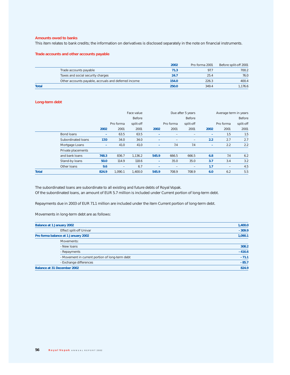#### **Amounts owed to banks**

This item relates to bank credits; the information on derivatives is disclosed separately in the note on financial instruments.

#### **Trade accounts and other accounts payable**

|              |                                                      | 2002  | Pro forma 2001 | Before split-off 2001 |
|--------------|------------------------------------------------------|-------|----------------|-----------------------|
|              | Trade accounts payable                               | 71.3  | 97.7           | 700.2                 |
|              | Taxes and social security charges                    | 24.7  | 25.4           | 76.0                  |
|              | Other accounts payable, accruals and deferred income | 154.0 | 226.3          | 400.4                 |
| <b>Total</b> |                                                      | 250.0 | 349.4          | 1.176.6               |

#### **Long-term debt**

|                    |       | Face value               |               |                          | Due after 5 years |                   |      | Average term in years    |           |  |
|--------------------|-------|--------------------------|---------------|--------------------------|-------------------|-------------------|------|--------------------------|-----------|--|
|                    |       |                          | <b>Before</b> |                          | Before            |                   |      |                          |           |  |
|                    |       | Pro forma                | split-off     |                          | Pro forma         | split-off         |      | Pro forma                | split-off |  |
|                    | 2002  | 2001                     | 2001          | 2002                     | 2001              | 2001              | 2002 | 2001                     | 2001      |  |
| Bond loans         | -     | 63.5                     | 63.5          |                          | -                 |                   | -    | 1.5                      | 1.5       |  |
| Subordinated Ioans | 17.0  | 34.0                     | 34.0          | -                        | -                 | -                 | 2.2  | 2.7                      | 2.7       |  |
| Mortgage Loans     | ۰     | 41.0                     | 41.0          | -                        | 7.4               | 7.4               | ۰    | 2.2                      | 2.2       |  |
| Private placements |       |                          |               |                          |                   |                   |      |                          |           |  |
| and bank loans     | 748.3 | 836.7                    | 1,136.2       | 545.9                    | 666.5             | 666.5             | 6.8  | 7.4                      | 6.2       |  |
| Stand-by loans     | 50.0  | 114.9                    | 118.6         | -                        | 35.0              | 35.0              | 3.7  | 3.4                      | 3.2       |  |
| Other Ioans        | 9.6   | $\overline{\phantom{a}}$ | 6.7           | $\overline{\phantom{0}}$ | -                 | $\qquad \qquad -$ | 1.7  | $\overline{\phantom{m}}$ | 4.5       |  |
| <b>Total</b>       | 824.9 | 1.090.1                  | 1.400.0       | 545.9                    | 708.9             | 708.9             | 6.0  | 6.2                      | 5.5       |  |

The subordinated loans are subordinate to all existing and future debts of Royal Vopak. Of the subordinated loans, an amount of EUR 5.7 million is included under Current portion of long-term debt.

Repayments due in 2003 of EUR 71.1 million are included under the item Current portion of long-term debt.

Movements in long-term debt are as follows:

| <b>Balance at 1 January 2002</b> |                                                 | 1,400.0  |
|----------------------------------|-------------------------------------------------|----------|
|                                  | <b>Effect split-off Univar</b>                  | $-309.9$ |
|                                  | Pro forma balance at 1 January 2002             | 1,090.1  |
|                                  | Movements:                                      |          |
|                                  | - New loans                                     | 308.2    |
|                                  | - Repayments                                    | $-416.6$ |
|                                  | - Movement in current portion of long-term debt | $-71.1$  |
|                                  | - Exchange differences                          | $-85.7$  |
|                                  | <b>Balance at 31 December 2002</b>              | 824.9    |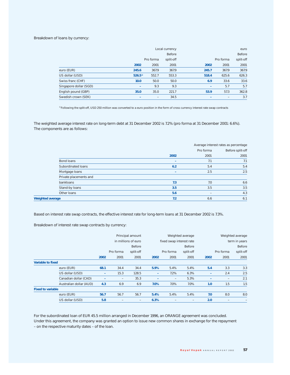## Breakdown of loans by currency:

|                        |                      |           | Local currency |                          |           | euro      |
|------------------------|----------------------|-----------|----------------|--------------------------|-----------|-----------|
|                        |                      |           | Before         |                          |           | Before    |
|                        |                      | Pro forma | split-off      |                          | Pro forma | split-off |
|                        | 2002                 | 2001      | 2001           | 2002                     | 2001      | 2001      |
| euro (EUR)             | 245.6                | 367.9     | 367.9          | 245.7                    | 367.9     | 367.9     |
| US dollar (USD)        | $526.5$ <sup>1</sup> | 552.7     | 553.3          | 518.4                    | 625.6     | 626.3     |
| Swiss franc (CHF)      | 10.0                 | 50.0      | 50.0           | 6.9                      | 33.6      | 33.6      |
| Singapore dollar (SGD) | ۰                    | 9.3       | 9.3            | $\overline{\phantom{0}}$ | 5.7       | 5.7       |
| English pound (GBP)    | 35.0                 | 35.0      | 221.7          | 53.9                     | 57.3      | 362.8     |
| Swedish crown (SEK)    |                      |           | 34.5           |                          |           | 3.7       |

*1) Following the split-off, USD 250 million was converted to a euro position in the form of cross currency interest rate swap contracts* 

The weighted average interest rate on long-term debt at 31 December 2002 is 7.2% (pro forma at 31 December 2001: 6.6%). The components are as follows:

|                         |                          |                              | Average interest rates as percentage |
|-------------------------|--------------------------|------------------------------|--------------------------------------|
|                         |                          | Pro forma                    | Before split-off                     |
|                         | 2002                     | 2001                         | 2001                                 |
| Bond loans              | $\overline{\phantom{a}}$ | 7.1                          | 7.1                                  |
| Subordinated loans      | 6.2                      | 5.4                          | 5.4                                  |
| Mortgage Ioans          | $\overline{\phantom{a}}$ | 2.5                          | 2.5                                  |
| Private placements and  |                          |                              |                                      |
| bankloans               | 7.3                      | 7.0                          | 6.6                                  |
| Stand-by loans          | 3.5                      | 3.5                          | 3.5                                  |
| Other loans             | 5.6                      | $\qquad \qquad \blacksquare$ | 4.3                                  |
| <b>Weighted average</b> | 7.2                      | 6.6                          | 6.1                                  |
|                         |                          |                              |                                      |

Based on interest rate swap contracts, the effective interest rate for long-term loans at 31 December 2002 is 7.3%.

Breakdown of interest rate swap contracts by currency:

|                          |                         |                          | Principal amount         |                     | Weighted average         |                   | Weighted average |      |           |           |
|--------------------------|-------------------------|--------------------------|--------------------------|---------------------|--------------------------|-------------------|------------------|------|-----------|-----------|
|                          |                         |                          |                          | in millions of euro | fixed swap interest rate |                   | term in years    |      |           |           |
|                          |                         |                          |                          | Before              |                          |                   | Before           |      |           | Before    |
|                          |                         |                          | Pro forma                | split-off           |                          | Pro forma         | split-off        |      | Pro forma | split-off |
|                          |                         | 2002                     | 2001                     | 2001                | 2002                     | 2001              | 2001             | 2002 | 2001      | 2001      |
| <b>Variable to fixed</b> |                         |                          |                          |                     |                          |                   |                  |      |           |           |
|                          | euro (EUR)              | 68.1                     | 34.4                     | 34.4                | 5.9%                     | 5.4%              | 5.4%             | 5.4  | 3.3       | 3.3       |
|                          | US dollar (USD)         | $\overline{\phantom{a}}$ | 15.3                     | 128.5               | ۰                        | 7.2%              | 6.3%             | -    | 2.4       | 2.5       |
|                          | Canadian dollar (CAD)   | $\overline{\phantom{0}}$ | $\overline{\phantom{m}}$ | 35.3                |                          | $\qquad \qquad -$ | 5.3%             |      | -         | 2.1       |
|                          | Australian dollar (AUD) | 4.3                      | 6.9                      | 6.9                 | 7.0%                     | 7.0%              | 7.0%             | 1.0  | 1.5       | 1.5       |
| <b>Fixed to variable</b> |                         |                          |                          |                     |                          |                   |                  |      |           |           |
|                          | euro (EUR)              | 56.7                     | 56.7                     | 56.7                | 5.4%                     | 5.4%              | 5.4%             | 7.0  | 8.0       | 8.0       |
|                          | US dollar (USD)         | 5.8                      |                          | -                   | 6.3%                     |                   | -                | 2.0  |           |           |
|                          |                         |                          |                          |                     |                          |                   |                  |      |           |           |

For the subordinated loan of EUR 45.5 million arranged in December 1996, an ORANGE agreement was concluded. Under this agreement, the company was granted an option to issue new common shares in exchange for the repayment – on the respective maturity dates – of the loan.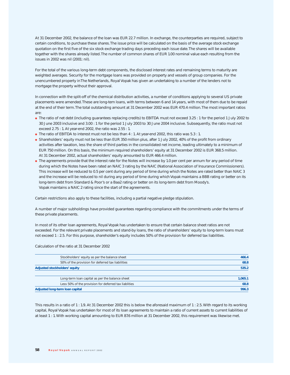At 31 December 2002, the balance of the loan was EUR 22.7 million. In exchange, the counterparties are required, subject to certain conditions, to purchase these shares. The issue price will be calculated on the basis of the average stock exchange quotation on the first five of the six stock exchange trading days preceding each issue date. The shares will be available together with the shares already listed. The number of common shares of EUR 1.00 nominal value each resulting from the issues in 2002 was nil (2001: nil).

For the total of the various long-term debt components, the disclosed interest rates and remaining terms to maturity are weighted averages. Security for the mortgage loans was provided on property and vessels of group companies. For the unencumbered property in The Netherlands, Royal Vopak has given an undertaking to a number of the lenders not to mortgage the property without their approval.

In connection with the split-off of the chemical distribution activities, a number of conditions applying to several US private placements were amended. These are long-tem loans, with terms between 6 and 14 years, with most of them due to be repaid at the end of their term. The total outstanding amount at 31 December 2002 was EUR 470.4 million. The most important ratios are:

- The ratio of net debt (including guarantees replacing credits) to EBITDA must not exceed 3.25 : 1 for the period 1 July 2002 to 30 June 2003 inclusive and 3.00 : 1 for the period 1 July 2003 to 30 June 2004 inclusive. Subsequently, the ratio must not exceed 2.75 : 1. At year-end 2002, the ratio was 2.55 : 1.
- The ratio of EBITDA to interest must not be less than 4 : 1. At year-end 2002, this ratio was 5.3 : 1.
- Shareholders' equity must not be less than EUR 350 million plus, after 1 July 2002, 40% of the profit from ordinary activities after taxation, less the share of third parties in the consolidated net income, leading ultimately to a minimum of EUR 750 million. On this basis, the minimum required shareholders' equity at 31 December 2002 is EUR 368.5 million. At 31 December 2002, actual shareholders' equity amounted to EUR 466.4 million.
- The agreements provide that the interest rate for the Notes will increase by 1.0 per cent per annum for any period of time during which the Notes have been rated an NAIC 3 rating by the NAIC (National Association of Insurance Commissioners). This increase will be reduced to 0.5 per cent during any period of time during which the Notes are rated better than NAIC 3 and the increase will be reduced to nil during any period of time during which Vopak maintains a BBB rating or better on its long-term debt from Standard & Poor's or a Baa2 rating or better on its long-term debt from Moody's. Vopak maintains a NAIC 2 rating since the start of the agreements.

Certain restrictions also apply to these facilities, including a partial negative pledge stipulation.

A number of major subholdings have provided guarantees regarding compliance with the commitments under the terms of these private placements.

In most of its other loan agreements, Royal Vopak has undertaken to ensure that certain balance sheet ratios are not exceeded. For the relevant private placements and stand-by loans, the ratio of shareholders' equity to long-term loans must not exceed 1 : 2.5. For this purpose, shareholder's equity includes 50% of the provision for deferred tax liabilities.

Calculation of the ratio at 31 December 2002

| Stockholders' equity as per the balance sheet         | 466.4   |
|-------------------------------------------------------|---------|
| 50% of the provision for deferred tax liabilities     | 68.8    |
| Adjusted stockholders' equity                         | 535.2   |
|                                                       |         |
| Long-term loan capital as per the balance sheet       | 1,065.1 |
| Less 50% of the provision for deferred tax liablities | 68.8    |
| Adjusted long-term loan capital                       | 996.3   |
|                                                       |         |

This results in a ratio of 1 : 1.9. At 31 December 2002 this is below the aforesaid maximum of 1 : 2.5. With regard to its working capital, Royal Vopak has undertaken for most of its loan agreements to maintain a ratio of current assets to current liabilities of at least 1 : 1. With working capital amounting to EUR 87.6 million at 31 December 2002, this requirement was likewise met.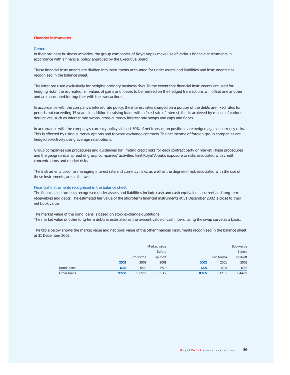## **Financial instruments**

#### *General*

In their ordinary business activities, the group companies of Royal Vopak make use of various financial instruments in accordance with a financial policy approved by the Executive Board.

These financial instruments are divided into instruments accounted for under assets and liabilities and instruments not recognised in the balance sheet.

The latter are used exclusively for hedging ordinary business risks. To the extent that financial instruments are used for hedging risks, the estimated fair values of gains and losses to be realised on the hedged transactions will offset one another and are accounted for together with the transactions.

In accordance with the company's interest rate policy, the interest rates charged on a portion of the debts are fixed rates for periods not exceeding 15 years. In addition to raising loans with a fixed rate of interest, this is achieved by means of various derivatives, such as interest rate swaps, cross currency interest rate swaps and caps and floors.

In accordance with the company's currency policy, at least 50% of net transaction positions are hedged against currency risks. This is effected by using currency options and forward exchange contracts. The net income of foreign group companies are hedged selectively using average rate options.

Group companies use procedures and guidelines for limiting credit risks for each contract party or market. These procedures and the geographical spread of group companies' activities limit Royal Vopak's exposure to risks associated with credit concentrations and market risks.

The instruments used for managing interest rate and currency risks, as well as the degree of risk associated with the use of these instruments, are as follows:

#### *Financial instruments recognised in the balance sheet*

The financial instruments recognised under assets and liabilities include cash and cash equivalents, current and long-term receivables and debts. The estimated fair value of the short-term financial instruments at 31 December 2002 is close to their net book value.

The market value of the bond loans is based on stock exchange quotations. The market value of other long-term debts is estimated as the present value of cash flows, using the swap curve as a basis.

The table below shows the market value and net book value of the other financial instruments recognised in the balance sheet at 31 December 2002.

|             |       |           | Market value |       |           | <b>Bookvalue</b> |
|-------------|-------|-----------|--------------|-------|-----------|------------------|
|             |       |           | Before       |       |           | Before           |
|             |       | Pro forma | split-off    |       | Pro forma | split-off        |
|             | 2002  | 2001      | 2001         | 2002  | 2001      | 2001             |
| Bond loans  | 63.6  | 65.8      | 65.8         | 63.5  | 63.5      | 63.5             |
| Other Ioans | 972.8 | 1.222.9   | 1.553.2      | 832.5 | 1.121.1   | 1,442.9          |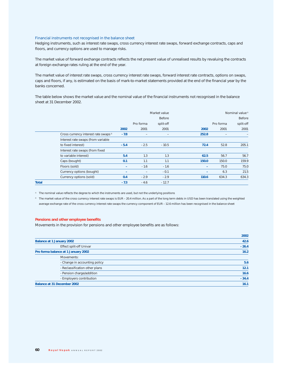## *Financial instruments not recognised in the balance sheet*

Hedging instruments, such as interest rate swaps, cross currency interest rate swaps, forward exchange contracts, caps and floors, and currency options are used to manage risks.

The market value of forward exchange contracts reflects the net present value of unrealised results by revaluing the contracts at foreign exchange rates ruling at the end of the year.

The market value of interest rate swaps, cross currency interest rate swaps, forward interest rate contracts, options on swaps, caps and floors, if any, is estimated on the basis of mark-to-market statements provided at the end of the financial year by the banks concerned.

The table below shows the market value and the nominal value of the financial instruments not recognised in the balance sheet at 31 December 2002.

|              |                                                  | Market value |           |                          |                          | Nominal value <sup>1)</sup> |               |  |
|--------------|--------------------------------------------------|--------------|-----------|--------------------------|--------------------------|-----------------------------|---------------|--|
|              |                                                  |              |           | Before                   |                          |                             | <b>Before</b> |  |
|              |                                                  |              | Pro forma | split-off                |                          | Pro forma                   | split-off     |  |
|              |                                                  | 2002         | 2001      | 2001                     | 2002                     | 2001                        | 2001          |  |
|              | Cross currency interest rate swaps <sup>2)</sup> | $-7.8$       | ۰         | $\overline{\phantom{0}}$ | 252.8                    |                             |               |  |
|              | Interest rate swaps (from variable               |              |           |                          |                          |                             |               |  |
|              | to fixed interest)                               | $-5.4$       | $-2.5$    | $-10.5$                  | 72.4                     | 52.8                        | 205.1         |  |
|              | Interest rate swaps (from fixed                  |              |           |                          |                          |                             |               |  |
|              | to variable interest)                            | 5.4          | 1.3       | 1.3                      | 62.5                     | 56.7                        | 56.7          |  |
|              | Caps (bought)                                    | 0.1          | 1.1       | 1.1                      | 150.0                    | 150.0                       | 159.9         |  |
|              | Floors (sold)                                    | -            | $-1.6$    | $-1.6$                   | $\overline{\phantom{0}}$ | 75.0                        | 75.0          |  |
|              | Currency options (bought)                        | -            | ۰         | $-0.1$                   | $\overline{\phantom{a}}$ | 6.3                         | 21.5          |  |
|              | Currency options (sold)                          | 0.4          | $-2.9$    | $-2.9$                   | 110.6                    | 634.3                       | 634.3         |  |
| <b>Total</b> |                                                  | $-7.3$       | $-4.6$    | $-12.7$                  |                          |                             |               |  |

*1) The nominal value reflects the degree to which the instruments are used, but not the underlying positions*

*2) The market value of the cross currency interest rate swaps is EUR – 20.4 million. As a part of the long term debts in USD has been translated using the weighted average exchange rate of the cross currency interest rate swaps the currency component of EUR – 12.6 million has been recognised in the balance sheet*

# **Pensions and other employee benefits**

Movements in the provision for pensions and other employee benefits are as follows:

|                                     | 2002    |
|-------------------------------------|---------|
| <b>Balance at 1 January 2002</b>    | 42.6    |
| Effect split-off Univar             | $-26.4$ |
| Pro forma balance at 1 January 2002 | 16.2    |
| Movements:                          |         |
| - Change in accounting policy       | 5.6     |
| - Reclassification other plans      | 12.1    |
| - Pension charge/addition           | 16.6    |
| - Employers contribution            | $-34.4$ |
| <b>Balance at 31 December 2002</b>  | 16.1    |
|                                     |         |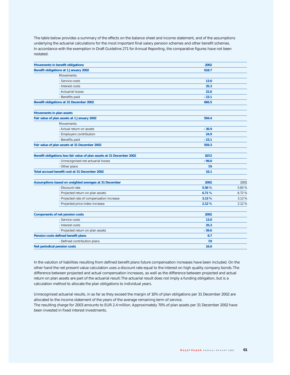The table below provides a summary of the effects on the balance sheet and income statement, and of the assumptions underlying the actuarial calculations for the most important final salary pension schemes and other benefit schemes. In accordance with the exemption in Draft Guideline 271 for Annual Reporting, the comparative figures have not been restated.

| Movements in benefit obligations                                       | 2002    |        |
|------------------------------------------------------------------------|---------|--------|
| Benefit obligations at 1 January 2002                                  | 618.7   |        |
| Movements:                                                             |         |        |
| - Service costs                                                        | 13.0    |        |
| - Interest costs                                                       | 35.3    |        |
| - Actuarial losses                                                     | 22.6    |        |
| - Benefits paid                                                        | $-23.1$ |        |
| Benefit obligations at 31 December 2002                                | 666.5   |        |
| Movements in plan assets                                               |         |        |
| Fair value of plan assets at 1 January 2002                            | 594.4   |        |
| Movements:                                                             |         |        |
| - Actual return on assets                                              | $-36.9$ |        |
| - Employers contribution                                               | 24.9    |        |
| - Benefits paid                                                        | $-23.1$ |        |
| Fair value of plan assets at 31 December 2002                          | 559.3   |        |
| Benefit obligations less fair value of plan assets at 31 December 2002 | 107.2   |        |
| - Unrecognised net actuarial losses                                    | $-99.0$ |        |
| - Other plans                                                          | 7.9     |        |
| Total accrued benefit cost at 31 December 2002                         | 16.1    |        |
| Assumptions based on weighted averages at 31 December                  | 2002    | 2001   |
| - Discount rate                                                        | 5.56 %  | 5.83%  |
| - Projected return on plan assets                                      | 6.71%   | 6.72%  |
| - Projected rate of compensation increase                              | 3.13 %  | 3.13 % |
| - Projected price index increase                                       | 2.12%   | 2.12%  |
| <b>Components of net pension costs</b>                                 | 2002    |        |
| - Service costs                                                        | 13.0    |        |
| - Interest costs                                                       | 35.3    |        |
| - Projected return on plan assets                                      | $-39.6$ |        |
| Pension costs defined benefit plans                                    | 8.7     |        |
| - Defined contribution plans                                           | 7.9     |        |
| Net periodical pension costs                                           | 16.6    |        |
|                                                                        |         |        |

In the valution of liabilities resulting from defined benefit plans future compensation increases have been included. On the other hand the net present value calculation uses a discount rate equal to the interest on high quality company bonds. The difference between projected and actual compensation increases, as well as the difference between projected and actual return on plan assets are part of the actuarial result. The actuarial result does not imply a funding obligation, but is a calculation method to allocate the plan obligations to individual years.

Unrecognised actuarial results, in as far as they exceed the margin of 10% of plan obligations per 31 December 2002 are allocated to the income statement of the years of the average remaining term of service.

The resulting charge for 2003 amounts to EUR 2.4 million. Approximately 70% of plan assets per 31 December 2002 have been invested in fixed interest investments.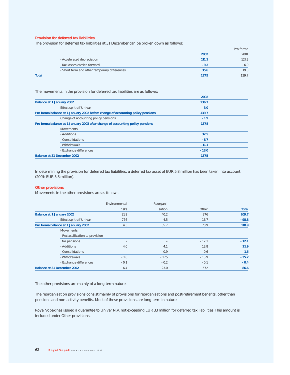# **Provision for deferred tax liabilities**

The provision for deferred tax liabilities at 31 December can be broken down as follows:

|              |                                              |        | Pro forma |
|--------------|----------------------------------------------|--------|-----------|
|              |                                              | 2002   | 2001      |
|              | - Accelerated depreciation                   | 111.1  | 127.3     |
|              | - Tax losses carried forward                 | $-9.2$ | $-6.9$    |
|              | - Short term and other temporary differences | 35.6   | 19.3      |
| <b>Total</b> |                                              | 137.5  | 139.7     |
|              |                                              |        |           |

The movements in the provision for deferred tax liabilities are as follows:

|                                      |                                                                                 | 2002    |  |
|--------------------------------------|---------------------------------------------------------------------------------|---------|--|
| <b>Balance at 1 January 2002</b>     |                                                                                 | 136.7   |  |
|                                      | <b>Effect split-off Univar</b>                                                  | 3.0     |  |
|                                      | Pro forma balance at 1 January 2002 before change of accounting policy pensions | 139.7   |  |
| Change of accounting policy pensions |                                                                                 | $-1.9$  |  |
|                                      | Pro forma balance at 1 January 2002 after change of accounting policy pensions  | 137.8   |  |
|                                      | Movements:                                                                      |         |  |
|                                      | - Additions                                                                     | 32.5    |  |
|                                      | - Consolidations                                                                | $-8.7$  |  |
|                                      | - Withdrawals                                                                   | $-11.1$ |  |
|                                      | - Exchange differences                                                          | $-13.0$ |  |
|                                      | Balance at 31 December 2002                                                     | 137.5   |  |
|                                      |                                                                                 |         |  |

In determining the provision for deferred tax liabilities, a deferred tax asset of EUR 5.8 million has been taken into account (2001: EUR 5.8 million).

#### **Other provisions**

Movements in the other provisions are as follows:

|                                     | Environmental | Reorgani- |         |              |
|-------------------------------------|---------------|-----------|---------|--------------|
|                                     | risks         | sation    | Other   | <b>Total</b> |
| <b>Balance at 1 January 2002</b>    | 81.9          | 40.2      | 87.6    | 209.7        |
| <b>Effect split-off Univar</b>      | $-77.6$       | $-4.5$    | $-16.7$ | $-98.8$      |
| Pro forma balance at 1 January 2002 | 4.3           | 35.7      | 70.9    | 110.9        |
| Movements:                          |               |           |         |              |
| - Reclassification to provision     |               |           |         |              |
| for pensions                        |               |           | $-12.1$ | $-12.1$      |
| - Additions                         | 4.0           | 4.1       | 13.8    | 21.9         |
| - Consolidations                    | $-$           | 0.9       | 0.6     | 1.5          |
| - Withdrawals                       | $-1.8$        | $-17.5$   | $-15.9$ | $-35.2$      |
| - Exchange differences              | $-0.1$        | $-0.2$    | $-0.1$  | $-0.4$       |
| <b>Balance at 31 December 2002</b>  | 6.4           | 23.0      | 57.2    | 86.6         |

The other provisions are mainly of a long-term nature.

The reorganisation provisions consist mainly of provisions for reorganisations and post-retirement benefits, other than pensions and non-activity benefits. Most of these provisions are long-term in nature.

Royal Vopak has issued a guarantee to Univar N.V. not exceeding EUR 33 million for deferred tax liabilities. This amount is included under Other provisions.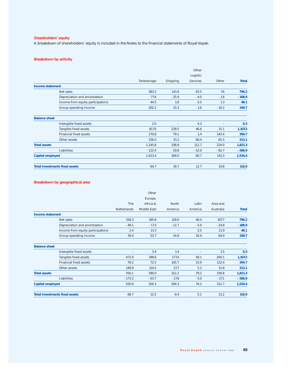# **Shareholders' equity**

A breakdown of shareholders' equity is included in the Notes to the financial statements of Royal Vopak.

# **Breakdown by activity**

|                                       |                                   |             |                   | Other           |                   |              |
|---------------------------------------|-----------------------------------|-------------|-------------------|-----------------|-------------------|--------------|
|                                       |                                   |             |                   | Logistic        |                   |              |
|                                       |                                   | Tankstorage | Shipping          | <b>Services</b> | Other             | <b>Total</b> |
| <b>Income statement</b>               |                                   |             |                   |                 |                   |              |
|                                       | Net sales                         | 583.2       | 141.9             | 63.5            | 7.6               | 796.2        |
|                                       | Depreciation and amortization     | $-77.4$     | $-25.9$           | $-4.0$          | $-1.6$            | $-108.9$     |
|                                       | Income from equity participations | 44.5        | 1.8               | 0.5             | 1.3               | 48.1         |
|                                       | Group operating income            | 202.2       | 15.3              | $-1.6$          | $-16.2$           | 199.7        |
| <b>Balance sheet</b>                  |                                   |             |                   |                 |                   |              |
|                                       | Intangible fixed assets           | 2.0         | $\qquad \qquad -$ | 4.3             | $\qquad \qquad -$ | 6.3          |
|                                       | Tangible fixed assets             | 817.0       | 228.5             | 46.6            | 15.1              | 1,107.2      |
|                                       | <b>Financial fixed assets</b>     | 170.8       | 79.1              | 1.4             | 143.4             | 394.7        |
|                                       | Other assets                      | 156.0       | 31.2              | 60.4            | 65.5              | 313.1        |
| <b>Total assets</b>                   |                                   | 1,145.8     | 338.8             | 112.7           | 224.0             | 1,821.3      |
|                                       | Liabilities                       | $-122.4$    | $-29.8$           | $-52.0$         | $-82.7$           | $-286.9$     |
| <b>Capital employed</b>               |                                   | 1,023.4     | 309.0             | 60.7            | 141.3             | 1,534.4      |
| <b>Total investments fixed assets</b> |                                   | 64.7        | 19.7              | 12.7            | 19.8              | 116.9        |

# **Breakdown by geographical area**

|                                       |                                   |             | Other              |                   |         |           |              |
|---------------------------------------|-----------------------------------|-------------|--------------------|-------------------|---------|-----------|--------------|
|                                       |                                   |             | Europe,            |                   |         |           |              |
|                                       |                                   | The         | Africa &           | North             | Latin   | Asia and  |              |
|                                       |                                   | Netherlands | <b>Middle East</b> | America           | America | Australia | <b>Total</b> |
| <b>Income statement</b>               |                                   |             |                    |                   |         |           |              |
|                                       | Net sales                         | 334.3       | 195.8              | 118.0             | 40.4    | 107.7     | 796.2        |
|                                       | Depreciation and amortization     | $-49.1$     | $-17.3$            | $-12.7$           | $-5.0$  | $-24.8$   | $-108.9$     |
|                                       | Income from equity participations | 2.4         | 21.3               | $\qquad \qquad -$ | 2.5     | 21.9      | 48.1         |
|                                       | Group operating income            | 39.4        | 53.7               | 24.8              | 16.9    | 64.9      | 199.7        |
| <b>Balance sheet</b>                  |                                   |             |                    |                   |         |           |              |
|                                       | Intangible fixed assets           |             | 3.4                | 1.4               |         | 1.5       | 6.3          |
|                                       | Tangible fixed assets             | 472.0       | 199.6              | 177.4             | 58.1    | 200.1     | 1,107.2      |
|                                       | <b>Financial fixed assets</b>     | 78.2        | 72.5               | 105.7             | 15.9    | 122.4     | 394.7        |
|                                       | Other assets                      | 149.9       | 114.5              | 27.7              | 5.2     | 15.8      | 313.1        |
| <b>Total assets</b>                   |                                   | 700.1       | 390.0              | 312.2             | 79.2    | 339.8     | 1,821.3      |
|                                       | Liabilities                       | $-173.2$    | $-63.7$            | $-17.9$           | $-5.0$  | $-27.1$   | $-286.9$     |
| <b>Capital employed</b>               |                                   | 526.9       | 326.3              | 294.3             | 74.2    | 312.7     | 1,534.4      |
| <b>Total investments fixed assets</b> |                                   | 68.7        | 12.5               | 9.4               | 5.1     | 21.2      | 116.9        |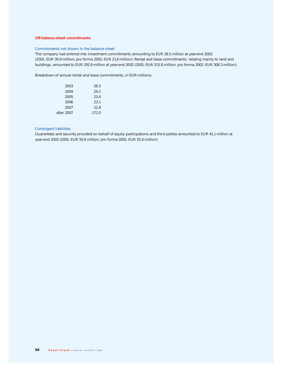## **Off-balance-sheet commitments**

# *Commitments not shown in the balance sheet*

The company had entered into investment commitments amounting to EUR 18.5 million at year-end 2002 (2001: EUR 30.9 million; pro forma 2001: EUR 21.6 million). Rental and lease commitments, relating mainly to land and buildings, amounted to EUR 291.9 million at year-end 2002 (2001: EUR 515.8 million; pro forma 2001: EUR 308.3 million).

Breakdown of annual rental and lease commitments, in EUR millions:

| 2003       | 26.5  |
|------------|-------|
| 2004       | 24.1  |
| 2005       | 23.4  |
| 2006       | 23.1  |
| 2007       | 22.8  |
| after 2007 | 172.0 |
|            |       |

## *Contingent liabilities*

Guarantees and security provided on behalf of equity participations and third parties amounted to EUR 41.1 million at year-end 2002 (2001: EUR 55.6 million; pro forma 2001: EUR 55.6 million).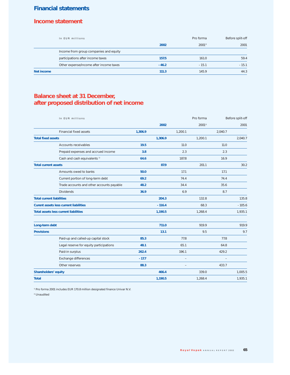# **Financial statements**

# **Income statement**

|            | In EUR millions                         |         | Pro forma  | Before split-off |
|------------|-----------------------------------------|---------|------------|------------------|
|            |                                         | 2002    | $2001^{2}$ | 2001             |
|            | Income from group companies and equity  |         |            |                  |
|            | participations after income taxes       | 157.5   | 161.0      | 59.4             |
|            | Other expense/income after income taxes | $-46.2$ | $-15.1$    | $-15.1$          |
| Net income |                                         | 111.3   | 145.9      | 44.3             |

# **Balance sheet at 31 December, after proposed distribution of net income**

|                                  | In EUR millions                               |         |          |                          | Pro forma  |                   | Before split-off |
|----------------------------------|-----------------------------------------------|---------|----------|--------------------------|------------|-------------------|------------------|
|                                  |                                               |         | 2002     |                          | $2001^{2}$ |                   | 2001             |
|                                  | <b>Financial fixed assets</b>                 | 1,306.9 |          | 1,200.1                  |            | 2,040.7           |                  |
| <b>Total fixed assets</b>        |                                               |         | 1.306.9  |                          | 1.200.1    |                   | 2,040.7          |
|                                  | Accounts receivables                          | 19.5    |          | 11.0                     |            | 11.0              |                  |
|                                  | Prepaid expenses and accrued income           | 3.8     |          | 2.3                      |            | 2.3               |                  |
|                                  | Cash and cash equivalents <sup>1)</sup>       | 64.6    |          | 187.8                    |            | 16.9              |                  |
| <b>Total current assets</b>      |                                               |         | 87.9     |                          | 201.1      |                   | 30.2             |
|                                  | Amounts owed to banks                         | 50.0    |          | 17.1                     |            | 17.1              |                  |
|                                  | Current portion of long-term debt             | 69.2    |          | 74.4                     |            | 74.4              |                  |
|                                  | Trade accounts and other accounts payable     | 48.2    |          | 34.4                     |            | 35.6              |                  |
|                                  | <b>Dividends</b>                              | 36.9    |          | 6.9                      |            | 8.7               |                  |
| <b>Total current liabilities</b> |                                               |         | 204.3    |                          | 132.8      |                   | 135.8            |
|                                  | <b>Curent assets less current liabilities</b> |         | $-116.4$ |                          | 68.3       |                   | $-105.6$         |
|                                  | <b>Total assets less current liabilities</b>  |         | 1,190.5  |                          | 1,268.4    |                   | 1,935.1          |
| Long-term debt                   |                                               |         | 711.0    |                          | 919.9      |                   | 919.9            |
| <b>Provisions</b>                |                                               |         | 13.1     |                          | 9.5        |                   | 9.7              |
|                                  | Paid-up and called-up capital stock           | 85.3    |          | 77.8                     |            | 77.8              |                  |
|                                  | Legal reserve for equity participations       | 48.1    |          | 65.1                     |            | 64.8              |                  |
|                                  | Paid-in surplus                               | 262.4   |          | 196.1                    |            | 429.2             |                  |
|                                  | Exchange differences                          | $-17.7$ |          | $\overline{\phantom{0}}$ |            | $\qquad \qquad -$ |                  |
|                                  | Other reserves                                | 88.3    |          | $\equiv$                 |            | 433.7             |                  |
| Shareholders' equity             |                                               |         | 466.4    |                          | 339.0      |                   | 1.005.5          |
| <b>Total</b>                     |                                               |         | 1,190.5  |                          | 1,268.4    |                   | 1,935.1          |

*1) Pro forma 2001 includes EUR 170.8 million designated finance Univar N.V.*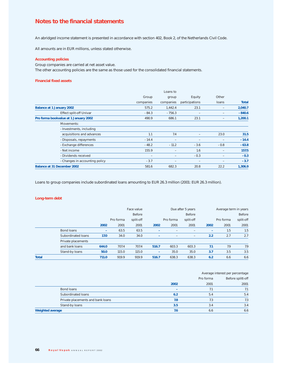# **Notes to the financial statements**

An abridged income statement is presented in accordance with section 402, Book 2, of the Netherlands Civil Code.

All amounts are in EUR millions, unless stated otherwise.

## **Accounting policies**

Group companies are carried at net asset value.

The other accounting policies are the same as those used for the consolidated financial statements.

## **Financial fixed assets**

|                                       |                   | Loans to                 |                          |                   |              |
|---------------------------------------|-------------------|--------------------------|--------------------------|-------------------|--------------|
|                                       | Group             | group                    | Equity                   | Other             |              |
|                                       | companies         | companies                | participations           | loans             | <b>Total</b> |
| <b>Balance at 1 January 2002</b>      | 575.2             | 1,442.4                  | 23.1                     | $\qquad \qquad -$ | 2,040.7      |
| <b>Effect split-off Univar</b>        | $-84.3$           | $-756.3$                 | $\overline{\phantom{0}}$ |                   | $-840.6$     |
| Pro forma bookvalue at 1 January 2002 | 490.9             | 686.1                    | 23.1                     | -                 | 1,200.1      |
| Movements:                            |                   |                          |                          |                   |              |
| - Investments, including              |                   |                          |                          |                   |              |
| acquisitions and advances             | 1.1               | 7.4                      | -                        | 23.0              | 31.5         |
| - Disposals, repayments               | $-14.4$           | $\qquad \qquad -$        | $\overline{\phantom{0}}$ | $\qquad \qquad -$ | $-14.4$      |
| - Exchange differences                | $-48.2$           | $-11.2$                  | $-3.6$                   | $-0.8$            | $-63.8$      |
| - Net income                          | 155.9             | -                        | 1.6                      | -                 | 157.5        |
| - Dividends received                  | $\qquad \qquad -$ | -                        | $-0.3$                   |                   | $-0.3$       |
| - Changes in accounting policy        | $-3.7$            | $\overline{\phantom{0}}$ | $\overline{\phantom{0}}$ |                   | $-3.7$       |
| <b>Balance at 31 December 2002</b>    | 581.6             | 682.3                    | 20.8                     | 22.2              | 1,306.9      |

Loans to group companies include subordinated loans amounting to EUR 26.3 million (2001: EUR 26.3 million).

### **Long-term debt**

|              |                    |       |           | Face value |                          |           | Due after 5 years        |                          | Average term in years |           |
|--------------|--------------------|-------|-----------|------------|--------------------------|-----------|--------------------------|--------------------------|-----------------------|-----------|
|              |                    |       |           | Before     |                          |           | Before                   |                          |                       | Before    |
|              |                    |       | Pro forma | split-off  |                          | Pro forma | split-off                |                          | Pro forma             | split-off |
|              |                    | 2002  | 2001      | 2001       | 2002                     | 2001      | 2001                     | 2002                     | 2001                  | 2001      |
|              | Bond loans         | -     | 63.5      | 63.5       | $\overline{\phantom{0}}$ |           |                          | $\overline{\phantom{0}}$ | 1.5                   | 1.5       |
|              | Subordinated Ioans | 17.0  | 34.0      | 34.0       | $\overline{\phantom{0}}$ | ۰         | $\overline{\phantom{0}}$ | 2.2                      | 2.7                   | 2.7       |
|              | Private placements |       |           |            |                          |           |                          |                          |                       |           |
|              | and bank loans     | 644.0 | 707.4     | 707.4      | 516.7                    | 603.3     | 603.3                    | 7.1                      | 7.9                   | 7.9       |
|              | Stand-by loans     | 50.0  | 115.0     | 115.0      | $\overline{\phantom{0}}$ | 35.0      | 35.0                     | 3.7                      | 3.5                   | 3.5       |
| <b>Total</b> |                    | 711.0 | 919.9     | 919.9      | 516.7                    | 638.3     | 638.3                    | 6.2                      | 6.6                   | 6.6       |

|                                   |      |           | Average interest per percentage |
|-----------------------------------|------|-----------|---------------------------------|
|                                   |      | Pro forma | Before splitt-off               |
|                                   | 2002 | 2001      | 2001                            |
| Bond loans                        |      | 7.1       | 7.1                             |
| Subordinated Ioans                | 6.2  | 5.4       | 5.4                             |
| Private placements and bank loans | 7.8  | 7.3       | 7.3                             |
| Stand-by loans                    | 3.5  | 3.4       | 3.4                             |
| <b>Weighted average</b>           | 7.6  | 6.6       |                                 |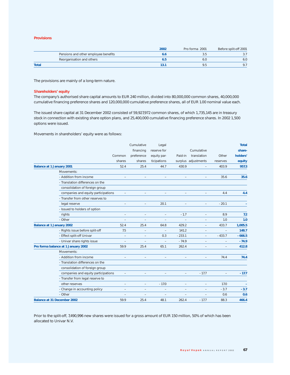# **Provisions**

|              |                                      | 2002 | Pro forma 2001 | Before split-off 2001 |
|--------------|--------------------------------------|------|----------------|-----------------------|
|              | Pensions and other employee benefits |      |                |                       |
|              | Reorganisation and others            |      | 6.U            | 6.0                   |
| <b>Total</b> |                                      |      |                |                       |

The provisions are mainly of a long-term nature.

## **Shareholders' equity**

The company's authorised share capital amounts to EUR 240 million, divided into 80,000,000 common shares, 40,000,000 cumulative financing preference shares and 120,000,000 cumulative preference shares, all of EUR 1.00 nominal value each.

The issued share capital at 31 December 2002 consisted of 59,927,972 common shares, of which 1,735,145 are in treasury stock in connection with existing share option plans, and 25,400,000 cumulative financing preference shares. In 2002 1,500 options were issued.

Movements in shareholders' equity were as follows:

|                                    |                                     |                          | Cumulative               | Legal                    |                          |                          |                          | <b>Total</b> |
|------------------------------------|-------------------------------------|--------------------------|--------------------------|--------------------------|--------------------------|--------------------------|--------------------------|--------------|
|                                    |                                     |                          | financing                | reserve for              |                          | Cumulative               |                          | share-       |
|                                    |                                     | Common                   | preference               | equity par-              | Paid-in                  | translation              | Other                    | holders'     |
|                                    |                                     | shares                   | shares                   | ticipations              |                          | surplus adjustments      | reserves                 | equity       |
| <b>Balance at 1 January 2001</b>   |                                     | 52.4                     | 25.4                     | 44.7                     | 430.9                    |                          | 403.9                    | 957.3        |
|                                    | Movements:                          |                          |                          |                          |                          |                          |                          |              |
|                                    | - Addition from income              |                          |                          |                          |                          |                          | 35.6                     | 35.6         |
|                                    | - Translation differences on the    |                          |                          |                          |                          |                          |                          |              |
|                                    | consolidation of foreign group      |                          |                          |                          |                          |                          |                          |              |
|                                    | companies and equity participations |                          |                          |                          |                          |                          | 4.4                      | 4.4          |
|                                    | - Transfer from other reserves to   |                          |                          |                          |                          |                          |                          |              |
|                                    | legal reserve                       | $\overline{\phantom{a}}$ | $\overline{\phantom{0}}$ | 20.1                     | $\overline{\phantom{0}}$ | $\overline{\phantom{a}}$ | $-20.1$                  |              |
|                                    | - Issued to holders of option       |                          |                          |                          |                          |                          |                          |              |
|                                    | rights                              |                          |                          | $\qquad \qquad -$        | $-1.7$                   | $\overline{\phantom{a}}$ | 8.9                      | 7.2          |
|                                    | - Other                             |                          |                          | -                        |                          | $\qquad \qquad -$        | 1.0                      | 1.0          |
| <b>Balance at 1 January 2002</b>   |                                     | 52.4                     | 25.4                     | 64.8                     | 429.2                    | $\overline{\phantom{m}}$ | 433.7                    | 1,005.5      |
|                                    | - Rights issue before split-off     | 7.5                      |                          | $\overline{\phantom{0}}$ | 141.2                    | $\overline{\phantom{a}}$ |                          | 148.7        |
|                                    | - Effect split-off Univar           | $\overline{\phantom{m}}$ | $\qquad \qquad -$        | 0.3                      | $-233.1$                 | $\overline{\phantom{m}}$ | $-433.7$                 | $-666.5$     |
|                                    | - Univar share rights issue         | $\overline{\phantom{a}}$ |                          | L,                       | $-74.9$                  | $\overline{\phantom{a}}$ | $\qquad \qquad -$        | $-74.9$      |
|                                    | Pro forma balance at 1 January 2002 | 59.9                     | 25.4                     | 65.1                     | 262.4                    | $\overline{\phantom{m}}$ | $\overline{\phantom{0}}$ | 412.8        |
|                                    | Movements:                          |                          |                          |                          |                          |                          |                          |              |
|                                    | - Addition from income              |                          |                          |                          |                          |                          | 74.4                     | 74.4         |
|                                    | - Translation differences on the    |                          |                          |                          |                          |                          |                          |              |
|                                    | consolidation of foreign group      |                          |                          |                          |                          |                          |                          |              |
|                                    | companies and equity participations |                          |                          | $\overline{\phantom{0}}$ | -                        | $-17.7$                  | -                        | $-17.7$      |
|                                    | - Transfer from legal reserve to    |                          |                          |                          |                          |                          |                          |              |
|                                    | other reserves                      | $\overline{\phantom{a}}$ | $\overline{\phantom{a}}$ | $-17.0$                  | $\overline{\phantom{a}}$ | $\overline{\phantom{a}}$ | 17.0                     |              |
|                                    | - Change in accounting policy       | $\qquad \qquad -$        | $\overline{\phantom{m}}$ | $\qquad \qquad -$        | $\qquad \qquad -$        | $\overline{\phantom{a}}$ | $-3.7$                   | $-3.7$       |
|                                    | - Other                             |                          | $\qquad \qquad -$        | $\qquad \qquad -$        | $\qquad \qquad -$        | $\overline{\phantom{m}}$ | 0.6                      | 0.6          |
| <b>Balance at 31 December 2002</b> |                                     | 59.9                     | 25.4                     | 48.1                     | 262.4                    | $-17.7$                  | 88.3                     | 466.4        |

Prior to the split-off, 7,490,996 new shares were issued for a gross amount of EUR 150 million, 50% of which has been allocated to Univar N.V.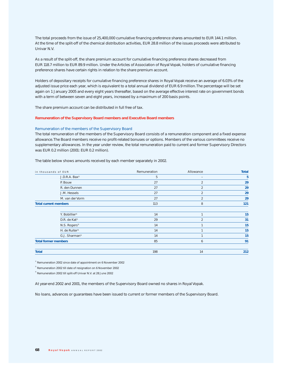The total proceeds from the issue of 25,400,000 cumulative financing preference shares amounted to EUR 144.1 million. At the time of the split-off of the chemical distribution activities, EUR 28.8 million of the issues proceeds were attributed to Univar N.V.

As a result of the split-off, the share premium account for cumulative financing preference shares decreased from EUR 118.7 million to EUR 89.9 million. Under the Articles of Association of Royal Vopak, holders of cumulative financing preference shares have certain rights in relation to the share premium account.

Holders of depositary receipts for cumulative financing preference shares in Royal Vopak receive an average of 6.03% of the adjusted issue price each year, which is equivalent to a total annual dividend of EUR 6.9 million. The percentage will be set again on 1 January 2005 and every eight years thereafter, based on the average effective interest rate on government bonds with a term of between seven and eight years, increased by a maximum of 200 basis points.

The share premium account can be distributed in full free of tax.

#### **Remuneration of the Supervisory Board members and Executive Board members**

## *Remuneration of the members of the Supervisory Board*

The total remuneration of the members of the Supervisory Board consists of a remuneration component and a fixed expense allowance. The Board members receive no profit-related bonuses or options. Members of the various committees receive no supplementary allowances. In the year under review, the total remuneration paid to current and former Supervisory Directors was EUR 0.2 million (2001: EUR 0.2 million).

The table below shows amounts received by each member separately in 2002.

|              | in thousands of EUR          | Remuneration | Allowance         | <b>Total</b> |
|--------------|------------------------------|--------------|-------------------|--------------|
|              | J.D.R.A. Bax <sup>1</sup>    | 5            | $\qquad \qquad -$ | 5            |
|              | P. Bouw                      | 27           | $\overline{2}$    | 29           |
|              | R. den Dunnen                | 27           | 2                 | 29           |
|              | J.M. Hessels                 | 27           | $\overline{2}$    | 29           |
|              | M. van der Vorm              | 27           | $\overline{2}$    | 29           |
|              | <b>Total current members</b> | 113          | 8                 | 121          |
|              | Y. Bobillier <sup>3)</sup>   | 14           | 1                 | 15           |
|              | D.R. de Kat <sup>2)</sup>    | 29           | 2                 | 31           |
|              | N.S. Rogers <sup>3)</sup>    | 14           | 1                 | 15           |
|              | H. de Ruiter <sup>3)</sup>   | 14           |                   | 15           |
|              | G.J. Sharman <sup>3)</sup>   | 14           | 1                 | 15           |
|              | <b>Total former members</b>  | 85           | 6                 | 91           |
| <b>Total</b> |                              | 198          | 14                | 212          |

*1) Remuneration 2002 since date of appointment on 6 November 2002* 

*2) Remuneration 2002 till date of resignation on 6 November 2002* 

*3) Remuneration 2002 till split-off Univar N.V. at 28 June 2002* 

At year-end 2002 and 2001, the members of the Supervisory Board owned no shares in Royal Vopak.

No loans, advances or guarantees have been issued to current or former members of the Supervisory Board.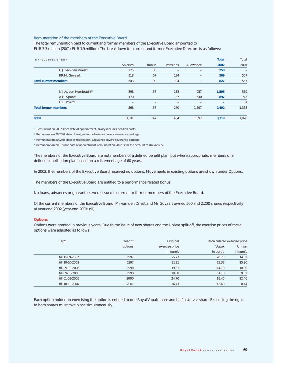## *Remuneration of the members of the Executive Board*

The total remuneration paid to current and former members of the Executive Board amounted to EUR 3.3 million (2001: EUR 1.9 million). The breakdown for current and former Executive Directors is as follows:

| in thousands of EUR          |                                    |                 |                          |                   |                   | <b>Total</b>             | Total |
|------------------------------|------------------------------------|-----------------|--------------------------|-------------------|-------------------|--------------------------|-------|
|                              |                                    | <b>Salaries</b> | <b>Bonus</b>             | Pensions          | Allowance         | 2002                     | 2001  |
|                              | C.J. van den Driest <sup>1)</sup>  | 225             | 33                       | $\qquad \qquad -$ | $\qquad \qquad -$ | 258                      |       |
|                              | P.R.M. Govaart                     | 318             | 57                       | 194               | $\qquad \qquad -$ | 569                      | 557   |
| <b>Total current members</b> |                                    | 543             | 90                       | 194               | $\qquad \qquad -$ | 827                      |       |
|                              | N.J.A. von Hombracht <sup>2)</sup> | 398             | 57                       | 183               | 957               | 1,595                    | 559   |
|                              | A.H. Spoor <sup>3)</sup>           | 170             | $\overline{\phantom{a}}$ | 87                | 640               | 897                      | 743   |
|                              | G.E. Pruitt <sup>4)</sup>          | $\qquad \qquad$ | $\qquad \qquad -$        | $\qquad \qquad -$ |                   | $\overline{\phantom{a}}$ | 61    |
| <b>Total former members</b>  |                                    | 568             | 57                       | 270               | 1,597             | 2,492                    | 1,363 |
| <b>Total</b>                 |                                    | 1,111           | 147                      | 464               | 1,597             | 3,319                    | 1,920 |

*1) Remuneration 2002 since date of appointment, salary includes pension costs* 

*2) Remuneration 2002 till date of resignation, allowance covers severance package* 

*3) Remuneration 2002 till date of resignation, allowance covers severance package* 

*4) Remuneration 2001 since date of appointment, remuneration 2002 is for the account of Univar N.V.*

The members of the Executive Board are not members of a defined benefit plan, but where appropriate, members of a defined contribution plan based on a retirement age of 60 years.

In 2002, the members of the Executive Board received no options. Movements in existing options are shown under Options.

The members of the Executive Board are entitled to a performance related bonus.

No loans, advances or guarantees were issued to current or former members of the Executive Board.

Of the current members of the Executive Board, Mr van den Driest and Mr Govaart owned 500 and 2,200 shares respectively at year-end 2002 (year-end 2001: nil).

# **Options**

Options were granted in previous years. Due to the issue of new shares and the Univar split-off, the exercise prices of these options were adjusted as follows:

| <b>Term</b>     | Year of | Original       |           | Recalculated exercise price |
|-----------------|---------|----------------|-----------|-----------------------------|
|                 | options | exercise price | Vopak     | Univar                      |
|                 |         | in euro's      | in euro's | in euro's                   |
| till 11-09-2002 | 1997    | 27.77          | 20.73     | 14.02                       |
| till 10-10-2002 | 1997    | 31.31          | 23.38     | 15.80                       |
| till 29-10-2003 | 1998    | 19.81          | 14.79     | 10.00                       |
| till 09-10-2003 | 1998    | 18.88          | 14.10     | 9.52                        |
| till 01-03-2005 | 2000    | 24.70          | 18.45     | 12.46                       |
| till 10-11-2006 | 2001    | 16.73          | 12.49     | 8.44                        |

Each option holder on exercising the option is entitled to one Royal Vopak share and half a Univar share. Exercising the right to both shares must take place simultaneously.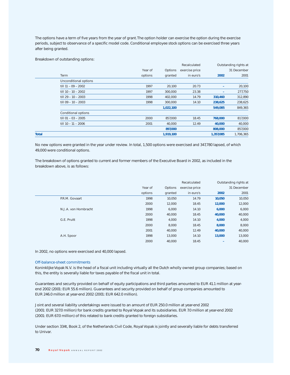The options have a term of five years from the year of grant. The option holder can exercise the option during the exercise periods, subject to observance of a specific model code. Conditional employee stock options can be exercised three years after being granted.

#### Breakdown of outstanding options:

|              |                       |         |           | Recalculated   |           | Outstanding rights at |
|--------------|-----------------------|---------|-----------|----------------|-----------|-----------------------|
|              |                       | Year of | Options   | exercise price |           | 31 December           |
|              | Term                  | options | granted   | in euro's      | 2002      | 2001                  |
|              | Unconditional options |         |           |                |           |                       |
|              | till $11 - 09 - 2002$ | 1997    | 20,100    | 20.73          | -         | 20,100                |
|              | till 10 - 10 - 2002   | 1997    | 300,000   | 23.38          | -         | 277,750               |
|              | till 29 - 10 - 2003   | 1998    | 402,000   | 14.79          | 310,460   | 312,890               |
|              | till 09 - 10 - 2003   | 1998    | 300,000   | 14.10          | 238,625   | 238,625               |
|              |                       |         | 1,022,100 |                | 549,085   | 849,365               |
|              | Conditional options   |         |           |                |           |                       |
|              | till $01 - 03 - 2005$ | 2000    | 857,000   | 18.45          | 768,000   | 817,000               |
|              | till 10 - 11 - 2006   | 2001    | 40,000    | 12.49          | 40,000    | 40,000                |
|              |                       |         | 897,000   |                | 808,000   | 857,000               |
| <b>Total</b> |                       |         | 1,919,100 |                | 1,357,085 | 1,706,365             |

No new options were granted in the year under review. In total, 1,500 options were exercised and 347,780 lapsed, of which 49,000 were conditional options.

The breakdown of options granted to current and former members of the Executive Board in 2002, as included in the breakdown above, is as follows:

|                      |         |         | Recalculated   |        | Outstanding rights at |  |
|----------------------|---------|---------|----------------|--------|-----------------------|--|
|                      | Year of | Options | exercise price |        | 31 December           |  |
|                      | options | granted | in euro's      | 2002   | 2001                  |  |
| P.R.M. Govaart       | 1998    | 10.050  | 14.79          | 10,050 | 10,050                |  |
|                      | 2000    | 12,000  | 18.45          | 12,000 | 12,000                |  |
| N.J.A. von Hombracht | 1998    | 6,000   | 14.10          | 6,000  | 6,000                 |  |
|                      | 2000    | 40,000  | 18.45          | 40,000 | 40,000                |  |
| G.E. Pruitt          | 1998    | 4,000   | 14.10          | 4,000  | 4,000                 |  |
|                      | 2000    | 8,000   | 18.45          | 8,000  | 8,000                 |  |
|                      | 2001    | 40,000  | 12.49          | 40,000 | 40,000                |  |
| A.H. Spoor           | 1998    | 13.000  | 14.10          | 13,000 | 13,000                |  |
|                      | 2000    | 40.000  | 18.45          |        | 40,000                |  |
|                      |         |         |                |        |                       |  |

In 2002, no options were exercised and 40,000 lapsed.

#### *Off-balance-sheet commitments*

Koninklijke Vopak N.V. is the head of a fiscal unit including virtually all the Dutch wholly owned group companies; based on this, the entity is severally liable for taxes payable of the fiscal unit in total.

Guarantees and security provided on behalf of equity participations and third parties amounted to EUR 41.1 million at yearend 2002 (2001: EUR 55.6 million). Guarantees and security provided on behalf of group companies amounted to EUR 246.0 million at year-end 2002 (2001: EUR 642.0 million).

Joint and several liability undertakings were issued to an amount of EUR 250.0 million at year-end 2002 (2001: EUR 327.0 million) for bank credits granted to Royal Vopak and its subsidiaries. EUR 7.0 million at year-end 2002 (2001: EUR 67.0 million) of this related to bank credits granted to foreign subsidiaries.

Under section 334t, Book 2, of the Netherlands Civil Code, Royal Vopak is jointly and severally liable for debts transferred to Univar.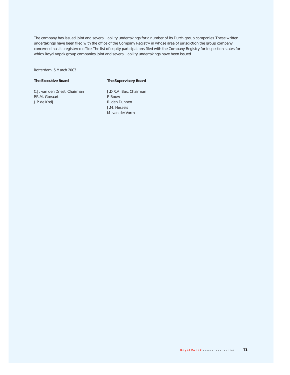The company has issued joint and several liability undertakings for a number of its Dutch group companies. These written undertakings have been filed with the office of the Company Registry in whose area of jurisdiction the group company concerned has its registered office. The list of equity participations filed with the Company Registry for inspection states for which Royal Vopak group companies joint and several liability undertakings have been issued.

Rotterdam, 5 March 2003

C.J. van den Driest, Chairman J.D.R.A. Bax, Chairman P.R.M. Govaart P. Bouw J.P. de Kreij R. den Dunnen

## **The Executive Board The Supervisory Board**

J.M. Hessels M. van der Vorm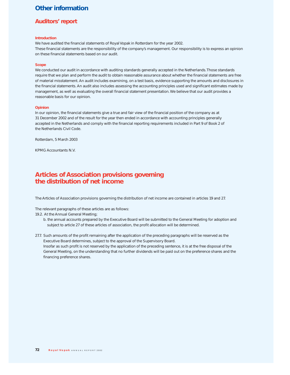# **Other information**

## **Auditors' report**

## **Introduction**

We have audited the financial statements of Royal Vopak in Rotterdam for the year 2002. These financial statements are the responsibility of the company's management. Our responsibility is to express an opinion on these financial statements based on our audit.

## **Scope**

We conducted our audit in accordance with auditing standards generally accepted in the Netherlands. Those standards require that we plan and perform the audit to obtain reasonable assurance about whether the financial statements are free of material misstatement. An audit includes examining, on a test basis, evidence supporting the amounts and disclosures in the financial statements. An audit also includes assessing the accounting principles used and significant estimates made by management, as well as evaluating the overall financial statement presentation. We believe that our audit provides a reasonable basis for our opinion.

## **Opinion**

In our opinion, the financial statements give a true and fair view of the financial position of the company as at 31 December 2002 and of the result for the year then ended in accordance with accounting principles generally accepted in the Netherlands and comply with the financial reporting requirements included in Part 9 of Book 2 of the Netherlands Civil Code.

Rotterdam, 5 March 2003

*KPMG Accountants N.V.* 

## **Articles of Association provisions governing the distribution of net income**

The Articles of Association provisions governing the distribution of net income are contained in articles 19 and 27.

The relevant paragraphs of these articles are as follows:

19.2. At the Annual General Meeting;

- b. the annual accounts prepared by the Executive Board will be submitted to the General Meeting for adoption and subject to article 27 of these articles of association, the profit allocation will be determined.
- 27.7. Such amounts of the profit remaining after the application of the preceding paragraphs will be reserved as the Executive Board determines, subject to the approval of the Supervisory Board. Insofar as such profit is not reserved by the application of the preceding sentence, it is at the free disposal of the General Meeting, on the understanding that no further dividends will be paid out on the preference shares and the financing preference shares.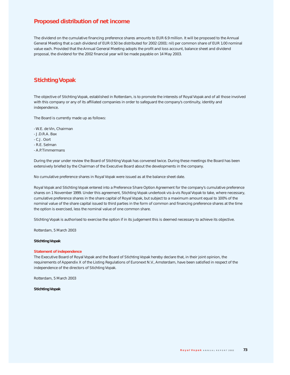## **Proposed distribution of net income**

The dividend on the cumulative financing preference shares amounts to EUR 6.9 million. It will be proposed to the Annual General Meeting that a cash dividend of EUR 0.50 be distributed for 2002 (2001: nil) per common share of EUR 1.00 nominal value each. Provided that the Annual General Meeting adopts the profit and loss account, balance sheet and dividend proposal, the dividend for the 2002 financial year will be made payable on 14 May 2003.

## **Stichting Vopak**

The objective of Stichting Vopak, established in Rotterdam, is to promote the interests of Royal Vopak and of all those involved with this company or any of its affiliated companies in order to safeguard the company's continuity, identity and independence.

The Board is currently made up as follows:

- W.E. de Vin, Chairman
- J.D.R.A. Bax
- C.J. Oort
- R.E. Selman
- A.P. Timmermans

During the year under review the Board of Stichting Vopak has convened twice. During these meetings the Board has been extensively briefed by the Chairman of the Executive Board about the developments in the company.

No cumulative preference shares in Royal Vopak were issued as at the balance sheet date.

Royal Vopak and Stichting Vopak entered into a Preference Share Option Agreement for the company's cumulative preference shares on 1 November 1999. Under this agreement, Stichting Vopak undertook vis-à-vis Royal Vopak to take, where necessary, cumulative preference shares in the share capital of Royal Vopak, but subject to a maximum amount equal to 100% of the nominal value of the share capital issued to third parties in the form of common and financing preference shares at the time the option is exercised, less the nominal value of one common share.

Stichting Vopak is authorised to exercise the option if in its judgement this is deemed necessary to achieve its objective.

Rotterdam, 5 March 2003

## **Stichting Vopak**

## **Statement of independence**

The Executive Board of Royal Vopak and the Board of Stichting Vopak hereby declare that, in their joint opinion, the requirements of Appendix X of the Listing Regulations of Euronext N.V., Amsterdam, have been satisfied in respect of the independence of the directors of Stichting Vopak.

Rotterdam, 5 March 2003

**Stichting Vopak**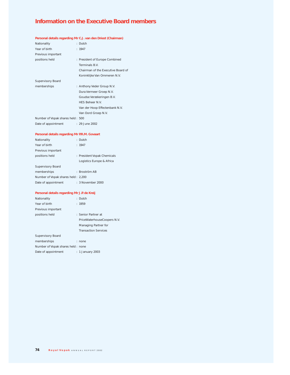## **Information on the Executive Board members**

| Nationality                      | : Dutch                            |
|----------------------------------|------------------------------------|
| Year of birth                    | : 1947                             |
| Previous important               |                                    |
| positions held                   | : President of Europe Combined     |
|                                  | Terminals B.V.                     |
|                                  | Chairman of the Executive Board of |
|                                  | Koninklijke Van Ommeren N.V.       |
| Supervisory Board                |                                    |
| memberships                      | : Anthony Veder Group N.V.         |
|                                  | Dura Vermeer Groep N.V.            |
|                                  | Goudse Verzekeringen B.V.          |
|                                  | <b>HES Beheer N.V.</b>             |
|                                  | Van der Hoop Effectenbank N.V.     |
|                                  | Van Oord Groep N.V.                |
| Number of Vopak shares held: 500 |                                    |
| Date of appointment              | : 29 June 2002                     |

## **Personal details regarding Mr P.R.M. Govaart**

| Nationality                        | $:$ Dutch                   |
|------------------------------------|-----------------------------|
| Year of birth                      | : 1947                      |
| Previous important                 |                             |
| positions held                     | : President Vopak Chemicals |
|                                    | Logistics Europe & Africa   |
| Supervisory Board                  |                             |
| memberships                        | : Broström AB               |
| Number of Vopak shares held: 2,200 |                             |
| Date of appointment                | : 3 November 2000           |

## **Personal details regarding Mr J.P. de Kreij**

| Nationality                       | : Dutch                     |
|-----------------------------------|-----------------------------|
| Year of birth                     | : 1959                      |
| Previous important                |                             |
| positions held                    | : Senior Partner at         |
|                                   | PriceWaterhouseCoopers N.V. |
|                                   | Managing Partner for        |
|                                   | <b>Transaction Services</b> |
| <b>Supervisory Board</b>          |                             |
| memberships                       | : none                      |
| Number of Vopak shares held: none |                             |
| Date of appointment               | : 1 January 2003            |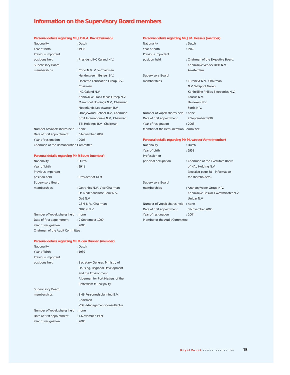# **Information on the Supervisory Board members**

| Personal details regarding Mr J.D.R.A. Bax (Chairman) |                                    | Personal details regarding Mr J.M. Hessels (member) |                                                        |
|-------------------------------------------------------|------------------------------------|-----------------------------------------------------|--------------------------------------------------------|
| Nationality                                           | : Dutch                            | Nationality                                         | : Dutch                                                |
| Year of birth                                         | : 1936                             | Year of birth                                       | : 1942                                                 |
| Previous important                                    |                                    | Previous important                                  |                                                        |
| positions held                                        | : President IHC Caland N.V.        | position held                                       | : Chairman of the Executive Board.                     |
| <b>Supervisory Board</b>                              |                                    |                                                     | Koninklijke Vendex KBB N.V.,                           |
| memberships                                           | : Corio N.V., Vice-Chairman        |                                                     | Amsterdam                                              |
|                                                       | Handelsveem Beheer B.V.            | Supervisory Board                                   |                                                        |
|                                                       | Heerema Fabrication Group B.V.,    | memberships                                         | : Euronext N.V., Chairman                              |
|                                                       | Chairman                           |                                                     | N.V. Schiphol Groep                                    |
|                                                       | <b>IHC Caland N.V.</b>             |                                                     | Koninklijke Philips Electronics N.V.                   |
|                                                       | Koninklijke Frans Maas Groep N.V.  |                                                     | Laurus N.V.                                            |
|                                                       | Mammoet Holdings N.V., Chairman    |                                                     | Heineken N.V.                                          |
|                                                       | Nederlands Loodswezen B.V.         |                                                     | Fortis N.V.                                            |
|                                                       | Oranjewoud Beheer B.V., Chairman   | Number of Vopak shares held : none                  |                                                        |
|                                                       | Smit Internationale N.V., Chairman | Date of first appointment                           | : 2 September 1999                                     |
|                                                       | TBI Holdings B.V., Chairman        | Year of resignation                                 | : 2003                                                 |
| Number of Vopak shares held : none                    |                                    | Member of the Remuneration Committee                |                                                        |
| Date of first appointment                             | : 6 November 2002                  |                                                     |                                                        |
| Year of resignation                                   | : 2006                             |                                                     | Personal details regarding Mr M. van der Vorm (member) |
| Chairman of the Remuneration Committee                |                                    | Nationality                                         | : Dutch                                                |
|                                                       |                                    | Year of birth                                       | : 1958                                                 |
|                                                       | .                                  |                                                     |                                                        |

## **Personal details regarding Mr P. Bouw (member)**

| Nationality                        | : Dutch                         |  |
|------------------------------------|---------------------------------|--|
| Year of birth                      | : 1941                          |  |
| Previous important                 |                                 |  |
| position held                      | : President of KLM              |  |
| Supervisory Board                  |                                 |  |
| memberships                        | : Getronics N.V., Vice-Chairman |  |
|                                    | De Nederlandsche Bank N.V.      |  |
|                                    | Océ N.V.                        |  |
|                                    | CSM N.V., Chairman              |  |
|                                    | NUON N.V.                       |  |
| Number of Vopak shares held : none |                                 |  |
| Date of first appointment          | : 2 September 1999              |  |
| Year of resignation                | : 2006                          |  |
| Chairman of the Audit Committee    |                                 |  |

## **Personal details regarding Mr R. den Dunnen (member)**

| : Dutch                               |
|---------------------------------------|
| : 1939                                |
|                                       |
| : Secretary General, Ministry of      |
| Housing, Regional Development         |
| and the Environment                   |
| Alderman for Port Matters of the      |
| <b>Rotterdam Municipality</b>         |
|                                       |
| : SHB Personeelsplanning B.V.,        |
| Chairman                              |
| <b>VDP</b> (Management Consultants)   |
| Number of Vopak shares held<br>: none |
| : 4 November 1999                     |
| : 2006                                |
|                                       |

## **Personal details regarding Mr J.M. Hessels (member)**

| Nationality               | : Dutch                                                             |
|---------------------------|---------------------------------------------------------------------|
| Year of birth             | : 1958                                                              |
| Profession or             |                                                                     |
| principal occupation      | : Chairman of the Executive Board                                   |
|                           | of HAL Holding N.V.                                                 |
|                           | (see also page 38 - information                                     |
|                           | for shareholders)                                                   |
| Supervisory Board         |                                                                     |
| memberships               | : Anthony Veder Group N.V.                                          |
|                           | Koninklijke Boskalis Westminster N.V                                |
|                           | Univar N.V.                                                         |
|                           |                                                                     |
| Date of first appointment | : 3 November 2000                                                   |
| Year of resignation       | : 2004                                                              |
|                           |                                                                     |
|                           | Number of Vopak shares held : none<br>Member of the Audit Committee |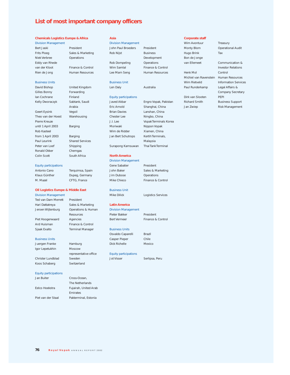## **List of most important company officers**

## **Chemicals Logistics Europe & Africa**

## *Division Management*

Bert Jaski President Niek Verbree Operations Eddy van Rhede van der Kloot Finance & Control

## *Business Units*

Gilles Bonny Forwarding Ian Cochrane Finland Kelly Dworaczyk Sabtank, Saudi

Geert Eysink Vegoil Theo van der Hoest Warehousing Pierre Kreuze until 1 April 2003 Barging Rob Kasteel from 1 April 2003 Barging Paul Leurink Shared Services Peter van Loef Shipping Ronald Okker Chemgas Colin Scott South Africa

## *Equity participations*

Antonio Cano Terquimsa, Spain

*Division Management* Ted van Dam Merrett President

Piet Hoogerwaard Agencies Ard Huisman Finance & Control

## *Business Units*

Juergen Franke Hamburg Igor Lepetukhin Moscow

Christer Lundblad Sweden Koos Schaberg Switzerland

## *Equity participations*

Jan Buiter Cross-Ocean,

Eelco Hoekstra Fujairah, United Arab

Piet van der Staal Pakterminal, Estonia

Frits Ploeg Sales & Marketing

Rien de Jong Human Resources

David Bishop United Kingdom Arabia

Klaus Günther Dupeg, Germany M. Mazel CFTG, France

## **Oil Logistics Europe & Middle East**

- Hari Dattatreya Sales & Marketing Jeroen Wijtenburg Operations & Human Resources Sjaak Exalto Terminal Manager
	-
	- representative office

The Netherlands

Emirates

## **Asia**

## *Division Management*

Rob Nijst Business

## *Business Unit*

## *Equity participations*

Eric Arnold Shanghai, China Brian Davies Lanshan, China Chester Lee Ningbo, China Moriwaki Nippon Vopak Wim de Ridder Xiamen, China Jan Bert Schutrops Kertih Terminals,

Surapong Karnsuwan Thai Tank Terminal

## **North America**

*Division Management* Gene Sabatier President John Baker Sales & Marketing Jim Dubose Operations Mike Chieco Finance & Control

*Business Unit*

## **Latin America**

*Division Management* Pieter Bakker President

## *Business Units*

Osvaldo Caparelli Brazil Casper Pieper Chile Dick Richelle Mexico

*Equity participations* Jot Visser Serlipsa, Peru

John Paul Broeders President Development Rob Dompeling Operations Wim Samlal Finance & Control Lee Marn Seng Human Resources

Len Daly Australia

# Javed Akbar Engro Vopak, Pakistan J.I. Lee Vopak Terminals Korea Malaysia

Mike Dilick Logistics Services

Bert Vermeer Finance & Control

## **Corporate staff**

Hugo Brink Tax Bon de Jonge

Henk Mol Control Michiel van Ravenstein Human Resources Wim Rietveld **Information Services** Paul Runderkamp Legal Affairs &

Dirk van Slooten PEPI Jan Zwiep **Risk Management** 

Wim Avontuur Treasury Monty Blom Operational Audit

van Ellemeet Communication & Investor Relations Company Secretary Richard Smith **Business Support** 

**76 Royal Vopak** ANNUAL REPORT <sup>2002</sup>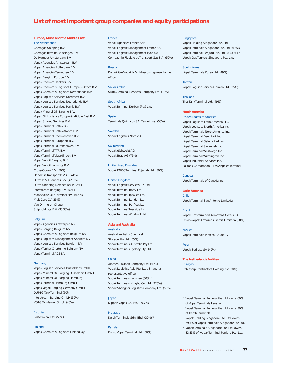## **List of most important group companies and equity participations**

## **Europe, Africa and the Middle East** *The Netherlands*

Chemgas Shipping B.V. Chemgas Terminal Vlissingen B.V. De Humber Amsterdam B.V. Vopak Agencies Amsterdam B.V. Vopak Agencies Rotterdam B.V. Vopak Agencies Terneuzen B.V. Vopak Barging Europe B.V. Vopak Chemical Tankers B.V. Vopak Chemicals Logistics Europe & Africa B.V. Vopak Chemicals Logistics Netherlands B.V. Vopak Logistic Services Dordrecht B.V. Vopak Logistic Services Netherlands B.V. Vopak Logistic Services Pernis B.V. Vopak Mineral Oil Barging B.V. Vopak Oil Logistics Europe & Middle East B.V. Vopak Shared Services B.V. Vopak Terminal Botlek B.V. Vopak Terminal Botlek-Noord B.V. Vopak Terminal Chemiehaven B.V. Vopak Terminal Europoort B.V. Vopak Terminal Laurenshaven B.V. Vopak Terminal TTR B.V. Vopak Terminal Vlaardingen B.V. Vopak Vegoil Barging B.V. Vopak Vegoil Logistics B.V. Cross-Ocean B.V. (50%) Dockwise Transport B.V. (13.41%) Dutch P & I Services B.V. (42.5%) Dutch Shipping Defence NV (42.5%) Interstream Barging B.V. (50%) Maasvlakte Olie Terminal NV (16.67%) MultiCore CV (25%) Van Ommeren Clipper Shipholdings B.V. (33.33%)

## *Belgium*

Vopak Agencies Antwerpen NV Vopak Barging Belgium NV Vopak Chemicals Logistics Belgium NV Vopak Logistics Management Antwerp NV Vopak Logistic Services Belgium NV Vopak Tanker Chartering Belgium NV Vopak Terminal ACS NV

#### *Germany*

Vopak Logistic Services Düsseldorf GmbH Vopak Mineral Oil Barging Düsseldorf GmbH Vopak Mineral Oil Barging Hamburg Vopak Terminal Hamburg GmbH Vopak Vegoil Barging Germany GmbH DUPEG Tank Terminal (50%) Interstream Barging GmbH (50%) VOTG Tanktainer GmbH (40%)

## *Estonia*

Pakterminal Ltd. (50%)

## *Finland*

Vopak Chemicals Logistics Finland Oy

#### *France*

Vopak Agencies France Sarl Vopak Logistic Management France SA Vopak Logistic Management Lyon SA Compagnie Fluviale de Transport Gaz S.A. (50%)

#### *Russia*

Koninklijke Vopak N.V.; Moscow representative office

*Saudi Arabia* SABIC Terminal Services Company Ltd. (10%)

*South Africa* Vopak Terminal Durban (Pty) Ltd.

*Spain* Terminals Quimicos SA (Terquimsa) (50%)

*Sweden* Vopak Logistics Nordic AB

*Switzerland* Vopak (Schweiz) AG Vopak Brag AG (75%)

*United Arab Emirates* Vopak ENOC Terminal Fujairah Ltd. (30%)

#### *United Kingdom*

Vopak Logistic Services UK Ltd. Vopak Terminal Barry Ltd. Vopak Terminal Ipswich Ltd. Vopak Terminal London Ltd. Vopak Terminal Purfleet Ltd. Vopak Terminal Teesside Ltd. Vopak Terminal Windmill Ltd.

## **Asia and Australia**

*Australia* Australian Petro Chemical Storage Pty Ltd. (55%) Vopak Terminals Australia Pty Ltd. Vopak Terminals Sydney Pty Ltd.

## *China*

Xiamen Paktank Company Ltd. (40%) Vopak Logistics Asia Pte. Ltd., Shanghai representative office Vopak Terminals Lanshan (60%) \*1 Vopak Terminals Ningbo Co. Ltd. (37.5%) Vopak Shanghai Logistics Company Ltd. (50%)

*Japan* Nippon Vopak Co. Ltd. (39.77%)

*Malaysia* Kertih Terminals Sdn. Bhd. (30%) \*2

*Pakistan* Engro Vopak Terminal Ltd. (50%)

## *Singapore*

Vopak Holding Singapore Pte. Ltd. Vopak Terminals Singapore Pte. Ltd. (69.5%) \*3 Vopak Terminal Penjuru Pte. Ltd. (83.33%) \*4 Vopak Gas Tankers Singapore Pte. Ltd.

*South Korea* Vopak Terminals Korea Ltd. (49%)

*Taiwan* Vopak Logistic Services Taiwan Ltd. (25%)

*Thailand* Thai Tank Terminal Ltd. (49%)

## **North America**

## *United States of America*

Vopak Logistics Latin America LLC Vopak Logistics North America Inc. Vopak Terminals North America Inc. Vopak Terminal Deer Park Inc. Vopak Terminal Galena Park Inc. Vopak Terminal Savannah Inc. Vopak Terminal Westwego Inc. Vopak Terminal Wilmington Inc. Vopak Industrial Services Inc. Paktank Corporation – Los Angeles Terminal

## *Canada*

Vopak Terminals of Canada Inc.

## **Latin America**

*Chile* Vopak Terminal San Antonio Limitada

#### *Brazil*

Vopak Brasterminais Armazens Gerais SA Uniao-Vopak Armazens Gerais Limitada (50%)

*Mexico* Vopak Terminals Mexico SA de CV

*Peru* Vopak Serlipsa SA (49%)

**The Netherlands Antilles** *Curaçao* Cableship Contractors Holding NV (20%)

- *\*1 Vopak Terminal Penjuru Pte. Ltd. owns 60% of Vopak Terminals Lanshan*
- *\*2 Vopak Terminal Penjuru Pte. Ltd. owns 30% of Kertih Terminals*
- *\*3 Vopak Holding Singapore Pte. Ltd. owns 69.5% of Vopak Terminals Singapore Pte Ltd.*
- *\*4 Vopak Terminals Singapore Pte. Ltd. owns 83.33% of Vopak Terminal Penjuru Pte. Ltd.*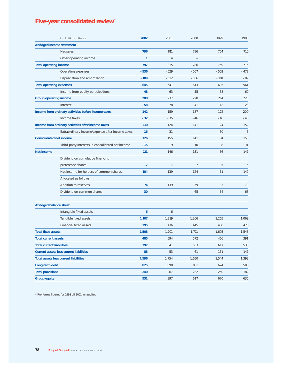# **Five-year consolidated review\***

| <b>Abridged income statement</b><br>Net sales<br>796<br>811<br>786<br>754<br>710<br>$\mathbf{1}$<br>5<br>$\overline{4}$<br>5<br>Other operating income<br>$\overline{\phantom{0}}$<br>797<br>715<br><b>Total operating income</b><br>815<br>759<br>786<br>$-536$<br>$-529$<br>$-507$<br>$-502$<br>$-472$<br>Operating expenses<br>$-89$<br>Depreciation and amortization<br>$-109$<br>$-112$<br>$-106$<br>$-101$<br><b>Total operating expenses</b><br>$-645$<br>$-641$<br>$-613$<br>$-603$<br>$-561$<br>Income from equity participations<br>48<br>63<br>55<br>58<br>69<br><b>Group operating income</b><br>200<br>237<br>228<br>214<br>223<br>$-58$<br>$-78$<br>$-23$<br>Interest<br>$-41$<br>$-42$<br>Income from ordinary activities before income taxes<br>159<br>187<br>200<br>142<br>172<br>$-32$<br>$-35$<br>$-48$<br>$-48$<br>Income taxes<br>$-46$<br>Income from ordinary activities after income taxes<br>110<br>124<br>124<br>152<br>141<br>6<br>31<br>$-50$<br>Extraordinary income/expense after income taxes<br>16<br>$\equiv$<br><b>Consolidated net income</b><br>126<br>155<br>74<br>158<br>141<br>$-9$<br>Third-party interests in consolidated net income<br>$-15$<br>$-10$<br>$-8$<br>$-11$<br><b>Net income</b><br>111<br>146<br>131<br>66<br>147<br>Dividend on cumulative financing<br>$-7$<br>$-7$<br>$-7$<br>$-5$<br>$-5$<br>preference shares<br>Net income for holders of common shares<br>104<br>139<br>124<br>61<br>142<br>Allocated as follows:<br>Addition to reserves<br>74<br>139<br>59<br>$-3$<br>79<br>30<br>63<br>Dividend on common shares<br>65<br>64<br><b>Abridged balance sheet</b><br>$\boldsymbol{6}$<br>Intangible fixed assets<br>6<br>Tangible fixed assets<br>1,107<br>1,219<br>1,266<br>1,265<br>1,069<br><b>Financial fixed assets</b><br>395<br>476<br>445<br>430<br>476<br><b>Total fixed assets</b><br>1,508<br>1,701<br>1,711<br>1,695<br>1,545<br>594<br>391<br><b>Total current assets</b><br>485<br>572<br>466<br><b>Total current liabilities</b><br>397<br>541<br>633<br>538<br>617<br><b>Current assets less current liabilities</b><br>88<br>53<br>$-151$<br>$-147$<br>$-61$<br><b>Total assets less current liabilities</b><br>1,596<br>1,754<br>1,544<br>1,398<br>1,650<br>825<br>1,090<br>801<br>580<br>Long-term debt<br>624<br><b>Total provisions</b><br>240<br>267<br>232<br>250<br>182 |                     | In EUR millions | 2002 | 2001 | 2000 | 1999 | 1998 |
|--------------------------------------------------------------------------------------------------------------------------------------------------------------------------------------------------------------------------------------------------------------------------------------------------------------------------------------------------------------------------------------------------------------------------------------------------------------------------------------------------------------------------------------------------------------------------------------------------------------------------------------------------------------------------------------------------------------------------------------------------------------------------------------------------------------------------------------------------------------------------------------------------------------------------------------------------------------------------------------------------------------------------------------------------------------------------------------------------------------------------------------------------------------------------------------------------------------------------------------------------------------------------------------------------------------------------------------------------------------------------------------------------------------------------------------------------------------------------------------------------------------------------------------------------------------------------------------------------------------------------------------------------------------------------------------------------------------------------------------------------------------------------------------------------------------------------------------------------------------------------------------------------------------------------------------------------------------------------------------------------------------------------------------------------------------------------------------------------------------------------------------------------------------------------------------------------------------------------------------------------------------------------------------------------------------------------------------------------------------|---------------------|-----------------|------|------|------|------|------|
|                                                                                                                                                                                                                                                                                                                                                                                                                                                                                                                                                                                                                                                                                                                                                                                                                                                                                                                                                                                                                                                                                                                                                                                                                                                                                                                                                                                                                                                                                                                                                                                                                                                                                                                                                                                                                                                                                                                                                                                                                                                                                                                                                                                                                                                                                                                                                              |                     |                 |      |      |      |      |      |
|                                                                                                                                                                                                                                                                                                                                                                                                                                                                                                                                                                                                                                                                                                                                                                                                                                                                                                                                                                                                                                                                                                                                                                                                                                                                                                                                                                                                                                                                                                                                                                                                                                                                                                                                                                                                                                                                                                                                                                                                                                                                                                                                                                                                                                                                                                                                                              |                     |                 |      |      |      |      |      |
|                                                                                                                                                                                                                                                                                                                                                                                                                                                                                                                                                                                                                                                                                                                                                                                                                                                                                                                                                                                                                                                                                                                                                                                                                                                                                                                                                                                                                                                                                                                                                                                                                                                                                                                                                                                                                                                                                                                                                                                                                                                                                                                                                                                                                                                                                                                                                              |                     |                 |      |      |      |      |      |
|                                                                                                                                                                                                                                                                                                                                                                                                                                                                                                                                                                                                                                                                                                                                                                                                                                                                                                                                                                                                                                                                                                                                                                                                                                                                                                                                                                                                                                                                                                                                                                                                                                                                                                                                                                                                                                                                                                                                                                                                                                                                                                                                                                                                                                                                                                                                                              |                     |                 |      |      |      |      |      |
|                                                                                                                                                                                                                                                                                                                                                                                                                                                                                                                                                                                                                                                                                                                                                                                                                                                                                                                                                                                                                                                                                                                                                                                                                                                                                                                                                                                                                                                                                                                                                                                                                                                                                                                                                                                                                                                                                                                                                                                                                                                                                                                                                                                                                                                                                                                                                              |                     |                 |      |      |      |      |      |
|                                                                                                                                                                                                                                                                                                                                                                                                                                                                                                                                                                                                                                                                                                                                                                                                                                                                                                                                                                                                                                                                                                                                                                                                                                                                                                                                                                                                                                                                                                                                                                                                                                                                                                                                                                                                                                                                                                                                                                                                                                                                                                                                                                                                                                                                                                                                                              |                     |                 |      |      |      |      |      |
|                                                                                                                                                                                                                                                                                                                                                                                                                                                                                                                                                                                                                                                                                                                                                                                                                                                                                                                                                                                                                                                                                                                                                                                                                                                                                                                                                                                                                                                                                                                                                                                                                                                                                                                                                                                                                                                                                                                                                                                                                                                                                                                                                                                                                                                                                                                                                              |                     |                 |      |      |      |      |      |
|                                                                                                                                                                                                                                                                                                                                                                                                                                                                                                                                                                                                                                                                                                                                                                                                                                                                                                                                                                                                                                                                                                                                                                                                                                                                                                                                                                                                                                                                                                                                                                                                                                                                                                                                                                                                                                                                                                                                                                                                                                                                                                                                                                                                                                                                                                                                                              |                     |                 |      |      |      |      |      |
|                                                                                                                                                                                                                                                                                                                                                                                                                                                                                                                                                                                                                                                                                                                                                                                                                                                                                                                                                                                                                                                                                                                                                                                                                                                                                                                                                                                                                                                                                                                                                                                                                                                                                                                                                                                                                                                                                                                                                                                                                                                                                                                                                                                                                                                                                                                                                              |                     |                 |      |      |      |      |      |
|                                                                                                                                                                                                                                                                                                                                                                                                                                                                                                                                                                                                                                                                                                                                                                                                                                                                                                                                                                                                                                                                                                                                                                                                                                                                                                                                                                                                                                                                                                                                                                                                                                                                                                                                                                                                                                                                                                                                                                                                                                                                                                                                                                                                                                                                                                                                                              |                     |                 |      |      |      |      |      |
|                                                                                                                                                                                                                                                                                                                                                                                                                                                                                                                                                                                                                                                                                                                                                                                                                                                                                                                                                                                                                                                                                                                                                                                                                                                                                                                                                                                                                                                                                                                                                                                                                                                                                                                                                                                                                                                                                                                                                                                                                                                                                                                                                                                                                                                                                                                                                              |                     |                 |      |      |      |      |      |
|                                                                                                                                                                                                                                                                                                                                                                                                                                                                                                                                                                                                                                                                                                                                                                                                                                                                                                                                                                                                                                                                                                                                                                                                                                                                                                                                                                                                                                                                                                                                                                                                                                                                                                                                                                                                                                                                                                                                                                                                                                                                                                                                                                                                                                                                                                                                                              |                     |                 |      |      |      |      |      |
|                                                                                                                                                                                                                                                                                                                                                                                                                                                                                                                                                                                                                                                                                                                                                                                                                                                                                                                                                                                                                                                                                                                                                                                                                                                                                                                                                                                                                                                                                                                                                                                                                                                                                                                                                                                                                                                                                                                                                                                                                                                                                                                                                                                                                                                                                                                                                              |                     |                 |      |      |      |      |      |
|                                                                                                                                                                                                                                                                                                                                                                                                                                                                                                                                                                                                                                                                                                                                                                                                                                                                                                                                                                                                                                                                                                                                                                                                                                                                                                                                                                                                                                                                                                                                                                                                                                                                                                                                                                                                                                                                                                                                                                                                                                                                                                                                                                                                                                                                                                                                                              |                     |                 |      |      |      |      |      |
|                                                                                                                                                                                                                                                                                                                                                                                                                                                                                                                                                                                                                                                                                                                                                                                                                                                                                                                                                                                                                                                                                                                                                                                                                                                                                                                                                                                                                                                                                                                                                                                                                                                                                                                                                                                                                                                                                                                                                                                                                                                                                                                                                                                                                                                                                                                                                              |                     |                 |      |      |      |      |      |
|                                                                                                                                                                                                                                                                                                                                                                                                                                                                                                                                                                                                                                                                                                                                                                                                                                                                                                                                                                                                                                                                                                                                                                                                                                                                                                                                                                                                                                                                                                                                                                                                                                                                                                                                                                                                                                                                                                                                                                                                                                                                                                                                                                                                                                                                                                                                                              |                     |                 |      |      |      |      |      |
|                                                                                                                                                                                                                                                                                                                                                                                                                                                                                                                                                                                                                                                                                                                                                                                                                                                                                                                                                                                                                                                                                                                                                                                                                                                                                                                                                                                                                                                                                                                                                                                                                                                                                                                                                                                                                                                                                                                                                                                                                                                                                                                                                                                                                                                                                                                                                              |                     |                 |      |      |      |      |      |
|                                                                                                                                                                                                                                                                                                                                                                                                                                                                                                                                                                                                                                                                                                                                                                                                                                                                                                                                                                                                                                                                                                                                                                                                                                                                                                                                                                                                                                                                                                                                                                                                                                                                                                                                                                                                                                                                                                                                                                                                                                                                                                                                                                                                                                                                                                                                                              |                     |                 |      |      |      |      |      |
|                                                                                                                                                                                                                                                                                                                                                                                                                                                                                                                                                                                                                                                                                                                                                                                                                                                                                                                                                                                                                                                                                                                                                                                                                                                                                                                                                                                                                                                                                                                                                                                                                                                                                                                                                                                                                                                                                                                                                                                                                                                                                                                                                                                                                                                                                                                                                              |                     |                 |      |      |      |      |      |
|                                                                                                                                                                                                                                                                                                                                                                                                                                                                                                                                                                                                                                                                                                                                                                                                                                                                                                                                                                                                                                                                                                                                                                                                                                                                                                                                                                                                                                                                                                                                                                                                                                                                                                                                                                                                                                                                                                                                                                                                                                                                                                                                                                                                                                                                                                                                                              |                     |                 |      |      |      |      |      |
|                                                                                                                                                                                                                                                                                                                                                                                                                                                                                                                                                                                                                                                                                                                                                                                                                                                                                                                                                                                                                                                                                                                                                                                                                                                                                                                                                                                                                                                                                                                                                                                                                                                                                                                                                                                                                                                                                                                                                                                                                                                                                                                                                                                                                                                                                                                                                              |                     |                 |      |      |      |      |      |
|                                                                                                                                                                                                                                                                                                                                                                                                                                                                                                                                                                                                                                                                                                                                                                                                                                                                                                                                                                                                                                                                                                                                                                                                                                                                                                                                                                                                                                                                                                                                                                                                                                                                                                                                                                                                                                                                                                                                                                                                                                                                                                                                                                                                                                                                                                                                                              |                     |                 |      |      |      |      |      |
|                                                                                                                                                                                                                                                                                                                                                                                                                                                                                                                                                                                                                                                                                                                                                                                                                                                                                                                                                                                                                                                                                                                                                                                                                                                                                                                                                                                                                                                                                                                                                                                                                                                                                                                                                                                                                                                                                                                                                                                                                                                                                                                                                                                                                                                                                                                                                              |                     |                 |      |      |      |      |      |
|                                                                                                                                                                                                                                                                                                                                                                                                                                                                                                                                                                                                                                                                                                                                                                                                                                                                                                                                                                                                                                                                                                                                                                                                                                                                                                                                                                                                                                                                                                                                                                                                                                                                                                                                                                                                                                                                                                                                                                                                                                                                                                                                                                                                                                                                                                                                                              |                     |                 |      |      |      |      |      |
|                                                                                                                                                                                                                                                                                                                                                                                                                                                                                                                                                                                                                                                                                                                                                                                                                                                                                                                                                                                                                                                                                                                                                                                                                                                                                                                                                                                                                                                                                                                                                                                                                                                                                                                                                                                                                                                                                                                                                                                                                                                                                                                                                                                                                                                                                                                                                              |                     |                 |      |      |      |      |      |
|                                                                                                                                                                                                                                                                                                                                                                                                                                                                                                                                                                                                                                                                                                                                                                                                                                                                                                                                                                                                                                                                                                                                                                                                                                                                                                                                                                                                                                                                                                                                                                                                                                                                                                                                                                                                                                                                                                                                                                                                                                                                                                                                                                                                                                                                                                                                                              |                     |                 |      |      |      |      |      |
|                                                                                                                                                                                                                                                                                                                                                                                                                                                                                                                                                                                                                                                                                                                                                                                                                                                                                                                                                                                                                                                                                                                                                                                                                                                                                                                                                                                                                                                                                                                                                                                                                                                                                                                                                                                                                                                                                                                                                                                                                                                                                                                                                                                                                                                                                                                                                              |                     |                 |      |      |      |      |      |
|                                                                                                                                                                                                                                                                                                                                                                                                                                                                                                                                                                                                                                                                                                                                                                                                                                                                                                                                                                                                                                                                                                                                                                                                                                                                                                                                                                                                                                                                                                                                                                                                                                                                                                                                                                                                                                                                                                                                                                                                                                                                                                                                                                                                                                                                                                                                                              |                     |                 |      |      |      |      |      |
|                                                                                                                                                                                                                                                                                                                                                                                                                                                                                                                                                                                                                                                                                                                                                                                                                                                                                                                                                                                                                                                                                                                                                                                                                                                                                                                                                                                                                                                                                                                                                                                                                                                                                                                                                                                                                                                                                                                                                                                                                                                                                                                                                                                                                                                                                                                                                              |                     |                 |      |      |      |      |      |
|                                                                                                                                                                                                                                                                                                                                                                                                                                                                                                                                                                                                                                                                                                                                                                                                                                                                                                                                                                                                                                                                                                                                                                                                                                                                                                                                                                                                                                                                                                                                                                                                                                                                                                                                                                                                                                                                                                                                                                                                                                                                                                                                                                                                                                                                                                                                                              |                     |                 |      |      |      |      |      |
|                                                                                                                                                                                                                                                                                                                                                                                                                                                                                                                                                                                                                                                                                                                                                                                                                                                                                                                                                                                                                                                                                                                                                                                                                                                                                                                                                                                                                                                                                                                                                                                                                                                                                                                                                                                                                                                                                                                                                                                                                                                                                                                                                                                                                                                                                                                                                              |                     |                 |      |      |      |      |      |
|                                                                                                                                                                                                                                                                                                                                                                                                                                                                                                                                                                                                                                                                                                                                                                                                                                                                                                                                                                                                                                                                                                                                                                                                                                                                                                                                                                                                                                                                                                                                                                                                                                                                                                                                                                                                                                                                                                                                                                                                                                                                                                                                                                                                                                                                                                                                                              |                     |                 |      |      |      |      |      |
|                                                                                                                                                                                                                                                                                                                                                                                                                                                                                                                                                                                                                                                                                                                                                                                                                                                                                                                                                                                                                                                                                                                                                                                                                                                                                                                                                                                                                                                                                                                                                                                                                                                                                                                                                                                                                                                                                                                                                                                                                                                                                                                                                                                                                                                                                                                                                              |                     |                 |      |      |      |      |      |
|                                                                                                                                                                                                                                                                                                                                                                                                                                                                                                                                                                                                                                                                                                                                                                                                                                                                                                                                                                                                                                                                                                                                                                                                                                                                                                                                                                                                                                                                                                                                                                                                                                                                                                                                                                                                                                                                                                                                                                                                                                                                                                                                                                                                                                                                                                                                                              |                     |                 |      |      |      |      |      |
|                                                                                                                                                                                                                                                                                                                                                                                                                                                                                                                                                                                                                                                                                                                                                                                                                                                                                                                                                                                                                                                                                                                                                                                                                                                                                                                                                                                                                                                                                                                                                                                                                                                                                                                                                                                                                                                                                                                                                                                                                                                                                                                                                                                                                                                                                                                                                              | <b>Group equity</b> |                 | 531  | 397  | 617  | 670  | 636  |

*\* Pro forma figures for 1998 till 2001, unaudited*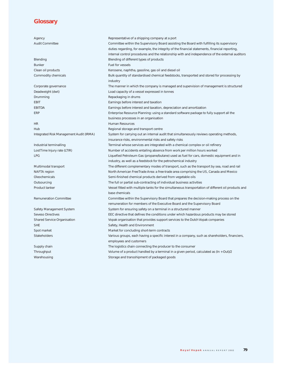## **Glossary**

| Agency                                  | Representative of a shipping company at a port                                                                        |
|-----------------------------------------|-----------------------------------------------------------------------------------------------------------------------|
| <b>Audit Committee</b>                  | Committee within the Supervisory Board assisting the Board with fulfilling its supervisory                            |
|                                         | duties regarding, for example, the integrity of the financial statements, financial reporting,                        |
|                                         | internal control procedures and the relationship with and independence of the external auditors                       |
| Blending                                | Blending of different types of products                                                                               |
| <b>Bunker</b>                           | <b>Fuel for vessels</b>                                                                                               |
| Clean oil products                      | Kerosene, naphtha, gasoline, gas oil and diesel oil                                                                   |
| Commodity chemicals                     | Bulk quantity of standardised chemical feedstocks, transported and stored for processing by<br>industry               |
| Corporate governance                    | The manner in which the company is managed and supervision of management is structured                                |
| Deadweight (dwt)                        | Load capacity of a vessel expressed in tonnes                                                                         |
| Drumming                                | Repackaging in drums                                                                                                  |
| <b>EBIT</b>                             | Earnings before interest and taxation                                                                                 |
| <b>EBITDA</b>                           | Earnings before interest and taxation, depreciation and amortization                                                  |
| <b>ERP</b>                              | Enterprise Resource Planning: using a standard software package to fully support all the                              |
|                                         | business processes in an organisation                                                                                 |
| HR.                                     | <b>Human Resources</b>                                                                                                |
| Hub                                     | Regional storage and transport centre                                                                                 |
| Integrated Risk Management Audit (IRMA) | System for carrying out an internal audit that simultaneously reviews operating methods,                              |
|                                         | insurance risks, environmental risks and safety risks                                                                 |
| Industrial terminalling                 | Terminal whose services are integrated with a chemical complex or oil refinery                                        |
| Lost Time Injury rate (LTIR)            | Number of accidents entailing absence from work per million hours worked                                              |
| <b>LPG</b>                              | Liquefied Petroleum Gas (propane/butane) used as fuel for cars, domestic equipment and in                             |
|                                         | industry, as well as a feedstock for the petrochemical industry                                                       |
| Multimodal transport                    | The different complementary modes of transport, such as the transport by sea, road and rail                           |
| <b>NAFTA</b> region                     | North American Free Trade Area: a free-trade area comprising the US, Canada and Mexico                                |
| Oleochemicals                           | Semi-finished chemical products derived from vegetable oils                                                           |
| Outsourcing                             | The full or partial sub-contracting of individual business activities                                                 |
| Product tanker                          | Vessel fitted with multiple tanks for the simultaneous transportation of different oil products and<br>base chemicals |
| <b>Remuneration Committee</b>           | Committee within the Supervisory Board that prepares the decision-making process on the                               |
|                                         | remuneration for members of the Executive Board and the Supervisory Board                                             |
| Safety Management System                | System for ensuring safety on a terminal in a structured manner                                                       |
| Seveso Directives                       | EEC directive that defines the conditions under which hazardous products may be stored                                |
| Shared Service Organisation             | Vopak organisation that provides support services to the Dutch Vopak companies                                        |
| <b>SHE</b>                              | Safety, Health and Environment                                                                                        |
| Spot market                             | Market for concluding short-term contracts                                                                            |
| <b>Stakeholders</b>                     | Various groups, each having a specific interest in a company, such as shareholders, financiers,                       |
|                                         | employees and customers                                                                                               |
| Supply chain                            | The logistics chain connecting the producer to the consumer                                                           |
| Throughput                              | Volume of a product handled by a terminal in a given period, calculated as $(ln + Out)/2$                             |
| Warehousing                             | Storage and transshipment of packaged goods                                                                           |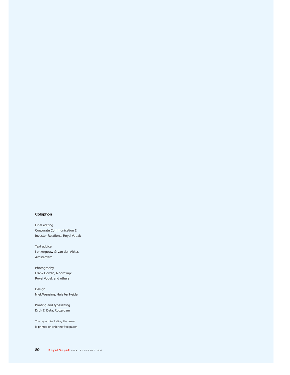## **Colophon**

*Final editing* Corporate Communication & Investor Relations, Royal Vopak

*Text advice* Jonkergouw & van den Akker, Amsterdam

*Photography* Frank Dorren, Noordwijk Royal Vopak and others

*Design* Niek Wensing, Huis ter Heide

*Printing and typesetting* Druk & Data, Rotterdam

The report, including the cover, is printed on chlorine-free paper.